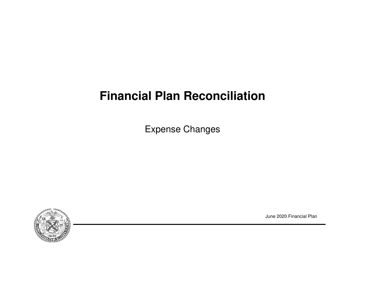# **Financial Plan Reconciliation**

Expense Changes



June 2020 Financial Plan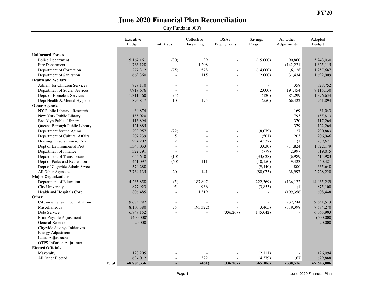|                                  |              | Executive<br><b>Budget</b> | Initiatives    | Collective<br>Bargaining | BSA/<br>Prepayments | Savings<br>Program       | All Other<br>Adjustments | Adopted<br><b>Budget</b> |
|----------------------------------|--------------|----------------------------|----------------|--------------------------|---------------------|--------------------------|--------------------------|--------------------------|
|                                  |              |                            |                |                          |                     |                          |                          |                          |
| <b>Uniformed Forces</b>          |              |                            |                |                          |                     |                          |                          |                          |
| Police Department                |              | 5,167,161                  | (30)           | 39                       |                     | (15,000)                 | 90,860                   | 5,243,030                |
| Fire Department                  |              | 1,766,128                  |                | 1,208                    |                     |                          | (142, 221)               | 1,625,115                |
| Department of Correction         |              | 1,277,312                  | (75)           | 578                      |                     | (14,000)                 | (6,128)                  | 1,257,687                |
| Department of Sanitation         |              | 1,663,360                  |                | 115                      |                     | (2,000)                  | 31,434                   | 1,692,909                |
| <b>Health and Welfare</b>        |              |                            |                |                          |                     |                          |                          |                          |
| Admin. for Children Services     |              | 829,110                    |                |                          |                     | $\overline{\phantom{a}}$ | (358)                    | 828,752                  |
| Department of Social Services    |              | 7,919,676                  |                |                          |                     | (2,000)                  | 197,454                  | 8,115,130                |
| Dept. of Homeless Services       |              | 1,311,460                  | (5)            | $\overline{a}$           | $\overline{a}$      | (120)                    | 85,299                   | 1,396,634                |
| Dept Health & Mental Hygiene     |              | 895,817                    | 10             | 195                      |                     | (550)                    | 66,422                   | 961,894                  |
| <b>Other Agencies</b>            |              |                            |                |                          |                     |                          |                          |                          |
| NY Public Library - Research     |              | 30,874                     |                |                          |                     |                          | 169                      | 31,043                   |
| New York Public Library          |              | 155,020                    |                |                          |                     |                          | 793                      | 155,813                  |
| Brooklyn Public Library          |              | 116,894                    |                |                          |                     |                          | 370                      | 117,264                  |
| Queens Borough Public Library    |              | 121,885                    |                |                          |                     |                          | 379                      | 122,264                  |
| Department for the Aging         |              | 298,957                    | (22)           |                          |                     | (8,079)                  | 27                       | 290,883                  |
| Department of Cultural Affairs   |              | 207,239                    | 5              |                          |                     | (501)                    | 203                      | 206,946                  |
| Housing Preservation & Dev.      |              | 294,207                    | $\overline{2}$ |                          | $\overline{a}$      | (4,537)                  | (1)                      | 289,671                  |
| Dept of Environmental Prot.      |              | 1,340,033                  |                |                          |                     | (3,030)                  | (14, 824)                | 1,322,179                |
| Department of Finance            |              | 322,791                    | $\sim$         |                          | $\overline{a}$      | (779)                    | (2,997)                  | 319,015                  |
| Department of Transportation     |              | 656,610                    | (10)           |                          | $\overline{a}$      | (33, 628)                | (6,989)                  | 615,983                  |
| Dept of Parks and Recreation     |              | 441,097                    | (60)           | 111                      |                     | (10, 150)                | 9,423                    | 440,421                  |
| Dept of Citywide Admin Srvces    |              | 374,288                    |                | $\overline{a}$           | $\overline{a}$      | (9,440)                  | 800                      | 365,648                  |
| All Other Agencies               |              | 2,769,135                  | 20             | 141                      | $\overline{a}$      | (80,073)                 | 38,997                   | 2,728,220                |
| <b>Major Organizations</b>       |              |                            |                |                          |                     |                          |                          |                          |
| Department of Education          |              | 14,235,858                 | (5)            | 187,897                  |                     | (222, 369)               | (136, 122)               | 14,065,259               |
| City University                  |              | 877,923                    | 95             | 936                      | $\overline{a}$      | (3,853)                  | (1)                      | 875,100                  |
| Health and Hospitals Corp.       |              | 806,485                    |                | 1,319                    |                     |                          | (199, 356)               | 608,448                  |
| Other                            |              |                            |                |                          |                     |                          |                          |                          |
| Citywide Pension Contributions   |              | 9,674,287                  |                |                          |                     |                          | (32, 744)                | 9,641,543                |
| Miscellaneous                    |              | 8,100,380                  | 75             | (193, 322)               |                     | (3,465)                  | (319, 398)               | 7,584,270                |
| Debt Service                     |              | 6,847,152                  |                | $\overline{a}$           | (336, 207)          | (145, 042)               | $\overline{a}$           | 6,365,903                |
| Prior Payable Adjustment         |              | (400,000)                  |                |                          |                     |                          | $\overline{\phantom{a}}$ | (400,000)                |
| General Reserve                  |              | 20,000                     |                |                          |                     |                          | $\overline{a}$           | 20,000                   |
| Citywide Savings Initiatives     |              |                            |                |                          |                     |                          |                          |                          |
| <b>Energy Adjustment</b>         |              |                            |                |                          |                     |                          |                          |                          |
| Lease Adjustment                 |              |                            |                |                          |                     |                          |                          |                          |
| <b>OTPS</b> Inflation Adjustment |              |                            |                |                          |                     |                          | $\overline{a}$           |                          |
| <b>Elected Officials</b>         |              |                            |                |                          |                     |                          |                          |                          |
| Mayoralty                        |              | 128,205                    |                |                          |                     | (2,111)                  | $\overline{a}$           | 126,094                  |
| All Other Elected                |              | 634,012                    |                | 322                      |                     | (4,379)                  | (67)                     | 629,888                  |
|                                  | <b>Total</b> | 68,883,356                 |                | (461)                    | (336, 207)          | (565, 106)               | (338, 576)               | 67,643,006               |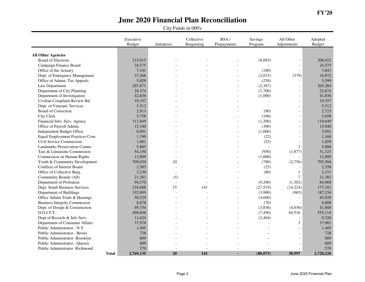|                                       |              | Executive<br><b>Budget</b> | Initiatives | Collective<br>Bargaining | BSA/<br>Prepayments | Savings<br>Program | All Other<br>Adjustments | Adopted<br><b>Budget</b> |
|---------------------------------------|--------------|----------------------------|-------------|--------------------------|---------------------|--------------------|--------------------------|--------------------------|
|                                       |              |                            |             |                          |                     |                    |                          |                          |
| <b>All Other Agencies</b>             |              |                            |             |                          |                     |                    |                          |                          |
| <b>Board of Elections</b>             |              | 215,015                    |             |                          |                     | (8,093)            | $\overline{\phantom{0}}$ | 206,922                  |
| Campaign Finance Board                |              | 24,575                     |             |                          |                     |                    | $\overline{\phantom{a}}$ | 24,575                   |
| Office of the Actuary                 |              | 7,141                      |             |                          |                     | (100)              |                          | 7,041                    |
| Dept. of Emergency Management         |              | 37,266                     |             |                          |                     | (2,015)            | (379)                    | 34,872                   |
| Office of Admin. Tax Appeals          |              | 5,829                      |             |                          | $\overline{a}$      | (230)              |                          | 5,599                    |
| Law Department                        |              | 267,671                    |             |                          |                     | (2, 387)           | $\overline{\phantom{a}}$ | 265,284                  |
| Department of City Planning           |              | 24,374                     |             |                          |                     | (1,700)            | $\overline{a}$           | 22,674                   |
| Department of Investigation           |              | 42,836                     |             |                          |                     | (1,000)            | $\overline{\phantom{a}}$ | 41,836                   |
| Civilian Complaint Review Bd.         |              | 19,357                     |             |                          |                     |                    | $\blacksquare$           | 19,357                   |
| Dept. of Veterans' Services           |              | 5,512                      |             |                          |                     |                    | $\overline{a}$           | 5,512                    |
| Board of Correction                   |              | 2,813                      |             |                          |                     | (90)               | $\overline{a}$           | 2,723                    |
| City Clerk                            |              | 5,758                      |             |                          |                     | (100)              | $\overline{a}$           | 5,658                    |
| Financial Info. Serv. Agency          |              | 111,849                    |             |                          |                     | (1,200)            | $\overline{\phantom{a}}$ | 110,649                  |
| Office of Payroll Admin.              |              | 15,340                     |             |                          |                     | (300)              | $\sim$                   | 15,040                   |
| Independent Budget Office             |              | 6,091                      |             |                          |                     | (1,000)            | $\overline{\phantom{a}}$ | 5,091                    |
| <b>Equal Employment Practices Com</b> |              | 1,190                      |             |                          |                     | (22)               | $\mathcal{L}$            | 1,168                    |
| Civil Service Commission              |              | 1,081                      |             |                          |                     | (22)               |                          | 1,059                    |
| Landmarks Preservation Comm.          |              | 5,885                      |             |                          |                     |                    | 3                        | 5,888                    |
| Taxi & Limousine Commission           |              | 54,150                     |             |                          |                     | (950)              | (1, 877)                 | 51,323                   |
| Commission on Human Rights            |              | 13,809                     |             |                          |                     | (1,000)            |                          | 12,809                   |
| Youth & Community Development         |              | 709,030                    | 10          |                          |                     | (780)              | (2,756)                  | 705,504                  |
| Conflicts of Interest Board           |              | 2,583                      |             |                          |                     | (25)               |                          | 2,558                    |
| Office of Collective Barg.            |              | 2,230                      |             |                          |                     | (80)               | $\mathbf{1}$             | 2,151                    |
| Community Boards (All)                |              | 21,381                     | (5)         |                          |                     | $\sim$             | $\overline{7}$           | 21,383                   |
| Department of Probation               |              | 94,570                     |             |                          |                     | (9,200)            | (1,302)                  | 84,068                   |
| Dept. Small Business Services         |              | 218,688                    | 15          | 141                      | $\overline{a}$      | (27, 519)          | (14, 224)                | 177,101                  |
| Department of Buildings               |              | 192,099                    |             |                          |                     | (3,900)            | (965)                    | 187,234                  |
| Office Admin Trials & Hearings        |              | 50,529                     |             |                          |                     | (4,600)            |                          | 45,929                   |
| <b>Business Integrity Commission</b>  |              | 8,878                      |             |                          |                     | (70)               | $\overline{a}$           | 8,808                    |
| Dept. of Design & Construction        |              | 49,754                     |             |                          |                     | (3,836)            | (4,030)                  | 41,888                   |
| D.O.I.T.T.                            |              | 498,048                    |             |                          |                     | (7, 450)           | 64,516                   | 555,114                  |
| Dept of Records & Info Serv.          |              | 11,624                     |             |                          |                     | (2, 404)           | $\overline{\phantom{a}}$ | 9,220                    |
| Department of Consumer Affairs        |              | 37,978                     |             |                          |                     |                    | 3                        | 37,981                   |
| Public Administrator - N.Y.           |              | 1,405                      |             |                          |                     |                    | $\overline{a}$           | 1,405                    |
| Public Administrator - Bronx          |              | 728                        |             |                          |                     |                    | $\overline{a}$           | 728                      |
| Public Administrator- Brooklyn        |              | 889                        |             |                          |                     |                    | $\overline{a}$           | 889                      |
| Public Administrator - Queens         |              | 609                        |             |                          |                     |                    | $\overline{a}$           | 609                      |
| Public Administrator -Richmond        |              | 570                        |             |                          |                     |                    |                          | 570                      |
|                                       | <b>Total</b> | 2,769,135                  | 20          | 141                      |                     | (80,073)           | 38,997                   | 2,728,220                |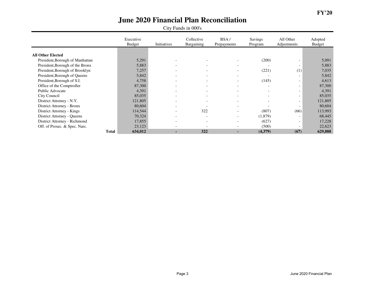|                                 | Executive<br><b>Budget</b> | Initiatives              | Collective<br>Bargaining | BSA/<br>Prepayments      | Savings<br>Program       | All Other<br>Adjustments | Adopted<br><b>Budget</b> |
|---------------------------------|----------------------------|--------------------------|--------------------------|--------------------------|--------------------------|--------------------------|--------------------------|
|                                 |                            |                          |                          |                          |                          |                          |                          |
| <b>All Other Elected</b>        |                            |                          |                          |                          |                          |                          |                          |
| President, Borough of Manhattan | 5,291                      |                          | $\overline{\phantom{0}}$ | $\overline{\phantom{0}}$ | (200)                    | $\overline{\phantom{a}}$ | 5,091                    |
| President, Borough of the Bronx | 5,883                      | $\overline{\phantom{0}}$ | $\overline{\phantom{0}}$ | $\overline{\phantom{a}}$ |                          | $\overline{\phantom{a}}$ | 5,883                    |
| President, Borough of Brooklyn  | 7,257                      |                          | $\overline{\phantom{a}}$ | $\overline{\phantom{a}}$ | (221)                    | (1)                      | 7,035                    |
| President, Borough of Queens    | 5,842                      | $\overline{\phantom{0}}$ | $\overline{\phantom{0}}$ | $\overline{\phantom{a}}$ |                          | $\overline{\phantom{a}}$ | 5,842                    |
| President, Borough of S.I.      | 4,758                      | -                        | $\overline{\phantom{0}}$ | $\overline{\phantom{a}}$ | (145)                    | $\overline{\phantom{a}}$ | 4,613                    |
| Office of the Comptroller       | 87,300                     | $\overline{\phantom{0}}$ | $\overline{\phantom{0}}$ | $\overline{\phantom{0}}$ | $\overline{\phantom{a}}$ | $\overline{\phantom{a}}$ | 87,300                   |
| Public Advocate                 | 4,391                      | $\overline{\phantom{0}}$ | $\overline{\phantom{0}}$ | $\overline{\phantom{a}}$ | $\sim$                   | $\overline{\phantom{a}}$ | 4,391                    |
| City Council                    | 85,035                     |                          | $\overline{\phantom{a}}$ | $\overline{\phantom{0}}$ |                          | $\overline{\phantom{a}}$ | 85,035                   |
| District Attorney - N.Y.        | 121,805                    |                          | $\overline{\phantom{a}}$ | $\overline{\phantom{0}}$ |                          | $\overline{\phantom{a}}$ | 121,805                  |
| District Attorney - Bronx       | 80,604                     |                          |                          | $\overline{\phantom{0}}$ |                          | $\overline{\phantom{a}}$ | 80,604                   |
| District Attorney - Kings       | 114,544                    | $\overline{\phantom{0}}$ | 322                      | $\overline{\phantom{0}}$ | (807)                    | (66)                     | 113,993                  |
| District Attorney - Queens      | 70,324                     |                          | $\overline{\phantom{a}}$ | $\overline{\phantom{a}}$ | (1,879)                  | $\overline{\phantom{a}}$ | 68,445                   |
| District Attorney - Richmond    | 17,855                     |                          | $\overline{\phantom{a}}$ | $\overline{\phantom{a}}$ | (627)                    | $\overline{\phantom{a}}$ | 17,228                   |
| Off. of Prosec. & Spec. Narc.   | 23,123                     |                          | $\overline{\phantom{a}}$ | $\overline{\phantom{0}}$ | (500)                    | $\overline{\phantom{a}}$ | 22,623                   |
| <b>Total</b>                    | 634,012                    |                          | 322                      | ۰.                       | (4,379)                  | (67)                     | 629,888                  |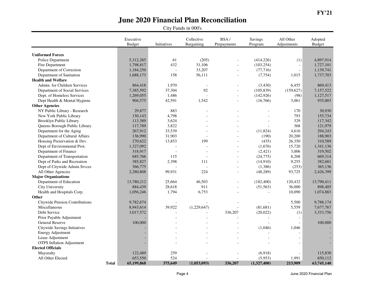|                                  | Executive<br><b>Budget</b> | Initiatives | Collective<br>Bargaining | BSA/<br>Prepayments      | Savings<br>Program | All Other<br>Adjustments | Adopted<br><b>Budget</b> |
|----------------------------------|----------------------------|-------------|--------------------------|--------------------------|--------------------|--------------------------|--------------------------|
|                                  |                            |             |                          |                          |                    |                          |                          |
| <b>Uniformed Forces</b>          |                            |             |                          |                          |                    |                          |                          |
| Police Department                | 5,312,285                  | 61          | (205)                    |                          | (414, 226)         | (1)                      | 4,897,914                |
| Fire Department                  | 1,798,817                  | 432         | 31,106                   |                          | (103, 254)         | $\overline{\phantom{a}}$ | 1,727,101                |
| Department of Correction         | 1,184,250                  |             | 33,207                   | $\overline{a}$           | (77, 716)          | $\overline{a}$           | 1,139,741                |
| Department of Sanitation         | 1,688,173                  | 158         | 56,111                   |                          | (7, 754)           | 1,015                    | 1,737,703                |
| <b>Health and Welfare</b>        |                            |             |                          |                          |                    |                          |                          |
| Admin. for Children Services     | 864,418                    | 1,970       | $\overline{\phantom{a}}$ | $\blacksquare$           | (3,430)            | 6,455                    | 869,413                  |
| Department of Social Services    | 7,385,592                  | 37,304      | 92                       |                          | (105, 839)         | (159, 627)               | 7,157,522                |
| Dept. of Homeless Services       | 1,269,055                  | 1,486       |                          | $\overline{a}$           | (142, 926)         | (98)                     | 1,127,517                |
| Dept Health & Mental Hygiene     | 904,575                    | 42,591      | 1,542                    | $\overline{a}$           | (16,766)           | 3,061                    | 935,003                  |
| <b>Other Agencies</b>            |                            |             |                          |                          |                    |                          |                          |
| NY Public Library - Research     | 29,877                     | 883         |                          |                          |                    | 170                      | 30,930                   |
| New York Public Library          | 150,143                    | 4,798       |                          |                          |                    | 793                      | 155,734                  |
| Brooklyn Public Library          | 113,389                    | 3,624       |                          |                          |                    | 329                      | 117,342                  |
| Queens Borough Public Library    | 117,789                    | 3,822       |                          |                          |                    | 368                      | 121,979                  |
| Department for the Aging         | 267,912                    | 33,539      | $\overline{a}$           |                          | (11,824)           | 4,616                    | 294,243                  |
| Department of Cultural Affairs   | 136,990                    | 31,903      |                          |                          | (190)              | 20,200                   | 188,903                  |
| Housing Preservation & Dev.      | 270,622                    | 13,853      | 199                      |                          | (435)              | 26,350                   | 310,589                  |
| Dept of Environmental Prot.      | 1,327,092                  |             |                          |                          | (1,676)            | 15,720                   | 1,341,136                |
| Department of Finance            | 318,917                    |             | $\overline{a}$           | $\overline{\phantom{a}}$ | (2,421)            | 3,006                    | 319,502                  |
| Department of Transportation     | 685,766                    | 115         |                          | $\overline{a}$           | (24, 775)          | 8,208                    | 669,314                  |
| Dept of Parks and Recreation     | 385,827                    | 2,398       | 111                      |                          | (14,910)           | 9,255                    | 382,681                  |
| Dept of Citywide Admin Srvces    | 366,775                    |             | $\overline{a}$           | $\overline{a}$           | (1,386)            | (253)                    | 365,136                  |
| All Other Agencies               | 2,280,808                  | 99,931      | 224                      | $\sim$                   | (48, 289)          | 93,725                   | 2,426,399                |
| <b>Major Organizations</b>       |                            |             |                          |                          |                    |                          |                          |
| Department of Education          | 13,780,212                 | 25,664      | 46,503                   |                          | (182, 400)         | 120,432                  | 13,790,411               |
| City University                  | 884,439                    | 28,618      | 911                      | $\overline{\phantom{a}}$ | (51, 563)          | 36,000                   | 898,405                  |
| Health and Hospitals Corp.       | 1,056,246                  | 1,794       | 6,753                    |                          |                    | 10,090                   | 1,074,883                |
| Other                            |                            |             |                          |                          |                    |                          |                          |
| Citywide Pension Contributions   | 9,782,674                  |             |                          |                          |                    | 5,500                    | 9,788,174                |
| Miscellaneous                    | 8,943,614                  | 39,922      | (1,229,647)              |                          | (81,681)           | 5,559                    | 7,677,767                |
| Debt Service                     | 3,017,572                  |             |                          | 336,207                  | (20,022)           | (1)                      | 3,333,756                |
| Prior Payable Adjustment         |                            |             |                          |                          |                    |                          |                          |
| General Reserve                  | 100,000                    |             |                          |                          |                    | $\mathcal{L}$            | 100,000                  |
| Citywide Savings Initiatives     |                            |             |                          |                          | (1,046)            | 1,046                    |                          |
| <b>Energy Adjustment</b>         |                            |             |                          |                          |                    | $\overline{\phantom{a}}$ |                          |
| Lease Adjustment                 |                            |             |                          |                          |                    |                          |                          |
| <b>OTPS</b> Inflation Adjustment |                            |             |                          |                          |                    | $\overline{a}$           |                          |
| <b>Elected Officials</b>         |                            |             |                          |                          |                    |                          |                          |
| Mayoralty                        | 122,489                    | 259         |                          |                          | (6,918)            | $\overline{a}$           | 115,830                  |
| All Other Elected                | 653,550                    | 524         |                          |                          | (5,953)            | 1,991                    | 650,112                  |
| <b>Total</b>                     | 65,199,868                 | 375,649     | (1,053,093)              | 336,207                  | (1,327,400)        | 213,909                  | 63,745,140               |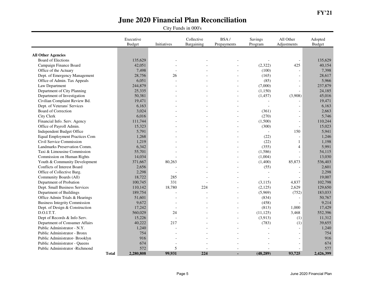|                                       | Executive<br><b>Budget</b> | Initiatives | Collective<br>Bargaining | BSA/<br>Prepayments      | Savings<br>Program | All Other<br>Adjustments | Adopted<br><b>Budget</b> |
|---------------------------------------|----------------------------|-------------|--------------------------|--------------------------|--------------------|--------------------------|--------------------------|
|                                       |                            |             |                          |                          |                    |                          |                          |
| <b>All Other Agencies</b>             |                            |             |                          |                          |                    |                          |                          |
| <b>Board of Elections</b>             | 135,629                    |             |                          |                          |                    | $\overline{\phantom{0}}$ | 135,629                  |
| Campaign Finance Board                | 42,051                     |             |                          |                          | (2,322)            | 425                      | 40,154                   |
| Office of the Actuary                 | 7,498                      |             |                          |                          | (100)              | $\overline{a}$           | 7,398                    |
| Dept. of Emergency Management         | 28,756                     | 26          |                          |                          | (165)              | $\overline{a}$           | 28,617                   |
| Office of Admin. Tax Appeals          | 6,051                      |             |                          |                          | (85)               | $\overline{a}$           | 5,966                    |
| Law Department                        | 244,879                    |             |                          |                          | (7,000)            | $\overline{\phantom{a}}$ | 237,879                  |
| Department of City Planning           | 25,335                     |             |                          |                          | (1,150)            | $\overline{a}$           | 24,185                   |
| Department of Investigation           | 50,381                     |             |                          |                          | (1, 457)           | (3,908)                  | 45,016                   |
| Civilian Complaint Review Bd.         | 19,471                     |             |                          |                          | $\overline{a}$     |                          | 19,471                   |
| Dept. of Veterans' Services           | 6,163                      |             |                          |                          |                    |                          | 6,163                    |
| Board of Correction                   | 3,024                      |             |                          |                          | (361)              | $\overline{a}$           | 2,663                    |
| City Clerk                            | 6,016                      |             |                          |                          | (270)              | $\overline{\phantom{a}}$ | 5,746                    |
| Financial Info. Serv. Agency          | 111,744                    |             |                          |                          | (1,500)            | $\overline{\phantom{a}}$ | 110,244                  |
| Office of Payroll Admin.              | 15,323                     |             |                          |                          | (300)              | $\overline{\phantom{a}}$ | 15,023                   |
| Independent Budget Office             | 5,791                      |             |                          |                          |                    | 150                      | 5,941                    |
| <b>Equal Employment Practices Com</b> | 1,268                      |             |                          |                          | (22)               | $\overline{a}$           | 1,246                    |
| Civil Service Commission              | 1,219                      |             |                          |                          | (22)               | 1                        | 1,198                    |
| Landmarks Preservation Comm.          | 6,342                      |             |                          |                          | (355)              | $\overline{4}$           | 5,991                    |
| Taxi & Limousine Commission           | 55,701                     |             |                          | $\sim$                   | (1,586)            | $\overline{\phantom{a}}$ | 54,115                   |
| Commission on Human Rights            | 14,034                     |             |                          |                          | (1,004)            | $\overline{a}$           | 13,030                   |
| Youth & Community Development         | 371,667                    | 80,263      |                          |                          | (1,400)            | 85,873                   | 536,403                  |
| Conflicts of Interest Board           | 2,656                      |             |                          |                          | (55)               |                          | 2,601                    |
| Office of Collective Barg.            | 2,298                      |             |                          |                          | $\overline{a}$     | $\overline{a}$           | 2,298                    |
| Community Boards (All)                | 18,722                     | 285         |                          |                          | $\overline{a}$     | $\overline{a}$           | 19,007                   |
| Department of Probation               | 100,745                    | 331         |                          |                          | (3,115)            | 4,837                    | 102,798                  |
| Dept. Small Business Services         | 110,142                    | 18,780      | 224                      | $\overline{a}$           | (2,125)            | 2,629                    | 129,650                  |
| Department of Buildings               | 189,754                    |             |                          |                          | (5,969)            | (752)                    | 183,033                  |
| Office Admin Trials & Hearings        | 51,601                     |             |                          |                          | (834)              |                          | 50,767                   |
| <b>Business Integrity Commission</b>  | 9,672                      |             |                          |                          | (458)              | $\overline{a}$           | 9,214                    |
| Dept. of Design & Construction        | 17,242                     |             |                          |                          | (813)              | 1,000                    | 17,429                   |
| D.O.I.T.T.                            | 560,029                    | 24          |                          |                          | (11, 125)          | 3,468                    | 552,396                  |
| Dept of Records & Info Serv.          | 15,226                     |             |                          | $\overline{\phantom{a}}$ | (3,913)            | (1)                      | 11,312                   |
| Department of Consumer Affairs        | 40,222                     | 217         |                          |                          | (783)              | (1)                      | 39,655                   |
| Public Administrator - N.Y.           | 1,240                      |             |                          |                          |                    |                          | 1,240                    |
| Public Administrator - Bronx          | 754                        |             |                          |                          |                    | $\overline{\phantom{a}}$ | 754                      |
| Public Administrator- Brooklyn        | 916                        |             |                          |                          |                    | $\overline{a}$           | 916                      |
| Public Administrator - Queens         | 674                        |             |                          |                          |                    | $\overline{a}$           | 674                      |
| Public Administrator -Richmond        | 572                        | 5           |                          |                          |                    | $\overline{a}$           | 577                      |
|                                       | 2,280,808<br><b>Total</b>  | 99,931      | 224                      |                          | (48, 289)          | 93,725                   | 2,426,399                |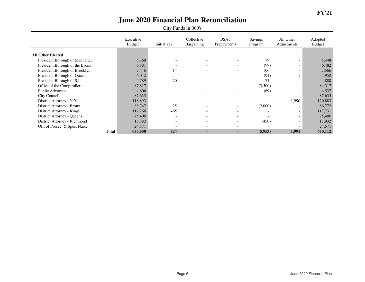|                                 | Executive<br><b>Budget</b> | Initiatives              | Collective<br>Bargaining | BSA/<br>Prepayments          | <b>Savings</b><br>Program | All Other<br>Adjustments     | Adopted<br><b>Budget</b> |
|---------------------------------|----------------------------|--------------------------|--------------------------|------------------------------|---------------------------|------------------------------|--------------------------|
|                                 |                            |                          |                          |                              |                           |                              |                          |
| <b>All Other Elected</b>        |                            |                          |                          |                              |                           |                              |                          |
| President, Borough of Manhattan | 5,369                      |                          | $\overline{\phantom{a}}$ | $\overline{\phantom{0}}$     | 79                        | $\qquad \qquad \blacksquare$ | 5,448                    |
| President, Borough of the Bronx | 6,581                      |                          | $\overline{\phantom{a}}$ | $\qquad \qquad \blacksquare$ | (99)                      | $\overline{\phantom{a}}$     | 6,482                    |
| President, Borough of Brooklyn  | 7,446                      | 14                       | $\overline{\phantom{a}}$ | $\overline{\phantom{0}}$     | 106                       | $\overline{\phantom{a}}$     | 7,566                    |
| President, Borough of Queens    | 6,042                      |                          | $\overline{\phantom{0}}$ | $\overline{\phantom{0}}$     | (91)                      |                              | 5,952                    |
| President, Borough of S.I.      | 4,789                      | 20                       | $\overline{\phantom{a}}$ | $\qquad \qquad \blacksquare$ | 71                        | $\overline{\phantom{a}}$     | 4,880                    |
| Office of the Comptroller       | 87,817                     | $\overline{\phantom{0}}$ | $\overline{\phantom{a}}$ | $\overline{\phantom{a}}$     | (3,500)                   | $\overline{\phantom{a}}$     | 84,317                   |
| Public Advocate                 | 4,606                      | $\overline{\phantom{0}}$ | $\overline{\phantom{0}}$ | $\overline{\phantom{a}}$     | (69)                      | $\overline{\phantom{a}}$     | 4,537                    |
| City Council                    | 87,635                     | $\overline{\phantom{0}}$ | $\overline{\phantom{0}}$ | $\overline{\phantom{0}}$     |                           | $\overline{\phantom{a}}$     | 87,635                   |
| District Attorney - N.Y.        | 118,893                    |                          | $\overline{\phantom{a}}$ | $\qquad \qquad \blacksquare$ |                           | 1,990                        | 120,883                  |
| District Attorney - Bronx       | 88,747                     | 25                       | $\overline{\phantom{a}}$ | $\qquad \qquad \blacksquare$ | (2,000)                   | $\overline{\phantom{a}}$     | 86,772                   |
| District Attorney - Kings       | 117,266                    | 465                      | $\overline{\phantom{a}}$ | $\overline{\phantom{0}}$     |                           | $\overline{\phantom{a}}$     | 117,731                  |
| District Attorney - Queens      | 75,406                     | $\overline{\phantom{0}}$ | $\overline{\phantom{a}}$ | $\qquad \qquad \blacksquare$ |                           | $\overline{\phantom{a}}$     | 75,406                   |
| District Attorney - Richmond    | 18,382                     |                          | $\overline{\phantom{a}}$ | $\overline{\phantom{a}}$     | (450)                     | $\overline{\phantom{a}}$     | 17,932                   |
| Off. of Prosec. & Spec. Narc.   | 24,571                     |                          | $\overline{\phantom{a}}$ | ۰                            |                           | $\overline{\phantom{0}}$     | 24,571                   |
| Total                           | 653,550                    | 524                      | $\blacksquare$           | $\blacksquare$               | (5,953)                   | 1,991                        | 650,112                  |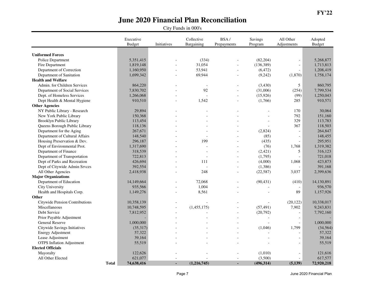|                                  | Executive<br><b>Budget</b> | Initiatives | Collective<br>Bargaining | BSA/<br>Prepayments      | Savings<br>Program | All Other<br>Adjustments | Adopted<br><b>Budget</b> |
|----------------------------------|----------------------------|-------------|--------------------------|--------------------------|--------------------|--------------------------|--------------------------|
|                                  |                            |             |                          |                          |                    |                          |                          |
| <b>Uniformed Forces</b>          |                            |             |                          |                          |                    |                          |                          |
| Police Department                | 5,351,415                  |             | (334)                    |                          | (82, 204)          | $\blacksquare$           | 5,268,877                |
| Fire Department                  | 1,819,148                  |             | 31,054                   |                          | (136, 389)         | $\blacksquare$           | 1,713,813                |
| Department of Correction         | 1,160,950                  |             | 53,941                   |                          | (6, 472)           | $\blacksquare$           | 1,208,419                |
| Department of Sanitation         | 1,699,342                  |             | 69,944                   | $\overline{a}$           | (9,242)            | (1,870)                  | 1,758,174                |
| <b>Health and Welfare</b>        |                            |             |                          |                          |                    |                          |                          |
| Admin. for Children Services     | 864,220                    |             | $\sim$                   | $\overline{a}$           | (3,430)            | 5                        | 860,795                  |
| Department of Social Services    | 7,830,702                  |             | 92                       |                          | (31,006)           | (254)                    | 7,799,534                |
| Dept. of Homeless Services       | 1,266,068                  |             |                          | $\overline{a}$           | (15, 926)          | (99)                     | 1,250,043                |
| Dept Health & Mental Hygiene     | 910,510                    |             | 1,542                    | $\overline{a}$           | (1,766)            | 285                      | 910,571                  |
| <b>Other Agencies</b>            |                            |             |                          |                          |                    |                          |                          |
| NY Public Library - Research     | 29,894                     |             |                          |                          |                    | 170                      | 30,064                   |
| New York Public Library          | 150,368                    |             |                          |                          |                    | 792                      | 151,160                  |
| Brooklyn Public Library          | 113,454                    |             |                          |                          |                    | 329                      | 113,783                  |
| Queens Borough Public Library    | 118,136                    |             |                          |                          |                    | 367                      | 118,503                  |
| Department for the Aging         | 267,671                    |             |                          |                          | (2,824)            | $\overline{\phantom{a}}$ | 264,847                  |
| Department of Cultural Affairs   | 148,540                    |             |                          |                          | (85)               | $\overline{a}$           | 148,455                  |
| Housing Preservation & Dev.      | 296,187                    |             | 199                      |                          | (435)              | $\overline{a}$           | 295.951                  |
| Dept of Environmental Prot.      | 1,317,690                  |             |                          |                          | (76)               | 1,768                    | 1,319,382                |
| Department of Finance            | 318,539                    |             |                          |                          | (2, 421)           | 5                        | 316,123                  |
| Department of Transportation     | 722,813                    |             |                          | $\overline{a}$           | (1,795)            |                          | 721,018                  |
| Dept of Parks and Recreation     | 426,694                    |             | 111                      |                          | (4,000)            | 1,068                    | 423,873                  |
| Dept of Citywide Admin Srvces    | 392,554                    |             | $\overline{a}$           | $\overline{a}$           | (1,386)            |                          | 391,168                  |
| All Other Agencies               | 2,418,938                  |             | 248                      | $\overline{a}$           | (22, 587)          | 3,037                    | 2,399,636                |
| <b>Major Organizations</b>       |                            |             |                          |                          |                    |                          |                          |
| Department of Education          | 14,149,664                 |             | 72,068                   |                          | (90, 431)          | (410)                    | 14,130,891               |
| City University                  | 935,566                    |             | 1,004                    | $\overline{a}$           |                    |                          | 936,570                  |
| Health and Hospitals Corp.       | 1,149,276                  |             | 8,561                    |                          |                    | 89                       | 1,157,926                |
| Other                            |                            |             |                          |                          |                    |                          |                          |
| Citywide Pension Contributions   | 10,358,139                 |             |                          |                          |                    | (20, 122)                | 10,338,017               |
| Miscellaneous                    | 10,748,595                 |             | (1,455,175)              |                          | (57, 491)          | 7,902                    | 9,243,831                |
| Debt Service                     | 7,812,952                  |             |                          | $\overline{\phantom{a}}$ | (20,792)           | $\overline{a}$           | 7,792,160                |
| Prior Payable Adjustment         |                            |             |                          |                          |                    | $\sim$                   |                          |
| General Reserve                  | 1,000,000                  |             |                          |                          | $\overline{a}$     | $\frac{1}{2}$            | 1,000,000                |
| Citywide Savings Initiatives     | (35,317)                   |             |                          |                          | (1,046)            | 1,799                    | (34, 564)                |
| <b>Energy Adjustment</b>         | 57,322                     |             |                          |                          |                    | $\overline{a}$           | 57,322                   |
| Lease Adjustment                 | 39,164                     |             |                          |                          |                    | $\overline{a}$           | 39,164                   |
| <b>OTPS</b> Inflation Adjustment | 55,519                     |             |                          |                          |                    | $\overline{a}$           | 55,519                   |
| <b>Elected Officials</b>         |                            |             |                          |                          |                    |                          |                          |
| Mayoralty                        | 122,626                    |             |                          |                          | (1,010)            | $\overline{\phantom{a}}$ | 121,616                  |
| All Other Elected                | 621,077                    |             |                          | $\overline{a}$           | (3,500)            | $\blacksquare$           | 617,577                  |
| <b>Total</b>                     | 74,638,416                 | ×.          | (1,216,745)              | $\blacksquare$           | (496, 314)         | (5,139)                  | 72,920,218               |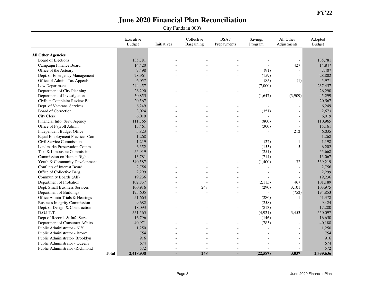|                                       | Executive<br><b>Budget</b> | Initiatives | Collective<br>Bargaining | BSA/<br>Prepayments | Savings<br>Program | All Other<br>Adjustments | Adopted<br><b>Budget</b> |
|---------------------------------------|----------------------------|-------------|--------------------------|---------------------|--------------------|--------------------------|--------------------------|
|                                       |                            |             |                          |                     |                    |                          |                          |
| <b>All Other Agencies</b>             |                            |             |                          |                     |                    |                          |                          |
| Board of Elections                    | 135,781                    |             |                          |                     |                    | $\overline{\phantom{0}}$ | 135,781                  |
| Campaign Finance Board                | 14,420                     |             |                          |                     |                    | 427                      | 14,847                   |
| Office of the Actuary                 | 7,498                      |             |                          |                     | (91)               | $\overline{a}$           | 7,407                    |
| Dept. of Emergency Management         | 28,961                     |             |                          |                     | (159)              | $\overline{a}$           | 28,802                   |
| Office of Admin. Tax Appeals          | 6,057                      |             |                          |                     | (85)               | (1)                      | 5,971                    |
| Law Department                        | 244,457                    |             |                          |                     | (7,000)            | $\overline{\phantom{a}}$ | 237,457                  |
| Department of City Planning           | 26,290                     |             |                          |                     |                    | $\overline{a}$           | 26,290                   |
| Department of Investigation           | 50,855                     |             |                          |                     | (1,647)            | (3,909)                  | 45,299                   |
| Civilian Complaint Review Bd.         | 20,567                     |             |                          |                     |                    |                          | 20,567                   |
| Dept. of Veterans' Services           | 6,249                      |             |                          |                     |                    | $\overline{a}$           | 6,249                    |
| Board of Correction                   | 3,024                      |             |                          |                     | (351)              | $\overline{a}$           | 2,673                    |
| City Clerk                            | 6,019                      |             |                          |                     |                    | $\overline{a}$           | 6,019                    |
| Financial Info. Serv. Agency          | 111,765                    |             |                          | $\overline{a}$      | (800)              | $\overline{\phantom{a}}$ | 110,965                  |
| Office of Payroll Admin.              | 15,461                     |             |                          |                     | (300)              | $\overline{\phantom{a}}$ | 15,161                   |
| Independent Budget Office             | 5,823                      |             |                          |                     |                    | 212                      | 6,035                    |
| <b>Equal Employment Practices Com</b> | 1,268                      |             |                          |                     | $\overline{a}$     | $\overline{a}$           | 1,268                    |
| Civil Service Commission              | 1,219                      |             |                          |                     | (22)               | 1                        | 1,198                    |
| Landmarks Preservation Comm.          | 6,352                      |             |                          |                     | (155)              | $\mathfrak s$            | 6,202                    |
| Taxi & Limousine Commission           | 55,919                     |             |                          |                     | (251)              | $\overline{\phantom{a}}$ | 55,668                   |
| Commission on Human Rights            | 13,781                     |             |                          |                     | (714)              | $\overline{\phantom{a}}$ | 13,067                   |
| Youth & Community Development         | 540,587                    |             |                          |                     | (1,400)            | 32                       | 539,219                  |
| Conflicts of Interest Board           | 2,756                      |             |                          |                     |                    | $\overline{\phantom{a}}$ | 2,756                    |
| Office of Collective Barg.            | 2,299                      |             |                          |                     |                    | $\overline{a}$           | 2,299                    |
| Community Boards (All)                | 19,236                     |             |                          |                     |                    | $\overline{a}$           | 19,236                   |
| Department of Probation               | 102,837                    |             |                          |                     | (2,115)            | 467                      | 101,189                  |
| Dept. Small Business Services         | 100,916                    |             | 248                      |                     | (290)              | 3,101                    | 103,975                  |
| Department of Buildings               | 195,605                    |             |                          |                     |                    | (752)                    | 194,853                  |
| Office Admin Trials & Hearings        | 51,663                     |             |                          |                     | (286)              | $\mathbf{1}$             | 51,378                   |
| <b>Business Integrity Commission</b>  | 9,682                      |             |                          |                     | (258)              | $\overline{a}$           | 9,424                    |
| Dept. of Design & Construction        | 18,093                     |             |                          |                     | (813)              | $\overline{a}$           | 17,280                   |
| D.O.I.T.T.                            | 551,565                    |             |                          | $\overline{a}$      | (4,921)            | 3,453                    | 550,097                  |
| Dept of Records & Info Serv.          | 16,796                     |             |                          |                     | (146)              | $\overline{a}$           | 16,650                   |
| Department of Consumer Affairs        | 40,971                     |             |                          |                     | (783)              | $\overline{a}$           | 40,188                   |
| Public Administrator - N.Y.           | 1,250                      |             |                          |                     |                    | $\overline{a}$           | 1,250                    |
| Public Administrator - Bronx          | 754                        |             |                          |                     |                    | $\overline{\phantom{a}}$ | 754                      |
| Public Administrator- Brooklyn        | 916                        |             |                          |                     |                    | $\overline{a}$           | 916                      |
| Public Administrator - Queens         | 674                        |             |                          |                     |                    | $\overline{a}$           | 674                      |
| Public Administrator - Richmond       | 572                        |             |                          |                     |                    |                          | 572                      |
| <b>Total</b>                          | 2,418,938                  |             | 248                      |                     | (22, 587)          | 3,037                    | 2,399,636                |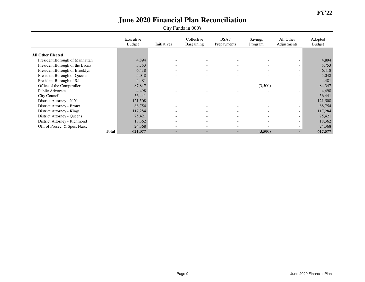|                                 | Executive<br><b>Budget</b> | Initiatives              | Collective<br>Bargaining | BSA/<br>Prepayments      | Savings<br>Program       | All Other<br>Adjustments | Adopted<br><b>Budget</b> |
|---------------------------------|----------------------------|--------------------------|--------------------------|--------------------------|--------------------------|--------------------------|--------------------------|
|                                 |                            |                          |                          |                          |                          |                          |                          |
| <b>All Other Elected</b>        |                            |                          |                          |                          |                          |                          |                          |
| President, Borough of Manhattan | 4,894                      | $\overline{\phantom{0}}$ | $\overline{\phantom{0}}$ | $\overline{\phantom{0}}$ |                          | $\overline{\phantom{0}}$ | 4,894                    |
| President, Borough of the Bronx | 5,753                      | $\overline{\phantom{0}}$ | $\overline{\phantom{a}}$ | $\overline{\phantom{a}}$ |                          | $\overline{\phantom{0}}$ | 5,753                    |
| President, Borough of Brooklyn  | 6,418                      |                          | $\overline{\phantom{0}}$ | $\overline{\phantom{0}}$ |                          | $\overline{\phantom{0}}$ | 6,418                    |
| President, Borough of Queens    | 5,048                      |                          | $\overline{\phantom{0}}$ | $\overline{\phantom{0}}$ |                          | $\overline{\phantom{0}}$ | 5,048                    |
| President, Borough of S.I.      | 4,481                      | $\overline{\phantom{a}}$ | $\overline{\phantom{a}}$ | $\overline{\phantom{a}}$ |                          | $\overline{\phantom{0}}$ | 4,481                    |
| Office of the Comptroller       | 87,847                     | $\overline{\phantom{0}}$ | $\overline{\phantom{a}}$ | $\overline{\phantom{a}}$ | (3,500)                  | $\overline{\phantom{0}}$ | 84,347                   |
| Public Advocate                 | 4,498                      | $\overline{\phantom{0}}$ | $\overline{\phantom{a}}$ | $\overline{\phantom{a}}$ |                          | $\overline{\phantom{0}}$ | 4,498                    |
| City Council                    | 56,441                     | $\overline{\phantom{0}}$ | $\overline{\phantom{a}}$ | $\overline{\phantom{a}}$ | $\overline{\phantom{a}}$ | $\overline{\phantom{0}}$ | 56,441                   |
| District Attorney - N.Y.        | 121,508                    | $\overline{\phantom{a}}$ | $\overline{\phantom{a}}$ | $\overline{\phantom{a}}$ |                          | $\overline{\phantom{0}}$ | 121,508                  |
| District Attorney - Bronx       | 88,754                     |                          | $\overline{\phantom{0}}$ | $\overline{\phantom{0}}$ |                          | $\overline{\phantom{a}}$ | 88,754                   |
| District Attorney - Kings       | 117,284                    | $\overline{\phantom{0}}$ | $\overline{\phantom{0}}$ | $\overline{\phantom{a}}$ | $\overline{\phantom{0}}$ | $\overline{\phantom{0}}$ | 117,284                  |
| District Attorney - Queens      | 75,421                     | $\overline{\phantom{0}}$ | $\overline{\phantom{a}}$ | $\overline{\phantom{0}}$ |                          | $\sim$                   | 75,421                   |
| District Attorney - Richmond    | 18,362                     |                          | $\overline{\phantom{a}}$ | $\overline{\phantom{0}}$ |                          | $\overline{\phantom{a}}$ | 18,362                   |
| Off. of Prosec. & Spec. Narc.   | 24,368                     |                          | $\overline{\phantom{0}}$ | $\overline{\phantom{0}}$ |                          | $\overline{\phantom{a}}$ | 24,368                   |
| <b>Total</b>                    | 621,077                    | ۰.                       | $\blacksquare$           | $\blacksquare$           | (3,500)                  | ۰.                       | 617,577                  |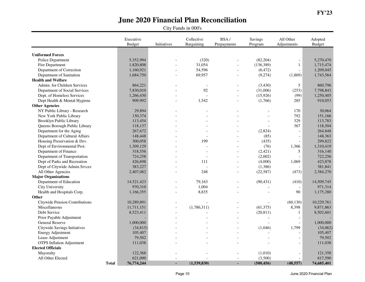|                                  | Executive<br><b>Budget</b> | Initiatives | Collective<br>Bargaining | BSA/<br>Prepayments | Savings<br>Program | All Other<br>Adjustments | Adopted<br><b>Budget</b> |
|----------------------------------|----------------------------|-------------|--------------------------|---------------------|--------------------|--------------------------|--------------------------|
|                                  |                            |             |                          |                     |                    |                          |                          |
| <b>Uniformed Forces</b>          |                            |             |                          |                     |                    |                          |                          |
| Police Department                | 5,352,994                  |             | (320)                    |                     | (82, 204)          | $\blacksquare$           | 5,270,470                |
| Fire Department                  | 1,820,808                  |             | 31,054                   |                     | (136, 389)         | $\mathbf{1}$             | 1,715,474                |
| Department of Correction         | 1,160,921                  |             | 54,596                   | $\overline{a}$      | (6, 472)           | $\overline{a}$           | 1,209,045                |
| Department of Sanitation         | 1,684,750                  |             | 69,957                   |                     | (9,274)            | (1,869)                  | 1,743,564                |
| <b>Health and Welfare</b>        |                            |             |                          |                     |                    |                          |                          |
| Admin. for Children Services     | 864,221                    |             | $\overline{\phantom{a}}$ |                     | (3,430)            | 5                        | 860,796                  |
| Department of Social Services    | 7,830,010                  |             | 92                       |                     | (31,006)           | (253)                    | 7,798,843                |
| Dept. of Homeless Services       | 1,266,430                  |             |                          | $\overline{a}$      | (15, 926)          | (99)                     | 1,250,405                |
| Dept Health & Mental Hygiene     | 909,992                    |             | 1,542                    | $\overline{a}$      | (1,766)            | 285                      | 910,053                  |
| <b>Other Agencies</b>            |                            |             |                          |                     |                    |                          |                          |
| NY Public Library - Research     | 29,894                     |             |                          |                     |                    | 170                      | 30,064                   |
| New York Public Library          | 150,374                    |             |                          |                     |                    | 792                      | 151,166                  |
| Brooklyn Public Library          | 113,454                    |             |                          |                     |                    | 329                      | 113,783                  |
| Queens Borough Public Library    | 118,137                    |             |                          |                     |                    | 367                      | 118,504                  |
| Department for the Aging         | 267,672                    |             | $\overline{a}$           |                     | (2,824)            | $\overline{a}$           | 264,848                  |
| Department of Cultural Affairs   | 148,448                    |             |                          |                     | (85)               | $\overline{\phantom{a}}$ | 148,363                  |
| Housing Preservation & Dev.      | 300,058                    |             | 199                      |                     | (435)              | $\overline{a}$           | 299,822                  |
| Dept of Environmental Prot.      | 1,309,129                  |             |                          |                     | (76)               | 1,366                    | 1,310,419                |
| Department of Finance            | 318,556                    |             | $\overline{a}$           | $\overline{a}$      | (2, 421)           | 5                        | 316,140                  |
| Department of Transportation     | 724,258                    |             |                          | $\overline{a}$      | (2,002)            |                          | 722,256                  |
| Dept of Parks and Recreation     | 426,698                    |             | 111                      |                     | (4,000)            | 1,069                    | 423,878                  |
| Dept of Citywide Admin Srvces    | 383,227                    |             | $\overline{a}$           | $\overline{a}$      | (1,386)            |                          | 381,841                  |
| All Other Agencies               | 2,407,082                  |             | 248                      | $\overline{a}$      | (22, 587)          | (473)                    | 2,384,270                |
| <b>Major Organizations</b>       |                            |             |                          |                     |                    |                          |                          |
| Department of Education          | 14,521,423                 |             | 79,163                   |                     | (90, 431)          | (410)                    | 14,509,745               |
| City University                  | 970,310                    |             | 1,004                    | $\overline{a}$      |                    | $\overline{\phantom{a}}$ | 971,314                  |
| Health and Hospitals Corp.       | 1,166,355                  |             | 8,835                    |                     |                    | 90                       | 1,175,280                |
| Other                            |                            |             |                          |                     |                    |                          |                          |
| Citywide Pension Contributions   | 10,289,891                 |             |                          |                     |                    | (60, 130)                | 10,229,761               |
| Miscellaneous                    | 11,711,151                 |             | (1,786,311)              |                     | (61, 375)          | 8,398                    | 9,871,863                |
| Debt Service                     | 8,523,411                  |             |                          | $\overline{a}$      | (20, 811)          | $\mathbf{1}$             | 8,502,601                |
| Prior Payable Adjustment         |                            |             |                          |                     |                    | $\sim$                   |                          |
| General Reserve                  | 1,000,000                  |             |                          |                     |                    | $\overline{a}$           | 1,000,000                |
| Citywide Savings Initiatives     | (34, 815)                  |             |                          |                     | (1,046)            | 1,799                    | (34,062)                 |
| <b>Energy Adjustment</b>         | 105,407                    |             |                          |                     |                    | $\overline{a}$           | 105,407                  |
| Lease Adjustment                 | 79,502                     |             |                          |                     |                    | $\overline{a}$           | 79,502                   |
| <b>OTPS</b> Inflation Adjustment | 111,038                    |             |                          |                     |                    | $\overline{a}$           | 111,038                  |
| <b>Elected Officials</b>         |                            |             |                          |                     |                    |                          |                          |
| Mayoralty                        | 122,368                    |             |                          |                     | (1,010)            | $\overline{\phantom{a}}$ | 121,358                  |
| All Other Elected                | 621,090                    |             |                          | $\overline{a}$      | (3,500)            |                          | 617,590                  |
| <b>Total</b>                     | 76,774,244                 | ×.          | (1,539,830)              | $\blacksquare$      | (500, 456)         | (48, 557)                | 74,685,401               |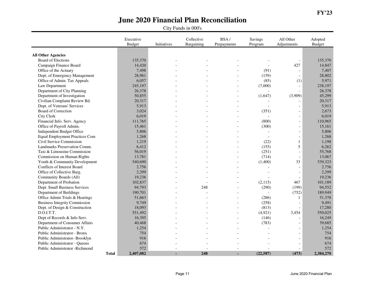|                                       | Executive<br><b>Budget</b> | Initiatives | Collective<br>Bargaining | BSA/<br>Prepayments | Savings<br>Program | All Other<br>Adjustments | Adopted<br><b>Budget</b> |
|---------------------------------------|----------------------------|-------------|--------------------------|---------------------|--------------------|--------------------------|--------------------------|
|                                       |                            |             |                          |                     |                    |                          |                          |
| <b>All Other Agencies</b>             |                            |             |                          |                     |                    |                          |                          |
| Board of Elections                    | 135,370                    |             |                          |                     |                    | $\overline{\phantom{a}}$ | 135,370                  |
| Campaign Finance Board                | 14,420                     |             |                          |                     |                    | 427                      | 14,847                   |
| Office of the Actuary                 | 7,498                      |             |                          |                     | (91)               | $\sim$                   | 7,407                    |
| Dept. of Emergency Management         | 28,961                     |             |                          |                     | (159)              |                          | 28,802                   |
| Office of Admin. Tax Appeals          | 6,057                      |             |                          |                     | (85)               | (1)                      | 5,971                    |
| Law Department                        | 245,197                    |             |                          |                     | (7,000)            | $\overline{\phantom{a}}$ | 238,197                  |
| Department of City Planning           | 26,378                     |             |                          |                     |                    | $\blacksquare$           | 26,378                   |
| Department of Investigation           | 50,855                     |             |                          |                     | (1,647)            | (3,909)                  | 45,299                   |
| Civilian Complaint Review Bd.         | 20,317                     |             |                          |                     |                    |                          | 20,317                   |
| Dept. of Veterans' Services           | 5,913                      |             |                          |                     |                    | $\overline{\phantom{a}}$ | 5,913                    |
| Board of Correction                   | 3,024                      |             |                          |                     | (351)              | $\overline{\phantom{a}}$ | 2,673                    |
| <b>City Clerk</b>                     | 6,019                      |             |                          |                     |                    | $\sim$                   | 6,019                    |
| Financial Info. Serv. Agency          | 111,765                    |             |                          |                     | (800)              | $\overline{\phantom{a}}$ | 110,965                  |
| Office of Payroll Admin.              | 15,461                     |             |                          |                     | (300)              | $\blacksquare$           | 15,161                   |
| Independent Budget Office             | 5,806                      |             |                          |                     |                    | $\sim$                   | 5,806                    |
| <b>Equal Employment Practices Com</b> | 1,268                      |             |                          |                     | $\overline{a}$     | $\blacksquare$           | 1,268                    |
| Civil Service Commission              | 1,219                      |             |                          |                     | (22)               | $\mathbf{1}$             | 1,198                    |
| Landmarks Preservation Comm.          | 6,412                      |             |                          |                     | (155)              | 5                        | 6,262                    |
| Taxi & Limousine Commission           | 56,019                     |             |                          |                     | (251)              | $\mathbf{r}$             | 55,768                   |
| Commission on Human Rights            | 13,781                     |             |                          |                     | (714)              | $\blacksquare$           | 13,067                   |
| Youth & Community Development         | 540,690                    |             |                          |                     | (1,400)            | 33                       | 539,323                  |
| Conflicts of Interest Board           | 2,756                      |             |                          |                     |                    | $\sim$                   | 2,756                    |
| Office of Collective Barg.            | 2,299                      |             |                          |                     | L,                 | $\sim$                   | 2,299                    |
| Community Boards (All)                | 19,236                     |             |                          |                     |                    | $\overline{\phantom{a}}$ | 19,236                   |
| Department of Probation               | 102,837                    |             |                          |                     | (2,115)            | 467                      | 101,189                  |
| Dept. Small Business Services         | 94,793                     |             | 248                      |                     | (290)              | (199)                    | 94,552                   |
| Department of Buildings               | 190,701                    |             |                          |                     |                    | (752)                    | 189,949                  |
| Office Admin Trials & Hearings        | 51,663                     |             |                          |                     | (286)              | 1                        | 51,378                   |
| <b>Business Integrity Commission</b>  | 9,749                      |             |                          |                     | (258)              | $\overline{\phantom{a}}$ | 9,491                    |
| Dept. of Design & Construction        | 18,093                     |             |                          |                     | (813)              | $\overline{a}$           | 17,280                   |
| D.O.I.T.T.                            | 551,492                    |             |                          |                     | (4,921)            | 3,454                    | 550,025                  |
| Dept of Records & Info Serv.          | 16,395                     |             |                          |                     | (146)              | $\overline{\phantom{a}}$ | 16,249                   |
| Department of Consumer Affairs        | 40,468                     |             |                          |                     | (783)              | $\overline{a}$           | 39,685                   |
| Public Administrator - N.Y.           | 1,254                      |             |                          |                     | $\overline{a}$     | $\overline{\phantom{a}}$ | 1,254                    |
| Public Administrator - Bronx          | 754                        |             |                          |                     |                    |                          | 754                      |
| Public Administrator- Brooklyn        | 916                        |             |                          |                     |                    |                          | 916                      |
| Public Administrator - Queens         | 674                        |             |                          |                     |                    |                          | 674                      |
| Public Administrator - Richmond       | 572                        |             |                          |                     |                    |                          | 572                      |
| <b>Total</b>                          | 2,407,082                  |             | 248                      |                     | (22, 587)          | (473)                    | 2,384,270                |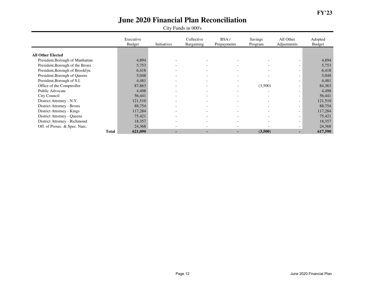|                                 | Executive<br><b>Budget</b> | Initiatives              | Collective<br>Bargaining | BSA/<br>Prepayments      | Savings<br>Program       | All Other<br>Adjustments | Adopted<br><b>Budget</b> |
|---------------------------------|----------------------------|--------------------------|--------------------------|--------------------------|--------------------------|--------------------------|--------------------------|
|                                 |                            |                          |                          |                          |                          |                          |                          |
| <b>All Other Elected</b>        |                            |                          |                          |                          |                          |                          |                          |
| President, Borough of Manhattan | 4,894                      |                          | $\overline{\phantom{a}}$ | $\overline{\phantom{a}}$ |                          | $\overline{\phantom{0}}$ | 4,894                    |
| President, Borough of the Bronx | 5,753                      | $\overline{\phantom{0}}$ | $\overline{\phantom{0}}$ | $\overline{\phantom{a}}$ | $\overline{\phantom{0}}$ | $\overline{\phantom{0}}$ | 5,753                    |
| President, Borough of Brooklyn  | 6,418                      | $\overline{\phantom{0}}$ | $\overline{\phantom{a}}$ | $\overline{\phantom{0}}$ | $\overline{\phantom{0}}$ | $\overline{\phantom{0}}$ | 6,418                    |
| President, Borough of Queens    | 5,048                      | $\overline{\phantom{0}}$ | $\overline{\phantom{a}}$ | $\overline{\phantom{0}}$ | $\overline{\phantom{0}}$ | $\overline{\phantom{0}}$ | 5,048                    |
| President, Borough of S.I.      | 4,481                      |                          | $\overline{\phantom{a}}$ | $\overline{\phantom{0}}$ |                          | $\overline{\phantom{a}}$ | 4,481                    |
| Office of the Comptroller       | 87,863                     | $\overline{\phantom{0}}$ | $\overline{\phantom{a}}$ | $\overline{\phantom{a}}$ | (3,500)                  | $\overline{\phantom{0}}$ | 84,363                   |
| Public Advocate                 | 4,498                      | $\overline{\phantom{0}}$ | $\overline{\phantom{0}}$ | $\overline{\phantom{0}}$ | $\overline{\phantom{a}}$ | $\overline{\phantom{0}}$ | 4,498                    |
| City Council                    | 56,441                     | $\overline{\phantom{0}}$ | $\overline{\phantom{a}}$ | $\overline{\phantom{a}}$ | $\overline{\phantom{0}}$ | $\overline{\phantom{a}}$ | 56,441                   |
| District Attorney - N.Y.        | 121,510                    |                          | $\overline{\phantom{a}}$ | $\overline{\phantom{0}}$ |                          | $\overline{\phantom{0}}$ | 121,510                  |
| District Attorney - Bronx       | 88,754                     |                          | $\overline{\phantom{a}}$ | $\overline{\phantom{a}}$ |                          | $\overline{\phantom{0}}$ | 88,754                   |
| District Attorney - Kings       | 117,284                    | $\overline{\phantom{0}}$ | $\overline{\phantom{a}}$ | $\overline{\phantom{a}}$ | $\overline{\phantom{0}}$ | $\overline{\phantom{0}}$ | 117,284                  |
| District Attorney - Queens      | 75,421                     |                          | $\overline{\phantom{a}}$ | $\overline{\phantom{0}}$ |                          | $\overline{\phantom{0}}$ | 75,421                   |
| District Attorney - Richmond    | 18,357                     |                          | $\overline{\phantom{0}}$ | $\overline{\phantom{0}}$ |                          | $\overline{\phantom{a}}$ | 18,357                   |
| Off. of Prosec. & Spec. Narc.   | 24,368                     |                          | $\overline{\phantom{0}}$ | $\overline{\phantom{0}}$ |                          | $\overline{\phantom{0}}$ | 24,368                   |
| <b>Total</b>                    | 621,090                    | ۰.                       | $\blacksquare$           | $\blacksquare$           | (3,500)                  | ۰.                       | 617,590                  |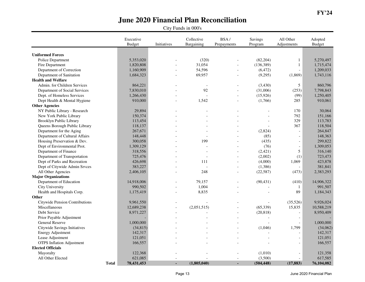|                                  | Executive<br><b>Budget</b> | Initiatives | Collective<br>Bargaining | BSA/<br>Prepayments | Savings<br>Program | All Other<br>Adjustments | Adopted<br><b>Budget</b> |
|----------------------------------|----------------------------|-------------|--------------------------|---------------------|--------------------|--------------------------|--------------------------|
|                                  |                            |             |                          |                     |                    |                          |                          |
| <b>Uniformed Forces</b>          |                            |             |                          |                     |                    |                          |                          |
| Police Department                | 5,353,020                  |             | (320)                    |                     | (82, 204)          | $\mathbf{1}$             | 5,270,497                |
| Fire Department                  | 1,820,808                  |             | 31,054                   |                     | (136, 389)         | $\mathbf{1}$             | 1,715,474                |
| Department of Correction         | 1,160,909                  |             | 54,596                   | $\overline{a}$      | (6, 472)           | $\overline{a}$           | 1,209,033                |
| Department of Sanitation         | 1,684,323                  |             | 69,957                   |                     | (9,295)            | (1,869)                  | 1,743,116                |
| <b>Health and Welfare</b>        |                            |             |                          |                     |                    |                          |                          |
| Admin. for Children Services     | 864,221                    |             | $\overline{\phantom{a}}$ |                     | (3,430)            | 5                        | 860,796                  |
| Department of Social Services    | 7,830,010                  |             | 92                       |                     | (31,006)           | (253)                    | 7,798,843                |
| Dept. of Homeless Services       | 1,266,430                  |             |                          | $\overline{a}$      | (15, 926)          | (99)                     | 1,250,405                |
| Dept Health & Mental Hygiene     | 910,000                    |             | 1,542                    | $\overline{a}$      | (1,766)            | 285                      | 910,061                  |
| <b>Other Agencies</b>            |                            |             |                          |                     |                    |                          |                          |
| NY Public Library - Research     | 29,894                     |             |                          |                     |                    | 170                      | 30,064                   |
| New York Public Library          | 150,374                    |             |                          |                     |                    | 792                      | 151,166                  |
| Brooklyn Public Library          | 113,454                    |             |                          |                     |                    | 329                      | 113,783                  |
| Queens Borough Public Library    | 118,137                    |             |                          |                     |                    | 367                      | 118,504                  |
| Department for the Aging         | 267,671                    |             | $\overline{a}$           |                     | (2,824)            | $\overline{a}$           | 264,847                  |
| Department of Cultural Affairs   | 148,448                    |             |                          |                     | (85)               | $\overline{a}$           | 148,363                  |
| Housing Preservation & Dev.      | 300,058                    |             | 199                      |                     | (435)              | $\overline{a}$           | 299,822                  |
| Dept of Environmental Prot.      | 1,309,129                  |             |                          |                     | (76)               | $\overline{\phantom{a}}$ | 1,309,053                |
| Department of Finance            | 318,556                    |             | $\overline{a}$           | $\overline{a}$      | (2, 421)           | 5                        | 316,140                  |
| Department of Transportation     | 725,476                    |             |                          | $\overline{a}$      | (2,002)            | (1)                      | 723,473                  |
| Dept of Parks and Recreation     | 426,698                    |             | 111                      |                     | (4,000)            | 1,069                    | 423,878                  |
| Dept of Citywide Admin Srvces    | 383,227                    |             | $\overline{a}$           | $\overline{a}$      | (1,386)            | $\overline{a}$           | 381,841                  |
| All Other Agencies               | 2,406,105                  |             | 248                      | $\overline{a}$      | (22, 587)          | (473)                    | 2,383,293                |
| <b>Major Organizations</b>       |                            |             |                          |                     |                    |                          |                          |
| Department of Education          | 14,918,006                 |             | 79,157                   |                     | (90, 431)          | (410)                    | 14,906,322               |
| City University                  | 990,502                    |             | 1,004                    | $\overline{a}$      |                    | $\mathbf{1}$             | 991,507                  |
| Health and Hospitals Corp.       | 1,175,419                  |             | 8,835                    |                     |                    | 89                       | 1,184,343                |
| Other                            |                            |             |                          |                     |                    |                          |                          |
| Citywide Pension Contributions   | 9,961,550                  |             |                          |                     |                    | (35,526)                 | 9,926,024                |
| Miscellaneous                    | 12,689,238                 |             | (2,051,515)              |                     | (65, 339)          | 15,835                   | 10,588,219               |
| Debt Service                     | 8,971,227                  |             |                          | $\overline{a}$      | (20, 818)          | $\overline{a}$           | 8,950,409                |
| Prior Payable Adjustment         |                            |             |                          |                     |                    | $\sim$                   |                          |
| General Reserve                  | 1,000,000                  |             |                          |                     |                    | $\overline{a}$           | 1,000,000                |
| Citywide Savings Initiatives     | (34, 815)                  |             |                          |                     | (1,046)            | 1,799                    | (34,062)                 |
| <b>Energy Adjustment</b>         | 142,317                    |             |                          |                     |                    | $\overline{a}$           | 142,317                  |
| Lease Adjustment                 | 121,051                    |             |                          |                     |                    | $\overline{a}$           | 121,051                  |
| <b>OTPS</b> Inflation Adjustment | 166,557                    |             |                          |                     |                    | $\overline{a}$           | 166,557                  |
| <b>Elected Officials</b>         |                            |             |                          |                     |                    |                          |                          |
| Mayoralty                        | 122,368                    |             |                          |                     | (1,010)            | $\overline{\phantom{a}}$ | 121,358                  |
| All Other Elected                | 621,085                    |             |                          | $\overline{a}$      | (3,500)            | $\mathcal{L}$            | 617,585                  |
| <b>Total</b>                     | 78,431,453                 |             | (1,805,040)              | $\blacksquare$      | (504, 448)         | (17, 883)                | 76,104,082               |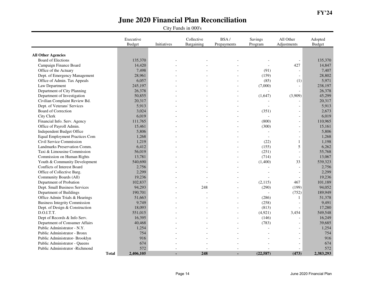|                                       | Executive<br><b>Budget</b> | Initiatives | Collective<br>Bargaining | BSA/<br>Prepayments | Savings<br>Program | All Other<br>Adjustments | Adopted<br><b>Budget</b> |
|---------------------------------------|----------------------------|-------------|--------------------------|---------------------|--------------------|--------------------------|--------------------------|
|                                       |                            |             |                          |                     |                    |                          |                          |
| <b>All Other Agencies</b>             |                            |             |                          |                     |                    |                          |                          |
| <b>Board of Elections</b>             | 135,370                    |             |                          |                     |                    | $\sim$                   | 135,370                  |
| Campaign Finance Board                | 14,420                     |             |                          |                     |                    | 427                      | 14,847                   |
| Office of the Actuary                 | 7,498                      |             |                          |                     | (91)               | $\sim$                   | 7,407                    |
| Dept. of Emergency Management         | 28,961                     |             |                          |                     | (159)              | $\sim$                   | 28,802                   |
| Office of Admin. Tax Appeals          | 6,057                      |             |                          |                     | (85)               | (1)                      | 5,971                    |
| Law Department                        | 245,197                    |             |                          |                     | (7,000)            |                          | 238,197                  |
| Department of City Planning           | 26,378                     |             |                          |                     |                    | $\overline{a}$           | 26,378                   |
| Department of Investigation           | 50,855                     |             |                          |                     | (1,647)            | (3,909)                  | 45,299                   |
| Civilian Complaint Review Bd.         | 20,317                     |             |                          |                     |                    |                          | 20,317                   |
| Dept. of Veterans' Services           | 5,913                      |             |                          |                     |                    |                          | 5,913                    |
| Board of Correction                   | 3,024                      |             |                          |                     | (351)              | $\overline{\phantom{a}}$ | 2,673                    |
| City Clerk                            | 6,019                      |             |                          |                     |                    | $\blacksquare$           | 6,019                    |
| Financial Info. Serv. Agency          | 111,765                    |             |                          |                     | (800)              | $\overline{\phantom{a}}$ | 110,965                  |
| Office of Payroll Admin.              | 15,461                     |             |                          |                     | (300)              | $\sim$                   | 15,161                   |
| Independent Budget Office             | 5,806                      |             |                          |                     |                    | $\blacksquare$           | 5,806                    |
| <b>Equal Employment Practices Com</b> | 1,268                      |             |                          |                     |                    | $\blacksquare$           | 1,268                    |
| Civil Service Commission              | 1,219                      |             |                          |                     | (22)               | $\mathbf{1}$             | 1,198                    |
| Landmarks Preservation Comm.          | 6,412                      |             |                          |                     | (155)              | 5                        | 6,262                    |
| Taxi & Limousine Commission           | 56,019                     |             |                          |                     | (251)              | $\overline{\phantom{a}}$ | 55,768                   |
| Commission on Human Rights            | 13,781                     |             |                          |                     | (714)              | $\overline{\phantom{a}}$ | 13,067                   |
| Youth & Community Development         | 540,690                    |             |                          |                     | (1,400)            | 33                       | 539,323                  |
| Conflicts of Interest Board           | 2,756                      |             |                          |                     |                    |                          | 2,756                    |
| Office of Collective Barg.            | 2,299                      |             |                          |                     |                    | $\overline{\phantom{a}}$ | 2,299                    |
| Community Boards (All)                | 19,236                     |             |                          |                     |                    | $\blacksquare$           | 19,236                   |
| Department of Probation               | 102,837                    |             |                          |                     | (2,115)            | 467                      | 101,189                  |
| Dept. Small Business Services         | 94,293                     |             | 248                      |                     | (290)              | (199)                    | 94,052                   |
| Department of Buildings               | 190,701                    |             |                          |                     |                    | (752)                    | 189,949                  |
| Office Admin Trials & Hearings        | 51,663                     |             |                          |                     | (286)              | $\mathbf{1}$             | 51,378                   |
| <b>Business Integrity Commission</b>  | 9,749                      |             |                          |                     | (258)              |                          | 9,491                    |
| Dept. of Design & Construction        | 18,093                     |             |                          |                     | (813)              |                          | 17,280                   |
| D.O.I.T.T.                            | 551,015                    |             |                          |                     | (4,921)            | 3,454                    | 549,548                  |
| Dept of Records & Info Serv.          | 16,395                     |             |                          |                     | (146)              | $\sim$                   | 16,249                   |
| Department of Consumer Affairs        | 40,468                     |             |                          |                     | (783)              | $\overline{a}$           | 39,685                   |
| Public Administrator - N.Y.           | 1,254                      |             |                          |                     |                    |                          | 1,254                    |
| Public Administrator - Bronx          | 754                        |             |                          |                     |                    |                          | 754                      |
| Public Administrator- Brooklyn        | 916                        |             |                          |                     |                    |                          | 916                      |
| Public Administrator - Queens         | 674                        |             |                          |                     |                    | $\overline{\phantom{a}}$ | 674                      |
| Public Administrator -Richmond        | 572                        |             |                          |                     |                    |                          | 572                      |
|                                       | 2,406,105<br><b>Total</b>  |             | 248                      |                     | (22, 587)          | (473)                    | 2,383,293                |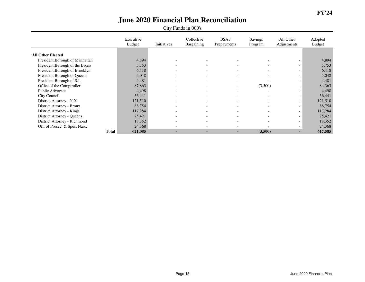|                                 | Executive<br><b>Budget</b> | Initiatives              | Collective<br>Bargaining | BSA/<br>Prepayments      | <b>Savings</b><br>Program | All Other<br>Adjustments | Adopted<br><b>Budget</b> |
|---------------------------------|----------------------------|--------------------------|--------------------------|--------------------------|---------------------------|--------------------------|--------------------------|
|                                 |                            |                          |                          |                          |                           |                          |                          |
| <b>All Other Elected</b>        |                            |                          |                          |                          |                           |                          |                          |
| President, Borough of Manhattan | 4,894                      |                          | $\overline{\phantom{0}}$ | $\overline{\phantom{0}}$ |                           | $\overline{\phantom{0}}$ | 4,894                    |
| President, Borough of the Bronx | 5,753                      |                          | $\overline{\phantom{a}}$ | $\overline{\phantom{a}}$ |                           | $\overline{\phantom{0}}$ | 5,753                    |
| President, Borough of Brooklyn  | 6,418                      |                          | $\overline{\phantom{0}}$ | $\overline{\phantom{0}}$ |                           | $\overline{\phantom{a}}$ | 6,418                    |
| President, Borough of Queens    | 5,048                      |                          | $\overline{\phantom{0}}$ | $\overline{\phantom{0}}$ |                           | $\overline{\phantom{0}}$ | 5,048                    |
| President, Borough of S.I.      | 4,481                      | $\overline{\phantom{0}}$ | $\overline{\phantom{a}}$ | $\overline{\phantom{a}}$ |                           | $\overline{\phantom{0}}$ | 4,481                    |
| Office of the Comptroller       | 87,863                     | $\overline{\phantom{0}}$ | $\overline{\phantom{a}}$ | $\overline{\phantom{a}}$ | (3,500)                   | $\overline{\phantom{0}}$ | 84,363                   |
| Public Advocate                 | 4,498                      | $\overline{\phantom{0}}$ | $\overline{\phantom{0}}$ | $\overline{\phantom{0}}$ | $\overline{\phantom{a}}$  | $\overline{\phantom{a}}$ | 4,498                    |
| City Council                    | 56,441                     | $\overline{\phantom{0}}$ | $\overline{\phantom{a}}$ | $\overline{\phantom{a}}$ | $\sim$                    | $\overline{\phantom{0}}$ | 56,441                   |
| District Attorney - N.Y.        | 121,510                    |                          | $\overline{\phantom{a}}$ | $\overline{\phantom{a}}$ |                           | $\overline{\phantom{0}}$ | 121,510                  |
| District Attorney - Bronx       | 88,754                     |                          | $\overline{\phantom{a}}$ | $\overline{\phantom{0}}$ |                           | $\overline{\phantom{a}}$ | 88,754                   |
| District Attorney - Kings       | 117,284                    | $\overline{\phantom{0}}$ | $\overline{\phantom{0}}$ | $\overline{\phantom{a}}$ | $\overline{\phantom{0}}$  | $\overline{\phantom{0}}$ | 117,284                  |
| District Attorney - Queens      | 75,421                     |                          | $\overline{\phantom{a}}$ | $\overline{\phantom{0}}$ | $\overline{\phantom{0}}$  | $\overline{\phantom{0}}$ | 75,421                   |
| District Attorney - Richmond    | 18,352                     |                          | $\overline{\phantom{a}}$ | $\overline{\phantom{0}}$ | $\overline{\phantom{a}}$  | $\overline{\phantom{a}}$ | 18,352                   |
| Off. of Prosec. & Spec. Narc.   | 24,368                     |                          | $\overline{\phantom{0}}$ | $\overline{\phantom{0}}$ |                           | $\overline{\phantom{0}}$ | 24,368                   |
| <b>Total</b>                    | 621,085                    | ۰.                       | $\blacksquare$           | $\blacksquare$           | (3,500)                   | ۰.                       | 617,585                  |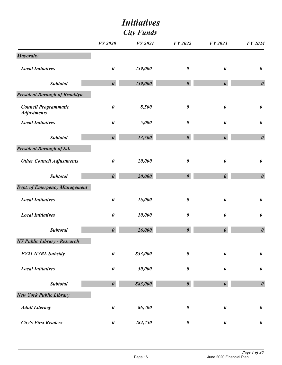|                                                   |                       | <b>City Funds</b> |                       |                       |                       |
|---------------------------------------------------|-----------------------|-------------------|-----------------------|-----------------------|-----------------------|
|                                                   | <b>FY 2020</b>        | <b>FY 2021</b>    | FY 2022               | FY 2023               | FY 2024               |
| <b>Mayoralty</b>                                  |                       |                   |                       |                       |                       |
| <b>Local Initiatives</b>                          | $\boldsymbol{\theta}$ | 259,000           | $\pmb{\theta}$        | $\boldsymbol{\theta}$ | $\boldsymbol{\theta}$ |
| <b>Subtotal</b>                                   | $\boldsymbol{\theta}$ | 259,000           | $\boldsymbol{\theta}$ | $\boldsymbol{\theta}$ | $\boldsymbol{\theta}$ |
| President, Borough of Brooklyn                    |                       |                   |                       |                       |                       |
| <b>Council Programmatic</b><br><b>Adjustments</b> | $\boldsymbol{\theta}$ | 8,500             | $\pmb{\theta}$        | $\boldsymbol{\theta}$ | $\pmb{\theta}$        |
| <b>Local Initiatives</b>                          | 0                     | 5,000             | $\boldsymbol{\theta}$ | 0                     | $\pmb{\theta}$        |
| <b>Subtotal</b>                                   | $\boldsymbol{\theta}$ | 13,500            | $\boldsymbol{\theta}$ | $\boldsymbol{\theta}$ | $\boldsymbol{\theta}$ |
| President, Borough of S.I.                        |                       |                   |                       |                       |                       |
| <b>Other Council Adjustments</b>                  | $\boldsymbol{\theta}$ | 20,000            | $\boldsymbol{\theta}$ | $\boldsymbol{\theta}$ | $\pmb{\theta}$        |
| <b>Subtotal</b>                                   | $\boldsymbol{\theta}$ | 20,000            | $\boldsymbol{\theta}$ | $\boldsymbol{\theta}$ | $\boldsymbol{\theta}$ |
| <b>Dept. of Emergency Management</b>              |                       |                   |                       |                       |                       |
| <b>Local Initiatives</b>                          | $\pmb{\theta}$        | 16,000            | $\boldsymbol{\theta}$ | 0                     | $\pmb{\theta}$        |
| <b>Local Initiatives</b>                          | $\pmb{\theta}$        | 10,000            | $\boldsymbol{\theta}$ | $\boldsymbol{\theta}$ | $\pmb{\theta}$        |
| <b>Subtotal</b>                                   | $\boldsymbol{\theta}$ | 26,000            | $\boldsymbol{\theta}$ | $\boldsymbol{\theta}$ | $\boldsymbol{\theta}$ |
| <b>NY Public Library - Research</b>               |                       |                   |                       |                       |                       |
| <b>FY21 NYRL Subsidy</b>                          | $\boldsymbol{\theta}$ | 833,000           | $\pmb{\theta}$        | $\boldsymbol{\theta}$ | $\pmb{\theta}$        |
| <b>Local Initiatives</b>                          | 0                     | 50,000            | $\boldsymbol{\theta}$ | 0                     | $\pmb{\theta}$        |
| <b>Subtotal</b>                                   | $\boldsymbol{\theta}$ | 883,000           | $\boldsymbol{\theta}$ | $\boldsymbol{\theta}$ | $\boldsymbol{\theta}$ |
| <b>New York Public Library</b>                    |                       |                   |                       |                       |                       |
| <b>Adult Literacy</b>                             | 0                     | 86,700            | $\boldsymbol{\theta}$ | 0                     | $\pmb{\theta}$        |
| <b>City's First Readers</b>                       | $\pmb{\theta}$        | 284,750           | $\boldsymbol{\theta}$ | $\boldsymbol{\theta}$ | $\pmb{\theta}$        |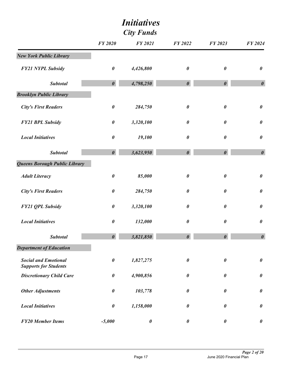| <b>City Funds</b>                                           |                       |                       |                       |                       |                       |
|-------------------------------------------------------------|-----------------------|-----------------------|-----------------------|-----------------------|-----------------------|
|                                                             | <b>FY 2020</b>        | <b>FY 2021</b>        | <b>FY 2022</b>        | <b>FY 2023</b>        | FY 2024               |
| <b>New York Public Library</b>                              |                       |                       |                       |                       |                       |
| <b>FY21 NYPL Subsidy</b>                                    | $\pmb{\theta}$        | 4,426,800             | $\boldsymbol{\theta}$ | $\pmb{\theta}$        | $\pmb{\theta}$        |
| <b>Subtotal</b>                                             | $\boldsymbol{\theta}$ | 4,798,250             | $\boldsymbol{\theta}$ | $\boldsymbol{\theta}$ | $\boldsymbol{\theta}$ |
| <b>Brooklyn Public Library</b>                              |                       |                       |                       |                       |                       |
| <b>City's First Readers</b>                                 | $\pmb{\theta}$        | 284,750               | $\boldsymbol{\theta}$ | $\pmb{\theta}$        | $\pmb{\theta}$        |
| <b>FY21 BPL Subsidy</b>                                     | $\pmb{\theta}$        | 3,320,100             | $\boldsymbol{\theta}$ | $\pmb{\theta}$        | $\pmb{\theta}$        |
| <b>Local Initiatives</b>                                    | $\pmb{\theta}$        | 19,100                | $\boldsymbol{\theta}$ | $\pmb{\theta}$        | $\pmb{\theta}$        |
| <b>Subtotal</b>                                             | $\boldsymbol{\theta}$ | 3,623,950             | $\boldsymbol{\theta}$ | $\boldsymbol{\theta}$ | $\boldsymbol{\theta}$ |
| Queens Borough Public Library                               |                       |                       |                       |                       |                       |
| <b>Adult Literacy</b>                                       | $\pmb{\theta}$        | 85,000                | $\boldsymbol{\theta}$ | $\pmb{\theta}$        | $\pmb{\theta}$        |
| <b>City's First Readers</b>                                 | $\boldsymbol{\theta}$ | 284,750               | $\boldsymbol{\theta}$ | 0                     | $\pmb{\theta}$        |
| <b>FY21 QPL Subsidy</b>                                     | $\pmb{\theta}$        | 3,320,100             | $\boldsymbol{\theta}$ | 0                     | $\pmb{\theta}$        |
| <b>Local Initiatives</b>                                    | 0                     | 132,000               | $\boldsymbol{\theta}$ | $\pmb{\theta}$        | $\pmb{\theta}$        |
| <b>Subtotal</b>                                             | $\boldsymbol{\theta}$ | 3,821,850             | $\boldsymbol{\theta}$ | $\boldsymbol{\theta}$ | $\boldsymbol{\theta}$ |
| <b>Department of Education</b>                              |                       |                       |                       |                       |                       |
| <b>Social and Emotional</b><br><b>Supports for Students</b> | $\pmb{\theta}$        | 1,827,275             | $\boldsymbol{\theta}$ | $\pmb{\theta}$        | $\pmb{\theta}$        |
| <b>Discretionary Child Care</b>                             | $\pmb{\theta}$        | 4,900,856             | $\boldsymbol{\theta}$ | $\pmb{\theta}$        | $\pmb{\theta}$        |
| <b>Other Adjustments</b>                                    | $\pmb{\theta}$        | 103,778               | $\boldsymbol{\theta}$ | $\pmb{\theta}$        | $\pmb{\theta}$        |
| <b>Local Initiatives</b>                                    | $\pmb{\theta}$        | 1,158,000             | $\boldsymbol{\theta}$ | $\pmb{\theta}$        | $\pmb{\theta}$        |
| <b>FY20 Member Items</b>                                    | $-5,000$              | $\boldsymbol{\theta}$ | $\boldsymbol{\theta}$ | $\boldsymbol{\theta}$ | $\pmb{\theta}$        |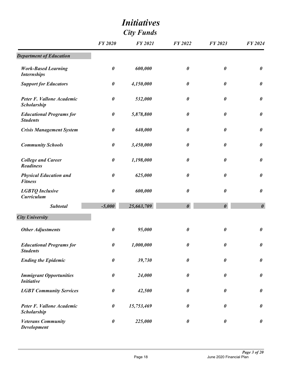| <b>City Funds</b>                                   |                       |                |                       |                       |                       |
|-----------------------------------------------------|-----------------------|----------------|-----------------------|-----------------------|-----------------------|
|                                                     | <b>FY 2020</b>        | <b>FY 2021</b> | <b>FY 2022</b>        | FY 2023               | FY 2024               |
| <b>Department of Education</b>                      |                       |                |                       |                       |                       |
| <b>Work-Based Learning</b><br><b>Internships</b>    | $\pmb{\theta}$        | 600,000        | $\boldsymbol{\theta}$ | $\boldsymbol{\theta}$ | $\pmb{\theta}$        |
| <b>Support for Educators</b>                        | $\pmb{\theta}$        | 4,150,000      | $\boldsymbol{\theta}$ | 0                     | $\boldsymbol{\theta}$ |
| Peter F. Vallone Academic<br><b>Scholarship</b>     | $\pmb{\theta}$        | 532,000        | 0                     | $\pmb{\theta}$        | $\pmb{\theta}$        |
| <b>Educational Programs for</b><br><b>Students</b>  | $\pmb{\theta}$        | 5,878,800      | $\boldsymbol{\theta}$ | 0                     | $\boldsymbol{\theta}$ |
| <b>Crisis Management System</b>                     | $\pmb{\theta}$        | 640,000        | $\boldsymbol{\theta}$ | $\boldsymbol{\theta}$ | $\pmb{\theta}$        |
| <b>Community Schools</b>                            | $\pmb{\theta}$        | 3,450,000      | $\boldsymbol{\theta}$ | $\pmb{\theta}$        | $\pmb{\theta}$        |
| <b>College and Career</b><br><b>Readiness</b>       | $\pmb{\theta}$        | 1,198,000      | $\boldsymbol{\theta}$ | $\pmb{\theta}$        | $\boldsymbol{\theta}$ |
| <b>Physical Education and</b><br><b>Fitness</b>     | 0                     | 625,000        | $\boldsymbol{\theta}$ | 0                     | $\boldsymbol{\theta}$ |
| <b>LGBTQ</b> Inclusive<br><b>Curriculum</b>         | $\boldsymbol{\theta}$ | 600,000        | $\boldsymbol{\theta}$ | $\pmb{\theta}$        | $\pmb{\theta}$        |
| <b>Subtotal</b>                                     | $-5,000$              | 25,663,709     | $\boldsymbol{\theta}$ | $\boldsymbol{\theta}$ | $\boldsymbol{\theta}$ |
| <b>City University</b>                              |                       |                |                       |                       |                       |
| <b>Other Adjustments</b>                            | $\boldsymbol{\theta}$ | 95,000         | 0                     | $\pmb{\theta}$        | 0                     |
| <b>Educational Programs for</b><br><b>Students</b>  | $\boldsymbol{\theta}$ | 1,000,000      | $\boldsymbol{\theta}$ | 0                     | $\pmb{\theta}$        |
| <b>Ending the Epidemic</b>                          | $\boldsymbol{\theta}$ | 39,730         | $\boldsymbol{\theta}$ | 0                     | $\boldsymbol{\theta}$ |
| <b>Immigrant Opportunities</b><br><b>Initiative</b> | $\pmb{\theta}$        | 24,000         | $\pmb{\theta}$        | 0                     | $\boldsymbol{\theta}$ |
| <b>LGBT Community Services</b>                      | 0                     | 42,500         | 0                     | $\boldsymbol{\theta}$ | $\boldsymbol{\theta}$ |
| Peter F. Vallone Academic<br>Scholarship            | $\pmb{\theta}$        | 15,753,469     | $\pmb{\theta}$        | 0                     | $\boldsymbol{\theta}$ |
| <b>Veterans Community</b><br><b>Development</b>     | 0                     | 225,000        | $\boldsymbol{\theta}$ | 0                     | $\boldsymbol{\theta}$ |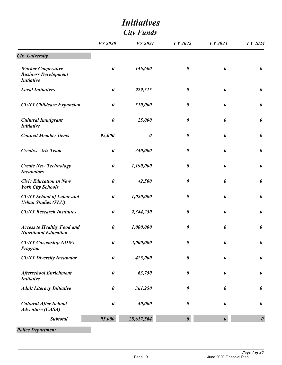|                                                                               |                       | <b>City Funds</b>     |                       |                       |                       |
|-------------------------------------------------------------------------------|-----------------------|-----------------------|-----------------------|-----------------------|-----------------------|
|                                                                               | <b>FY 2020</b>        | <b>FY 2021</b>        | <b>FY 2022</b>        | FY 2023               | <b>FY 2024</b>        |
| <b>City University</b>                                                        |                       |                       |                       |                       |                       |
| <b>Worker Cooperative</b><br><b>Business Development</b><br><b>Initiative</b> | $\boldsymbol{\theta}$ | 146,600               | $\boldsymbol{\theta}$ | $\boldsymbol{\theta}$ | $\boldsymbol{\theta}$ |
| <b>Local Initiatives</b>                                                      | $\boldsymbol{\theta}$ | 929,515               | $\boldsymbol{\theta}$ | $\boldsymbol{\theta}$ | $\boldsymbol{\theta}$ |
| <b>CUNY Childcare Expansion</b>                                               | $\boldsymbol{\theta}$ | 510,000               | 0                     | 0                     | $\boldsymbol{\theta}$ |
| <b>Cultural Immigrant</b><br><b>Initiative</b>                                | $\boldsymbol{\theta}$ | 25,000                | $\boldsymbol{\theta}$ | $\boldsymbol{\theta}$ | $\boldsymbol{\theta}$ |
| <b>Council Member Items</b>                                                   | 95,000                | $\boldsymbol{\theta}$ | $\boldsymbol{\theta}$ | $\boldsymbol{\theta}$ | $\boldsymbol{\theta}$ |
| <b>Creative Arts Team</b>                                                     | $\pmb{\theta}$        | 340,000               | $\pmb{\theta}$        | $\boldsymbol{\theta}$ | $\boldsymbol{\theta}$ |
| <b>Create New Technology</b><br><b>Incubators</b>                             | $\boldsymbol{\theta}$ | 1,190,000             | 0                     | $\boldsymbol{\theta}$ | $\boldsymbol{\theta}$ |
| <b>Civic Education in New</b><br><b>York City Schools</b>                     | $\boldsymbol{\theta}$ | 42,500                | $\boldsymbol{\theta}$ | $\boldsymbol{\theta}$ | $\boldsymbol{\theta}$ |
| <b>CUNY School of Labor and</b><br><b>Urban Studies (SLU)</b>                 | $\pmb{\theta}$        | 1,020,000             | $\boldsymbol{\theta}$ | $\boldsymbol{\theta}$ | $\boldsymbol{\theta}$ |
| <b>CUNY Research Institutes</b>                                               | $\boldsymbol{\theta}$ | 2,344,250             | $\boldsymbol{\theta}$ | $\boldsymbol{\theta}$ | $\boldsymbol{\theta}$ |
| <b>Access to Healthy Food and</b><br><b>Nutritional Education</b>             | $\boldsymbol{\theta}$ | 1,000,000             | 0                     | $\boldsymbol{\theta}$ | $\boldsymbol{\theta}$ |
| <b>CUNY Citizenship NOW!</b><br>Program                                       | $\boldsymbol{\theta}$ | 3,000,000             | $\pmb{\theta}$        | $\boldsymbol{\theta}$ | $\pmb{\theta}$        |
| <b>CUNY Diversity Incubator</b>                                               | $\boldsymbol{\theta}$ | 425,000               | $\boldsymbol{\theta}$ | $\boldsymbol{\theta}$ | $\pmb{\theta}$        |
| <b>Afterschool Enrichment</b><br><b>Initiative</b>                            | $\boldsymbol{\theta}$ | 63,750                | $\boldsymbol{\theta}$ | $\boldsymbol{\theta}$ | $\pmb{\theta}$        |
| <b>Adult Literacy Initiative</b>                                              | $\boldsymbol{\theta}$ | 361,250               | $\boldsymbol{\theta}$ | $\boldsymbol{\theta}$ | $\boldsymbol{\theta}$ |
| <b>Cultural After-School</b><br><b>Adventure (CASA)</b>                       | $\boldsymbol{\theta}$ | 40,000                | $\boldsymbol{\theta}$ | $\boldsymbol{\theta}$ | $\pmb{\theta}$        |
| <b>Subtotal</b>                                                               | 95,000                | 28,617,564            | $\boldsymbol{\theta}$ | $\boldsymbol{\theta}$ | $\boldsymbol{\theta}$ |

*Police Department*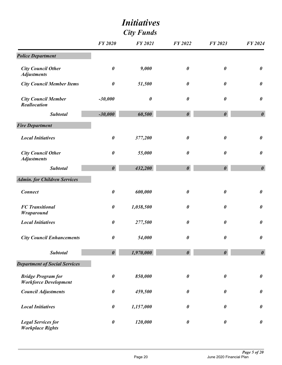|                                                           | <i><b>Initiatives</b></i><br><b>City Funds</b> |                       |                       |                       |                       |
|-----------------------------------------------------------|------------------------------------------------|-----------------------|-----------------------|-----------------------|-----------------------|
|                                                           | <b>FY 2020</b>                                 | <b>FY 2021</b>        | <b>FY 2022</b>        | FY 2023               | FY 2024               |
| <b>Police Department</b>                                  |                                                |                       |                       |                       |                       |
| <b>City Council Other</b><br><b>Adjustments</b>           | $\pmb{\theta}$                                 | 9,000                 | $\boldsymbol{\theta}$ | $\boldsymbol{\theta}$ | $\boldsymbol{\theta}$ |
| <b>City Council Member Items</b>                          | $\pmb{\theta}$                                 | 51,500                | $\boldsymbol{\theta}$ | $\pmb{\theta}$        | $\pmb{\theta}$        |
| <b>City Council Member</b><br><b>Reallocation</b>         | $-30,000$                                      | $\boldsymbol{\theta}$ | $\pmb{\theta}$        | $\boldsymbol{\theta}$ | $\boldsymbol{\theta}$ |
| <b>Subtotal</b>                                           | $-30,000$                                      | 60,500                | $\boldsymbol{\theta}$ | $\boldsymbol{\theta}$ | $\boldsymbol{\theta}$ |
| <b>Fire Department</b>                                    |                                                |                       |                       |                       |                       |
| <b>Local Initiatives</b>                                  | $\pmb{\theta}$                                 | 377,200               | $\pmb{\theta}$        | $\boldsymbol{\theta}$ | $\pmb{\theta}$        |
| <b>City Council Other</b><br><b>Adjustments</b>           | $\pmb{\theta}$                                 | 55,000                | $\boldsymbol{\theta}$ | $\boldsymbol{\theta}$ | $\pmb{\theta}$        |
| <b>Subtotal</b>                                           | $\boldsymbol{\theta}$                          | 432,200               | $\boldsymbol{\theta}$ | $\boldsymbol{\theta}$ | $\boldsymbol{\theta}$ |
| <b>Admin. for Children Services</b>                       |                                                |                       |                       |                       |                       |
| <b>Connect</b>                                            | $\pmb{\theta}$                                 | 600,000               | $\boldsymbol{\theta}$ | $\boldsymbol{\theta}$ | $\pmb{\theta}$        |
| <b>FC</b> Transitional<br>Wraparound                      | $\pmb{\theta}$                                 | 1,038,500             | $\boldsymbol{\theta}$ | $\boldsymbol{\theta}$ | $\pmb{\theta}$        |
| <b>Local Initiatives</b>                                  | $\boldsymbol{\theta}$                          | 277,500               | $\boldsymbol{\theta}$ | $\boldsymbol{\theta}$ | $\pmb{\theta}$        |
| <b>City Council Enhancements</b>                          | $\pmb{\theta}$                                 | 54,000                | $\boldsymbol{\theta}$ | $\boldsymbol{\theta}$ | $\boldsymbol{\theta}$ |
| <b>Subtotal</b>                                           | $\boldsymbol{\theta}$                          | 1,970,000             | $\boldsymbol{\theta}$ | $\boldsymbol{\theta}$ | $\boldsymbol{\theta}$ |
| <b>Department of Social Services</b>                      |                                                |                       |                       |                       |                       |
| <b>Bridge Program for</b><br><b>Workforce Development</b> | $\pmb{\theta}$                                 | 850,000               | $\boldsymbol{\theta}$ | $\boldsymbol{\theta}$ | $\boldsymbol{\theta}$ |
| <b>Council Adjustments</b>                                | $\pmb{\theta}$                                 | 459,500               | $\boldsymbol{\theta}$ | $\boldsymbol{\theta}$ | $\pmb{\theta}$        |
| <b>Local Initiatives</b>                                  | $\pmb{\theta}$                                 | 1,157,000             | $\boldsymbol{\theta}$ | 0                     | $\pmb{\theta}$        |
| <b>Legal Services for</b><br><b>Workplace Rights</b>      | $\pmb{\theta}$                                 | 120,000               | $\boldsymbol{\theta}$ | $\pmb{\theta}$        | $\pmb{\theta}$        |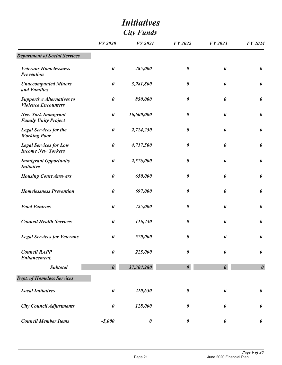|                                                                 |                       | <b>City Funds</b>     |                       |                       |                       |
|-----------------------------------------------------------------|-----------------------|-----------------------|-----------------------|-----------------------|-----------------------|
|                                                                 | <b>FY 2020</b>        | <b>FY 2021</b>        | <b>FY 2022</b>        | FY 2023               | FY 2024               |
| <b>Department of Social Services</b>                            |                       |                       |                       |                       |                       |
| <b>Veterans Homelessness</b><br><b>Prevention</b>               | $\boldsymbol{\theta}$ | 285,000               | $\boldsymbol{\theta}$ | $\boldsymbol{\theta}$ | $\boldsymbol{\theta}$ |
| <b>Unaccompanied Minors</b><br>and Families                     | $\boldsymbol{\theta}$ | 3,981,800             | $\boldsymbol{\theta}$ | $\boldsymbol{\theta}$ | $\boldsymbol{\theta}$ |
| <b>Supportive Alternatives to</b><br><b>Violence Encounters</b> | $\boldsymbol{\theta}$ | 850,000               | $\boldsymbol{\theta}$ | $\boldsymbol{\theta}$ | $\boldsymbol{\theta}$ |
| <b>New York Immigrant</b><br><b>Family Unity Project</b>        | $\boldsymbol{\theta}$ | 16,600,000            | $\boldsymbol{\theta}$ | $\boldsymbol{\theta}$ | $\boldsymbol{\theta}$ |
| <b>Legal Services for the</b><br><b>Working Poor</b>            | $\boldsymbol{\theta}$ | 2,724,250             | $\boldsymbol{\theta}$ | $\boldsymbol{\theta}$ | $\boldsymbol{\theta}$ |
| <b>Legal Services for Low</b><br><b>Income New Yorkers</b>      | $\pmb{\theta}$        | 4,717,500             | $\boldsymbol{\theta}$ | $\boldsymbol{\theta}$ | $\boldsymbol{\theta}$ |
| <b>Immigrant Opportunity</b><br><b>Initiative</b>               | $\boldsymbol{\theta}$ | 2,576,000             | $\boldsymbol{\theta}$ | $\boldsymbol{\theta}$ | $\boldsymbol{\theta}$ |
| <b>Housing Court Answers</b>                                    | $\boldsymbol{\theta}$ | 650,000               | $\boldsymbol{\theta}$ | $\boldsymbol{\theta}$ | $\boldsymbol{\theta}$ |
| <b>Homelessness Prevention</b>                                  | $\boldsymbol{\theta}$ | 697,000               | $\boldsymbol{\theta}$ | $\boldsymbol{\theta}$ | $\boldsymbol{\theta}$ |
| <b>Food Pantries</b>                                            | $\boldsymbol{\theta}$ | 725,000               | $\boldsymbol{\theta}$ | $\boldsymbol{\theta}$ | $\boldsymbol{\theta}$ |
| <b>Council Health Services</b>                                  | $\boldsymbol{\theta}$ | 116,230               | $\boldsymbol{\theta}$ | $\boldsymbol{\theta}$ | $\boldsymbol{\theta}$ |
| <b>Legal Services for Veterans</b>                              | $\pmb{\theta}$        | 570,000               | $\pmb{\theta}$        | $\pmb{\theta}$        | $\pmb{\theta}$        |
| <b>Council RAPP</b><br><b>Enhancement.</b>                      | $\pmb{\theta}$        | 225,000               | $\boldsymbol{\theta}$ | $\boldsymbol{\theta}$ | $\boldsymbol{\theta}$ |
| <b>Subtotal</b>                                                 | $\boldsymbol{\theta}$ | 37,304,280            | $\boldsymbol{\theta}$ | $\boldsymbol{\theta}$ | $\boldsymbol{\theta}$ |
| <b>Dept. of Homeless Services</b>                               |                       |                       |                       |                       |                       |
| <b>Local Initiatives</b>                                        | $\boldsymbol{\theta}$ | 210,650               | $\pmb{\theta}$        | $\boldsymbol{\theta}$ | $\boldsymbol{\theta}$ |
| <b>City Council Adjustments</b>                                 | $\boldsymbol{\theta}$ | 128,000               | $\boldsymbol{\theta}$ | $\boldsymbol{\theta}$ | $\boldsymbol{\theta}$ |
| <b>Council Member Items</b>                                     | $-5,000$              | $\boldsymbol{\theta}$ | $\boldsymbol{\theta}$ | $\boldsymbol{\theta}$ | $\boldsymbol{\theta}$ |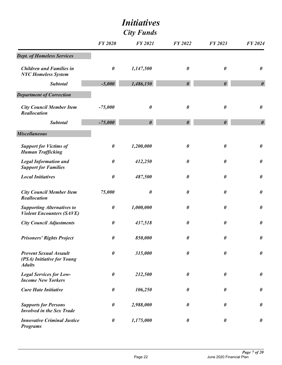| <b>City Funds</b>                                                            |                       |                       |                       |                       |                       |
|------------------------------------------------------------------------------|-----------------------|-----------------------|-----------------------|-----------------------|-----------------------|
|                                                                              | <b>FY 2020</b>        | <b>FY 2021</b>        | <b>FY 2022</b>        | FY 2023               | FY 2024               |
| <b>Dept. of Homeless Services</b>                                            |                       |                       |                       |                       |                       |
| <b>Children and Families in</b><br><b>NYC Homeless System</b>                | 0                     | 1,147,500             | $\boldsymbol{\theta}$ | $\boldsymbol{\theta}$ | $\boldsymbol{\theta}$ |
| <b>Subtotal</b>                                                              | $-5,000$              | 1,486,150             | $\boldsymbol{\theta}$ | $\boldsymbol{\theta}$ | $\boldsymbol{\theta}$ |
| <b>Department of Correction</b>                                              |                       |                       |                       |                       |                       |
| <b>City Council Member Item</b><br>Reallocation                              | $-75,000$             | $\boldsymbol{\theta}$ | $\boldsymbol{\theta}$ | $\boldsymbol{\theta}$ | $\boldsymbol{\theta}$ |
| <b>Subtotal</b>                                                              | $-75,000$             | $\boldsymbol{\theta}$ | $\boldsymbol{\theta}$ | $\boldsymbol{\theta}$ | $\boldsymbol{\theta}$ |
| <b>Miscellaneous</b>                                                         |                       |                       |                       |                       |                       |
| <b>Support for Victims of</b><br><b>Human Trafficking</b>                    | $\boldsymbol{\theta}$ | 1,200,000             | $\boldsymbol{\theta}$ | $\boldsymbol{\theta}$ | $\boldsymbol{\theta}$ |
| <b>Legal Information and</b><br><b>Support for Families</b>                  | $\boldsymbol{\theta}$ | 412,250               | $\boldsymbol{\theta}$ | 0                     | $\boldsymbol{\theta}$ |
| <b>Local Initiatives</b>                                                     | $\boldsymbol{\theta}$ | 487,500               | $\boldsymbol{\theta}$ | $\boldsymbol{\theta}$ | $\boldsymbol{\theta}$ |
| <b>City Council Member Item</b><br><b>Reallocation</b>                       | 75,000                | $\boldsymbol{\theta}$ | 0                     | 0                     | $\boldsymbol{\theta}$ |
| <b>Supporting Alternatives to</b><br><b>Violent Encounters (SAVE)</b>        | $\boldsymbol{\theta}$ | 1,000,000             | 0                     | $\boldsymbol{\theta}$ | $\boldsymbol{\theta}$ |
| <b>City Council Adjustments</b>                                              | $\boldsymbol{\theta}$ | 437,518               | $\boldsymbol{\theta}$ | $\pmb{\theta}$        | $\boldsymbol{\theta}$ |
| <b>Prisoners' Rights Project</b>                                             | 0                     | 850,000               | 0                     | $\boldsymbol{\theta}$ | $\boldsymbol{\theta}$ |
| <b>Prevent Sexual Assault</b><br>(PSA) Initiative for Young<br><b>Adults</b> | 0                     | 315,000               | $\boldsymbol{\theta}$ | $\boldsymbol{\theta}$ | $\boldsymbol{\theta}$ |
| <b>Legal Services for Low-</b><br><b>Income New Yorkers</b>                  | 0                     | 212,500               | $\boldsymbol{\theta}$ | $\boldsymbol{\theta}$ | $\boldsymbol{\theta}$ |
| <b>Cure Hate Initiative</b>                                                  | 0                     | 106,250               | 0                     | $\boldsymbol{\theta}$ | $\boldsymbol{\theta}$ |
| <b>Supports for Persons</b><br><b>Involved in the Sex Trade</b>              | 0                     | 2,988,000             | 0                     | 0                     | $\boldsymbol{\theta}$ |
| <b>Innovative Criminal Justice</b><br><b>Programs</b>                        | 0                     | 1,175,000             | $\boldsymbol{\theta}$ | $\boldsymbol{\theta}$ | $\boldsymbol{\theta}$ |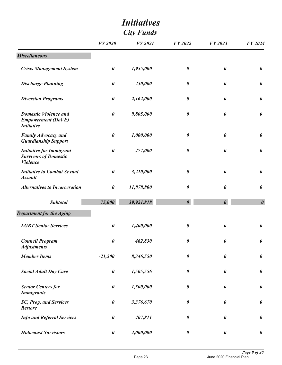|                                                                                    |                | <b>City Funds</b> |                       |                       |                       |
|------------------------------------------------------------------------------------|----------------|-------------------|-----------------------|-----------------------|-----------------------|
|                                                                                    | <b>FY 2020</b> | <b>FY 2021</b>    | <b>FY 2022</b>        | FY 2023               | <b>FY 2024</b>        |
| <b>Miscellaneous</b>                                                               |                |                   |                       |                       |                       |
| <b>Crisis Management System</b>                                                    | $\pmb{\theta}$ | 1,955,000         | $\boldsymbol{\theta}$ | $\boldsymbol{\theta}$ | $\boldsymbol{\theta}$ |
| <b>Discharge Planning</b>                                                          | $\pmb{\theta}$ | 250,000           | $\boldsymbol{\theta}$ | $\boldsymbol{\theta}$ | $\boldsymbol{\theta}$ |
| <b>Diversion Programs</b>                                                          | $\pmb{\theta}$ | 2,162,000         | 0                     | 0                     | $\boldsymbol{\theta}$ |
| <b>Domestic Violence and</b><br><b>Empowerment (DoVE)</b><br><b>Initiative</b>     | $\pmb{\theta}$ | 9,805,000         | $\boldsymbol{\theta}$ | $\pmb{\theta}$        | $\boldsymbol{\theta}$ |
| <b>Family Advocacy and</b><br><b>Guardianship Support</b>                          | $\pmb{\theta}$ | 1,000,000         | $\boldsymbol{\theta}$ | $\boldsymbol{\theta}$ | $\pmb{\theta}$        |
| <b>Initiative for Immigrant</b><br><b>Survivors of Domestic</b><br><b>Violence</b> | $\pmb{\theta}$ | 477,000           | $\boldsymbol{\theta}$ | $\boldsymbol{\theta}$ | $\pmb{\theta}$        |
| <b>Initiative to Combat Sexual</b><br><b>Assault</b>                               | $\pmb{\theta}$ | 3,210,000         | $\boldsymbol{\theta}$ | $\boldsymbol{\theta}$ | $\boldsymbol{\theta}$ |
| <b>Alternatives to Incarceration</b>                                               | $\pmb{\theta}$ | 11,878,800        | 0                     | 0                     | $\boldsymbol{\theta}$ |
| <b>Subtotal</b>                                                                    | 75,000         | 39,921,818        | $\boldsymbol{\theta}$ | $\boldsymbol{\theta}$ | $\boldsymbol{\theta}$ |
| <b>Department for the Aging</b>                                                    |                |                   |                       |                       |                       |
| <b>LGBT Senior Services</b>                                                        | $\pmb{\theta}$ | 1,400,000         | $\boldsymbol{\theta}$ | $\pmb{\theta}$        | $\boldsymbol{\theta}$ |
| <b>Council Program</b><br><b>Adjustments</b>                                       | $\pmb{\theta}$ | 462,830           | $\pmb{\theta}$        | $\pmb{\theta}$        | $\pmb{\theta}$        |
| <b>Member Items</b>                                                                | $-21,500$      | 8,346,550         | $\boldsymbol{\theta}$ | $\boldsymbol{\theta}$ | $\pmb{\theta}$        |
| <b>Social Adult Day Care</b>                                                       | $\pmb{\theta}$ | 1,505,556         | $\boldsymbol{\theta}$ | $\boldsymbol{\theta}$ | $\pmb{\theta}$        |
| <b>Senior Centers for</b><br><b>Immigrants</b>                                     | $\pmb{\theta}$ | 1,500,000         | $\boldsymbol{\theta}$ | $\boldsymbol{\theta}$ | $\pmb{\theta}$        |
| SC, Prog, and Services<br><b>Restore</b>                                           | $\pmb{\theta}$ | 3,376,670         | $\boldsymbol{\theta}$ | $\boldsymbol{\theta}$ | $\pmb{\theta}$        |
| <b>Info and Referral Services</b>                                                  | $\pmb{\theta}$ | 407,811           | $\boldsymbol{\theta}$ | $\pmb{\theta}$        | $\pmb{\theta}$        |
| <b>Holocaust Survisiors</b>                                                        | $\pmb{\theta}$ | 4,000,000         | $\boldsymbol{\theta}$ | $\boldsymbol{\theta}$ | $\pmb{\theta}$        |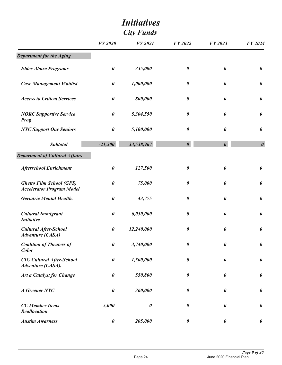|                                                                     | <i>Initiatives</i><br><b>City Funds</b> |                |                       |                       |                       |  |
|---------------------------------------------------------------------|-----------------------------------------|----------------|-----------------------|-----------------------|-----------------------|--|
|                                                                     | <b>FY 2020</b>                          | <b>FY 2021</b> | <b>FY 2022</b>        | <b>FY 2023</b>        | FY 2024               |  |
| <b>Department for the Aging</b>                                     |                                         |                |                       |                       |                       |  |
| <b>Elder Abuse Programs</b>                                         | $\boldsymbol{\theta}$                   | 335,000        | $\boldsymbol{\theta}$ | $\boldsymbol{\theta}$ | $\boldsymbol{\theta}$ |  |
| <b>Case Management Waitlist</b>                                     | $\pmb{\theta}$                          | 1,000,000      | $\boldsymbol{\theta}$ | 0                     | $\pmb{\theta}$        |  |
| <b>Access to Critical Services</b>                                  | $\pmb{\theta}$                          | 800,000        | 0                     | 0                     | $\boldsymbol{\theta}$ |  |
| <b>NORC Supportive Service</b><br><b>Prog</b>                       | $\pmb{\theta}$                          | 5,304,550      | $\boldsymbol{\theta}$ | 0                     | $\pmb{\theta}$        |  |
| <b>NYC Support Our Seniors</b>                                      | $\pmb{\theta}$                          | 5,100,000      | $\boldsymbol{\theta}$ | 0                     | $\boldsymbol{\theta}$ |  |
| <b>Subtotal</b>                                                     | $-21,500$                               | 33,538,967     | $\boldsymbol{\theta}$ | $\boldsymbol{\theta}$ | $\boldsymbol{\theta}$ |  |
| <b>Department of Cultural Affairs</b>                               |                                         |                |                       |                       |                       |  |
| <b>Afterschool Enrichment</b>                                       | $\boldsymbol{\theta}$                   | 127,500        | $\boldsymbol{\theta}$ | 0                     | $\boldsymbol{\theta}$ |  |
| <b>Ghetto Film School (GFS)</b><br><b>Accelerator Program Model</b> | $\pmb{\theta}$                          | 75,000         | $\boldsymbol{\theta}$ | 0                     | $\pmb{\theta}$        |  |
| <b>Geriatric Mental Health.</b>                                     | $\pmb{\theta}$                          | 43,775         | 0                     | $\boldsymbol{\theta}$ | $\boldsymbol{\theta}$ |  |
| <b>Cultural Immigrant</b><br><b>Initiative</b>                      | $\pmb{\theta}$                          | 6,050,000      | $\boldsymbol{\theta}$ | 0                     | $\pmb{\theta}$        |  |
| <b>Cultural After-School</b><br><b>Adventure (CASA)</b>             | $\pmb{\theta}$                          | 12,240,000     | $\boldsymbol{\theta}$ | $\boldsymbol{\theta}$ | $\boldsymbol{\theta}$ |  |
| <b>Coalition of Theaters of</b><br>Color                            | $\pmb{\theta}$                          | 3,740,000      | $\boldsymbol{\theta}$ | $\boldsymbol{\theta}$ | $\pmb{\theta}$        |  |
| <b>CIG Cultural After-School</b><br>Adventure (CASA).               | $\pmb{\theta}$                          | 1,500,000      | $\boldsymbol{\theta}$ | $\boldsymbol{\theta}$ | $\pmb{\theta}$        |  |
| <b>Art a Catalyst for Change</b>                                    | $\pmb{\theta}$                          | 550,800        | $\boldsymbol{\theta}$ | $\boldsymbol{\theta}$ | $\pmb{\theta}$        |  |
| <b>A</b> Greener NYC                                                | $\pmb{\theta}$                          | 360,000        | $\boldsymbol{\theta}$ | $\boldsymbol{\theta}$ | $\pmb{\theta}$        |  |
| <b>CC</b> Member Items<br>Reallocation                              | 5,000                                   | $\pmb{\theta}$ | $\boldsymbol{\theta}$ | $\boldsymbol{\theta}$ | $\pmb{\theta}$        |  |
| <b>Austim Awarness</b>                                              | $\pmb{\theta}$                          | 205,000        | $\boldsymbol{\theta}$ | $\boldsymbol{\theta}$ | $\boldsymbol{\theta}$ |  |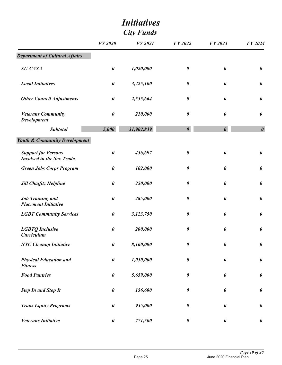|                                                                | <b>Initiatives</b><br><b>City Funds</b> |                |                       |                       |                       |
|----------------------------------------------------------------|-----------------------------------------|----------------|-----------------------|-----------------------|-----------------------|
|                                                                | <b>FY 2020</b>                          | <b>FY 2021</b> | FY 2022               | FY 2023               | <b>FY 2024</b>        |
| <b>Department of Cultural Affairs</b>                          |                                         |                |                       |                       |                       |
| <b>SU-CASA</b>                                                 | $\pmb{\theta}$                          | 1,020,000      | $\boldsymbol{\theta}$ | $\boldsymbol{\theta}$ | $\boldsymbol{\theta}$ |
| <b>Local Initiatives</b>                                       | $\pmb{\theta}$                          | 3,225,100      | $\boldsymbol{\theta}$ | $\pmb{\theta}$        | $\boldsymbol{\theta}$ |
| <b>Other Council Adjustments</b>                               | $\pmb{\theta}$                          | 2,555,664      | $\boldsymbol{\theta}$ | $\boldsymbol{\theta}$ | $\boldsymbol{\theta}$ |
| <b>Veterans Community</b><br><b>Development</b>                | $\boldsymbol{\theta}$                   | 210,000        | $\boldsymbol{\theta}$ | $\boldsymbol{\theta}$ | $\boldsymbol{\theta}$ |
| <b>Subtotal</b>                                                | 5,000                                   | 31,902,839     | $\boldsymbol{\theta}$ | $\boldsymbol{\theta}$ | $\boldsymbol{\theta}$ |
| <b>Youth &amp; Community Development</b>                       |                                         |                |                       |                       |                       |
| <b>Support for Persons</b><br><b>Involved in the Sex Trade</b> | $\boldsymbol{\theta}$                   | 456,697        | $\boldsymbol{\theta}$ | $\boldsymbol{\theta}$ | $\boldsymbol{\theta}$ |
| <b>Green Jobs Corps Program</b>                                | $\pmb{\theta}$                          | 102,000        | $\boldsymbol{\theta}$ | $\boldsymbol{\theta}$ | $\boldsymbol{\theta}$ |
| <b>Jill Chaifitz Helpline</b>                                  | $\pmb{\theta}$                          | 250,000        | $\boldsymbol{\theta}$ | $\boldsymbol{\theta}$ | $\pmb{\theta}$        |
| <b>Job Training and</b><br><b>Placement Initiative</b>         | 0                                       | 285,000        | $\boldsymbol{\theta}$ | $\pmb{\theta}$        | $\boldsymbol{\theta}$ |
| <b>LGBT Community Services</b>                                 | 0                                       | 3,123,750      | $\boldsymbol{\theta}$ | 0                     | $\boldsymbol{\theta}$ |
| <b>LGBTQ</b> Inclusive<br><b>Curriculum</b>                    | $\pmb{\theta}$                          | 200,000        | $\boldsymbol{\theta}$ | $\pmb{\theta}$        | $\pmb{\theta}$        |
| <b>NYC Cleanup Initiative</b>                                  | $\pmb{\theta}$                          | 8,160,000      | $\boldsymbol{\theta}$ | $\boldsymbol{\theta}$ | $\pmb{\theta}$        |
| <b>Physical Education and</b><br><b>Fitness</b>                | $\pmb{\theta}$                          | 1,050,000      | $\pmb{\theta}$        | $\boldsymbol{\theta}$ | $\pmb{\theta}$        |
| <b>Food Pantries</b>                                           | $\pmb{\theta}$                          | 5,659,000      | $\boldsymbol{\theta}$ | $\boldsymbol{\theta}$ | $\pmb{\theta}$        |
| <b>Step In and Stop It</b>                                     | $\pmb{\theta}$                          | 156,600        | $\pmb{\theta}$        | $\pmb{\theta}$        | $\boldsymbol{\theta}$ |
| <b>Trans Equity Programs</b>                                   | $\pmb{\theta}$                          | 935,000        | $\boldsymbol{\theta}$ | 0                     | $\pmb{\theta}$        |
| <b>Veterans Initiative</b>                                     | $\pmb{\theta}$                          | 771,500        | $\boldsymbol{\theta}$ | $\pmb{\theta}$        | $\boldsymbol{\theta}$ |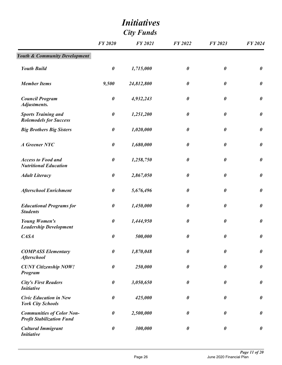|                                                                      | <b>FY 2020</b>        | <b>FY 2021</b> | <b>FY 2022</b>        | FY 2023               | FY 2024               |
|----------------------------------------------------------------------|-----------------------|----------------|-----------------------|-----------------------|-----------------------|
| <b>Youth &amp; Community Development</b>                             |                       |                |                       |                       |                       |
| <b>Youth Build</b>                                                   | $\boldsymbol{\theta}$ | 1,715,000      | 0                     | $\boldsymbol{\theta}$ | $\boldsymbol{\theta}$ |
| <b>Member Items</b>                                                  | 9,500                 | 24,812,800     | $\pmb{\theta}$        | $\pmb{\theta}$        | $\pmb{\theta}$        |
| <b>Council Program</b><br>Adjustments.                               | $\pmb{\theta}$        | 4,932,243      | 0                     | 0                     | $\pmb{\theta}$        |
| <b>Sports Training and</b><br><b>Rolemodels for Success</b>          | $\pmb{\theta}$        | 1,251,200      | $\pmb{\theta}$        | 0                     | $\boldsymbol{\theta}$ |
| <b>Big Brothers Big Sisters</b>                                      | $\pmb{\theta}$        | 1,020,000      | $\pmb{\theta}$        | $\boldsymbol{\theta}$ | $\boldsymbol{\theta}$ |
| <b>A</b> Greener NYC                                                 | $\pmb{\theta}$        | 1,680,000      | 0                     | $\boldsymbol{\theta}$ | $\boldsymbol{\theta}$ |
| <b>Access to Food and</b><br><b>Nutritional Education</b>            | $\boldsymbol{\theta}$ | 1,258,750      | 0                     | $\pmb{\theta}$        | $\boldsymbol{\theta}$ |
| <b>Adult Literacy</b>                                                | $\boldsymbol{\theta}$ | 2,867,050      | $\boldsymbol{\theta}$ | 0                     | $\boldsymbol{\theta}$ |
| <b>Afterschool Enrichment</b>                                        | $\boldsymbol{\theta}$ | 5,676,496      | $\boldsymbol{\theta}$ | $\boldsymbol{\theta}$ | $\pmb{\theta}$        |
| <b>Educational Programs for</b><br><b>Students</b>                   | $\pmb{\theta}$        | 1,450,000      | $\pmb{\theta}$        | $\boldsymbol{\theta}$ | $\boldsymbol{\theta}$ |
| <b>Young Women's</b><br><b>Leadership Development</b>                | $\pmb{\theta}$        | 1,444,950      | $\boldsymbol{\theta}$ | $\pmb{\theta}$        | $\pmb{\theta}$        |
| CASA                                                                 | 0                     | 500,000        | $\pmb{\theta}$        | $\boldsymbol{\theta}$ | $\boldsymbol{\theta}$ |
| <b>COMPASS Elementary</b><br><b>Afterschool</b>                      | $\boldsymbol{\theta}$ | 1,870,048      | $\pmb{\theta}$        | $\boldsymbol{\theta}$ | $\pmb{\theta}$        |
| <b>CUNY Citizenship NOW!</b><br>Program                              | $\pmb{\theta}$        | 250,000        | $\boldsymbol{\theta}$ | $\boldsymbol{\theta}$ | $\pmb{\theta}$        |
| <b>City's First Readers</b><br><b>Initiative</b>                     | $\pmb{\theta}$        | 3,050,650      | $\boldsymbol{\theta}$ | $\boldsymbol{\theta}$ | $\pmb{\theta}$        |
| <b>Civic Education in New</b><br><b>York City Schools</b>            | $\boldsymbol{\theta}$ | 425,000        | $\boldsymbol{\theta}$ | $\boldsymbol{\theta}$ | $\pmb{\theta}$        |
| <b>Communities of Color Non-</b><br><b>Profit Stabilization Fund</b> | $\boldsymbol{\theta}$ | 2,500,000      | $\pmb{\theta}$        | $\pmb{\theta}$        | $\pmb{\theta}$        |
| <b>Cultural Immigrant</b><br><b>Initiative</b>                       | $\pmb{\theta}$        | 300,000        | $\boldsymbol{\theta}$ | $\pmb{\theta}$        | $\pmb{\theta}$        |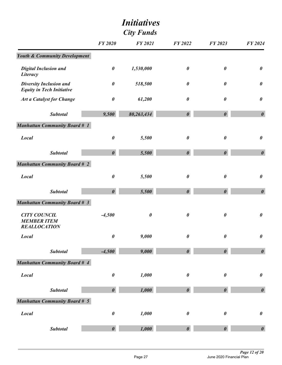|                                                                    |                       | <i>Initiatives</i><br><b>City Funds</b> |                       |                       |                       |
|--------------------------------------------------------------------|-----------------------|-----------------------------------------|-----------------------|-----------------------|-----------------------|
|                                                                    | <b>FY 2020</b>        | <b>FY 2021</b>                          | <b>FY 2022</b>        | FY 2023               | FY 2024               |
| <b>Youth &amp; Community Development</b>                           |                       |                                         |                       |                       |                       |
| <b>Digital Inclusion and</b><br>Literacy                           | $\pmb{\theta}$        | 1,530,000                               | $\boldsymbol{\theta}$ | $\boldsymbol{\theta}$ | $\boldsymbol{\theta}$ |
| <b>Diversity Inclusion and</b><br><b>Equity in Tech Initiative</b> | $\pmb{\theta}$        | 518,500                                 | $\pmb{\theta}$        | $\boldsymbol{\theta}$ | $\pmb{\theta}$        |
| <b>Art a Catalyst for Change</b>                                   | $\pmb{\theta}$        | 61,200                                  | $\boldsymbol{\theta}$ | $\boldsymbol{\theta}$ | $\boldsymbol{\theta}$ |
| <b>Subtotal</b>                                                    | 9,500                 | 80,263,434                              | $\boldsymbol{\theta}$ | $\boldsymbol{\theta}$ | $\boldsymbol{\theta}$ |
| <b>Manhattan Community Board # 1</b>                               |                       |                                         |                       |                       |                       |
| <b>Local</b>                                                       | $\pmb{\theta}$        | 5,500                                   | $\boldsymbol{\theta}$ | $\boldsymbol{\theta}$ | $\boldsymbol{\theta}$ |
| <b>Subtotal</b>                                                    | $\boldsymbol{\theta}$ | 5,500                                   | $\boldsymbol{\theta}$ | $\boldsymbol{\theta}$ | $\boldsymbol{\theta}$ |
| <b>Manhattan Community Board # 2</b>                               |                       |                                         |                       |                       |                       |
| <b>Local</b>                                                       | $\pmb{\theta}$        | 5,500                                   | $\boldsymbol{\theta}$ | $\boldsymbol{\theta}$ | $\boldsymbol{\theta}$ |
| <b>Subtotal</b>                                                    | $\boldsymbol{\theta}$ | 5,500                                   | $\boldsymbol{\theta}$ | $\boldsymbol{\theta}$ | $\boldsymbol{\theta}$ |
| <b>Manhattan Community Board # 3</b>                               |                       |                                         |                       |                       |                       |
| <b>CITY COUNCIL</b><br><b>MEMBER ITEM</b><br><b>REALLOCATION</b>   | $-4,500$              | $\boldsymbol{\theta}$                   | $\pmb{\theta}$        | $\boldsymbol{\theta}$ | $\boldsymbol{\theta}$ |
| <b>Local</b>                                                       | $\pmb{\theta}$        | 9,000                                   | $\boldsymbol{\theta}$ | $\pmb{\theta}$        | $\pmb{\theta}$        |
| <b>Subtotal</b>                                                    | $-4,500$              | 9,000                                   | $\boldsymbol{\theta}$ | $\boldsymbol{\theta}$ | $\boldsymbol{\theta}$ |
| <b>Manhattan Community Board # 4</b>                               |                       |                                         |                       |                       |                       |
| Local                                                              | $\pmb{\theta}$        | 1,000                                   | $\pmb{\theta}$        | $\pmb{\theta}$        | $\pmb{\theta}$        |
| <b>Subtotal</b>                                                    | $\boldsymbol{\theta}$ | 1,000                                   | $\boldsymbol{\theta}$ | $\boldsymbol{\theta}$ | $\boldsymbol{\theta}$ |
| <b>Manhattan Community Board # 5</b>                               |                       |                                         |                       |                       |                       |
| <b>Local</b>                                                       | $\pmb{\theta}$        | 1,000                                   | $\pmb{\theta}$        | $\pmb{\theta}$        | $\pmb{\theta}$        |
| <b>Subtotal</b>                                                    | $\boldsymbol{\theta}$ | 1,000                                   | $\boldsymbol{\theta}$ | $\boldsymbol{\theta}$ | $\boldsymbol{\theta}$ |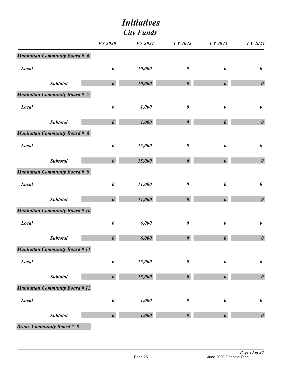| <b>City Funds</b> |                                      |                       |                |                       |                       |                       |
|-------------------|--------------------------------------|-----------------------|----------------|-----------------------|-----------------------|-----------------------|
|                   |                                      | <b>FY 2020</b>        | <b>FY 2021</b> | FY 2022               | FY 2023               | FY 2024               |
|                   | <b>Manhattan Community Board # 6</b> |                       |                |                       |                       |                       |
| <b>Local</b>      |                                      | $\pmb{\theta}$        | 10,000         | $\boldsymbol{\theta}$ | $\boldsymbol{\theta}$ | $\pmb{\theta}$        |
|                   | <b>Subtotal</b>                      | $\boldsymbol{\theta}$ | 10,000         | $\boldsymbol{\theta}$ | $\boldsymbol{\theta}$ | $\boldsymbol{\theta}$ |
|                   | <b>Manhattan Community Board # 7</b> |                       |                |                       |                       |                       |
| <b>Local</b>      |                                      | $\pmb{\theta}$        | 1,000          | $\pmb{\theta}$        | $\boldsymbol{\theta}$ | $\pmb{\theta}$        |
|                   | <b>Subtotal</b>                      | $\boldsymbol{\theta}$ | 1,000          | $\boldsymbol{\theta}$ | $\boldsymbol{\theta}$ | $\boldsymbol{\theta}$ |
|                   | <b>Manhattan Community Board # 8</b> |                       |                |                       |                       |                       |
| <b>Local</b>      |                                      | $\pmb{\theta}$        | 15,000         | $\boldsymbol{\theta}$ | $\boldsymbol{\theta}$ | $\pmb{\theta}$        |
|                   | <b>Subtotal</b>                      | $\boldsymbol{\theta}$ | 15,000         | $\boldsymbol{\theta}$ | $\boldsymbol{\theta}$ | $\boldsymbol{\theta}$ |
|                   | <b>Manhattan Community Board # 9</b> |                       |                |                       |                       |                       |
| <b>Local</b>      |                                      | $\pmb{\theta}$        | 11,000         | $\boldsymbol{\theta}$ | $\boldsymbol{\theta}$ | $\pmb{\theta}$        |
|                   | <b>Subtotal</b>                      | $\boldsymbol{\theta}$ | 11,000         | $\boldsymbol{\theta}$ | $\boldsymbol{\theta}$ | $\boldsymbol{\theta}$ |
|                   | <b>Manhattan Community Board #10</b> |                       |                |                       |                       |                       |
| <b>Local</b>      |                                      | $\pmb{\theta}$        | 6,000          | $\boldsymbol{\theta}$ | $\boldsymbol{\theta}$ | $\pmb{\theta}$        |
|                   | <b>Subtotal</b>                      | $\boldsymbol{\theta}$ | 6,000          | $\boldsymbol{\theta}$ | $\boldsymbol{\theta}$ | $\boldsymbol{\theta}$ |
|                   | <b>Manhattan Community Board #11</b> |                       |                |                       |                       |                       |
| Local             |                                      | $\boldsymbol{\theta}$ | 15,000         | $\pmb{\theta}$        | $\boldsymbol{\theta}$ | $\pmb{\theta}$        |
|                   | <b>Subtotal</b>                      | $\boldsymbol{\theta}$ | 15,000         | $\boldsymbol{\theta}$ | $\boldsymbol{\theta}$ | $\boldsymbol{\theta}$ |
|                   | <b>Manhattan Community Board #12</b> |                       |                |                       |                       |                       |
| Local             |                                      | $\pmb{\theta}$        | 1,000          | $\pmb{\theta}$        | $\boldsymbol{\theta}$ | $\pmb{\theta}$        |
|                   | <b>Subtotal</b>                      | $\boldsymbol{\theta}$ | 1,000          | $\boldsymbol{\theta}$ | $\boldsymbol{\theta}$ | $\boldsymbol{\theta}$ |
|                   | <b>Bronx Community Board # 8</b>     |                       |                |                       |                       |                       |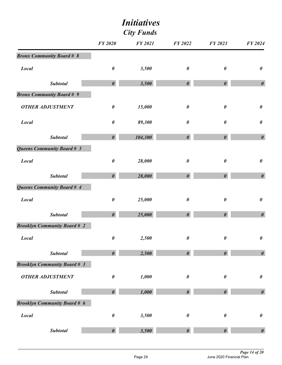| <b>City Funds</b>                   |                       |                |                       |                       |                       |
|-------------------------------------|-----------------------|----------------|-----------------------|-----------------------|-----------------------|
|                                     | <b>FY 2020</b>        | <b>FY 2021</b> | <b>FY 2022</b>        | FY 2023               | <b>FY 2024</b>        |
| <b>Bronx Community Board # 8</b>    |                       |                |                       |                       |                       |
| <b>Local</b>                        | $\boldsymbol{\theta}$ | 3,500          | $\pmb{\theta}$        | $\boldsymbol{\theta}$ | $\pmb{\theta}$        |
| <b>Subtotal</b>                     | $\boldsymbol{\theta}$ | 3,500          | $\boldsymbol{\theta}$ | $\boldsymbol{\theta}$ | $\boldsymbol{\theta}$ |
| <b>Bronx Community Board # 9</b>    |                       |                |                       |                       |                       |
| <b>OTHER ADJUSTMENT</b>             | $\pmb{\theta}$        | 15,000         | $\pmb{\theta}$        | $\boldsymbol{\theta}$ | $\pmb{\theta}$        |
| <b>Local</b>                        | $\boldsymbol{\theta}$ | 89,300         | 0                     | $\boldsymbol{\theta}$ | $\pmb{\theta}$        |
| <b>Subtotal</b>                     | $\boldsymbol{\theta}$ | 104,300        | $\boldsymbol{\theta}$ | $\boldsymbol{\theta}$ | $\boldsymbol{\theta}$ |
| Queens Community Board # 3          |                       |                |                       |                       |                       |
| <b>Local</b>                        | $\pmb{\theta}$        | 28,000         | $\pmb{\theta}$        | $\boldsymbol{\theta}$ | $\pmb{\theta}$        |
| <b>Subtotal</b>                     | $\boldsymbol{\theta}$ | 28,000         | $\boldsymbol{\theta}$ | $\boldsymbol{\theta}$ | $\boldsymbol{\theta}$ |
| Queens Community Board # 4          |                       |                |                       |                       |                       |
| <b>Local</b>                        | $\pmb{\theta}$        | 25,000         | $\pmb{\theta}$        | $\boldsymbol{\theta}$ | $\pmb{\theta}$        |
| <b>Subtotal</b>                     | $\boldsymbol{\theta}$ | 25,000         | $\boldsymbol{\theta}$ | $\boldsymbol{\theta}$ | $\boldsymbol{\theta}$ |
| <b>Brooklyn Community Board # 2</b> |                       |                |                       |                       |                       |
| <b>Local</b>                        | $\boldsymbol{\theta}$ | 2,500          | $\pmb{\theta}$        | $\boldsymbol{\theta}$ | $\boldsymbol{\theta}$ |
| <b>Subtotal</b>                     | $\boldsymbol{\theta}$ | 2,500          | $\boldsymbol{\theta}$ | $\boldsymbol{\theta}$ | $\pmb{\theta}$        |
| <b>Brooklyn Community Board # 3</b> |                       |                |                       |                       |                       |
| <b>OTHER ADJUSTMENT</b>             | $\pmb{\theta}$        | 1,000          | $\pmb{\theta}$        | $\boldsymbol{\theta}$ | $\pmb{\theta}$        |
| <b>Subtotal</b>                     | $\boldsymbol{\theta}$ | 1,000          | $\boldsymbol{\theta}$ | $\boldsymbol{\theta}$ | $\pmb{\theta}$        |
| <b>Brooklyn Community Board # 6</b> |                       |                |                       |                       |                       |
| Local                               | $\pmb{\theta}$        | 3,500          | $\pmb{\theta}$        | $\boldsymbol{\theta}$ | $\pmb{\theta}$        |
| Subtotal                            | $\boldsymbol{\theta}$ | 3,500          | $\boldsymbol{\theta}$ | $\boldsymbol{\theta}$ | $\pmb{\theta}$        |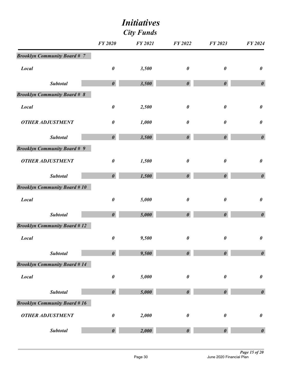| <b>City Funds</b>                   |                       |                |                       |                       |                       |
|-------------------------------------|-----------------------|----------------|-----------------------|-----------------------|-----------------------|
|                                     | <b>FY 2020</b>        | <b>FY 2021</b> | FY 2022               | FY 2023               | FY 2024               |
| <b>Brooklyn Community Board #7</b>  |                       |                |                       |                       |                       |
| <b>Local</b>                        | $\pmb{\theta}$        | 3,500          | $\pmb{\theta}$        | $\boldsymbol{\theta}$ | $\pmb{\theta}$        |
| <b>Subtotal</b>                     | $\boldsymbol{\theta}$ | 3,500          | $\boldsymbol{\theta}$ | $\boldsymbol{\theta}$ | $\boldsymbol{\theta}$ |
| <b>Brooklyn Community Board # 8</b> |                       |                |                       |                       |                       |
| <b>Local</b>                        | $\boldsymbol{\theta}$ | 2,500          | $\pmb{\theta}$        | $\boldsymbol{\theta}$ | $\pmb{\theta}$        |
| <b>OTHER ADJUSTMENT</b>             | $\boldsymbol{\theta}$ | 1,000          | $\pmb{\theta}$        | $\boldsymbol{\theta}$ | $\pmb{\theta}$        |
| <b>Subtotal</b>                     | $\boldsymbol{\theta}$ | 3,500          | $\boldsymbol{\theta}$ | $\boldsymbol{\theta}$ | $\boldsymbol{\theta}$ |
| <b>Brooklyn Community Board # 9</b> |                       |                |                       |                       |                       |
| <b>OTHER ADJUSTMENT</b>             | $\boldsymbol{\theta}$ | 1,500          | $\pmb{\theta}$        | $\boldsymbol{\theta}$ | $\pmb{\theta}$        |
| <b>Subtotal</b>                     | $\boldsymbol{\theta}$ | 1,500          | $\boldsymbol{\theta}$ | $\boldsymbol{\theta}$ | $\boldsymbol{\theta}$ |
| <b>Brooklyn Community Board #10</b> |                       |                |                       |                       |                       |
| <b>Local</b>                        | $\boldsymbol{\theta}$ | 5,000          | $\boldsymbol{\theta}$ | $\boldsymbol{\theta}$ | $\boldsymbol{\theta}$ |
| <b>Subtotal</b>                     | $\boldsymbol{\theta}$ | 5,000          | $\boldsymbol{\theta}$ | $\boldsymbol{\theta}$ | $\boldsymbol{\theta}$ |
| <b>Brooklyn Community Board #12</b> |                       |                |                       |                       |                       |
| <b>Local</b>                        | $\pmb{\theta}$        | 9,500          | $\pmb{\theta}$        | $\boldsymbol{\theta}$ | $\boldsymbol{\theta}$ |
| <b>Subtotal</b>                     | $\boldsymbol{\theta}$ | 9,500          | $\boldsymbol{\theta}$ | $\boldsymbol{\theta}$ | $\pmb{\theta}$        |
| <b>Brooklyn Community Board #14</b> |                       |                |                       |                       |                       |
| <b>Local</b>                        | $\pmb{\theta}$        | 5,000          | $\pmb{\theta}$        | $\boldsymbol{\theta}$ | $\pmb{\theta}$        |
| <b>Subtotal</b>                     | $\boldsymbol{\theta}$ | 5,000          | $\boldsymbol{\theta}$ | $\boldsymbol{\theta}$ | $\pmb{\theta}$        |
| <b>Brooklyn Community Board #16</b> |                       |                |                       |                       |                       |
| <b>OTHER ADJUSTMENT</b>             | $\boldsymbol{\theta}$ | 2,000          | 0                     | $\boldsymbol{\theta}$ | $\pmb{\theta}$        |
| <b>Subtotal</b>                     | $\boldsymbol{\theta}$ | 2,000          | $\boldsymbol{\theta}$ | $\boldsymbol{\theta}$ | $\pmb{\theta}$        |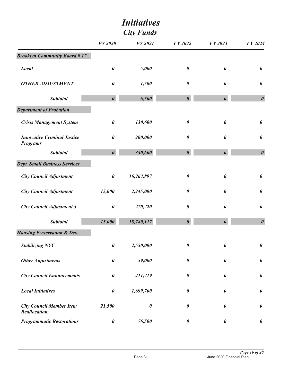|                                                       | <i>Initiatives</i><br><b>City Funds</b> |                       |                       |                       |                       |
|-------------------------------------------------------|-----------------------------------------|-----------------------|-----------------------|-----------------------|-----------------------|
|                                                       | <b>FY 2020</b>                          | <b>FY 2021</b>        | FY 2022               | FY 2023               | FY 2024               |
| <b>Brooklyn Community Board #17</b>                   |                                         |                       |                       |                       |                       |
| <b>Local</b>                                          | 0                                       | 5,000                 | $\boldsymbol{\theta}$ | $\boldsymbol{\theta}$ | $\boldsymbol{\theta}$ |
| <b>OTHER ADJUSTMENT</b>                               | $\boldsymbol{\theta}$                   | 1,500                 | $\boldsymbol{\theta}$ | $\boldsymbol{\theta}$ | $\pmb{\theta}$        |
| <b>Subtotal</b>                                       | $\boldsymbol{\theta}$                   | 6,500                 | $\boldsymbol{\theta}$ | $\boldsymbol{\theta}$ | $\boldsymbol{\theta}$ |
| <b>Department of Probation</b>                        |                                         |                       |                       |                       |                       |
| <b>Crisis Management System</b>                       | $\pmb{\theta}$                          | 130,600               | $\pmb{\theta}$        | $\pmb{\theta}$        | $\pmb{\theta}$        |
| <b>Innovative Criminal Justice</b><br><b>Programs</b> | 0                                       | 200,000               | $\boldsymbol{\theta}$ | $\boldsymbol{\theta}$ | $\boldsymbol{\theta}$ |
| <b>Subtotal</b>                                       | $\boldsymbol{\theta}$                   | 330,600               | $\boldsymbol{\theta}$ | $\boldsymbol{\theta}$ | $\boldsymbol{\theta}$ |
| <b>Dept. Small Business Services</b>                  |                                         |                       |                       |                       |                       |
| <b>City Council Adjustment</b>                        | $\pmb{\theta}$                          | 16,264,897            | $\boldsymbol{\theta}$ | $\boldsymbol{\theta}$ | $\boldsymbol{\theta}$ |
| <b>City Council Adjustment</b>                        | 15,000                                  | 2,245,000             | $\boldsymbol{\theta}$ | 0                     | $\pmb{\theta}$        |
| <b>City Council Adjustment 3</b>                      | $\pmb{\theta}$                          | 270,220               | $\boldsymbol{\theta}$ | $\boldsymbol{\theta}$ | $\pmb{\theta}$        |
| <b>Subtotal</b>                                       | 15,000                                  | 18,780,117            | $\boldsymbol{\theta}$ | $\boldsymbol{\theta}$ | $\boldsymbol{\theta}$ |
| <b>Housing Preservation &amp; Dev.</b>                |                                         |                       |                       |                       |                       |
| <b>Stabilizing NYC</b>                                | $\pmb{\theta}$                          | 2,550,000             | $\boldsymbol{\theta}$ | $\boldsymbol{\theta}$ | $\boldsymbol{\theta}$ |
| <b>Other Adjustments</b>                              | $\boldsymbol{\theta}$                   | 59,000                | $\boldsymbol{\theta}$ | 0                     | $\pmb{\theta}$        |
| <b>City Council Enhancements</b>                      | $\pmb{\theta}$                          | 411,219               | $\boldsymbol{\theta}$ | 0                     | $\pmb{\theta}$        |
| <b>Local Initiatives</b>                              | $\pmb{\theta}$                          | 1,699,700             | $\boldsymbol{\theta}$ | $\boldsymbol{\theta}$ | $\pmb{\theta}$        |
| <b>City Council Member Item</b><br>Reallocation.      | 21,500                                  | $\boldsymbol{\theta}$ | $\boldsymbol{\theta}$ | 0                     | $\boldsymbol{\theta}$ |
| <b>Programmatic Restorations</b>                      | $\pmb{\theta}$                          | 76,500                | $\boldsymbol{\theta}$ | $\boldsymbol{\theta}$ | $\boldsymbol{\theta}$ |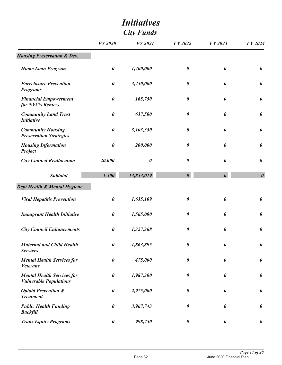| <b>City Funds</b>                                                  |                       |                       |                       |                       |                       |
|--------------------------------------------------------------------|-----------------------|-----------------------|-----------------------|-----------------------|-----------------------|
|                                                                    | <b>FY 2020</b>        | <b>FY 2021</b>        | <b>FY 2022</b>        | <b>FY 2023</b>        | <b>FY 2024</b>        |
| <b>Housing Preservation &amp; Dev.</b>                             |                       |                       |                       |                       |                       |
| <b>Home Loan Program</b>                                           | 0                     | 1,700,000             | $\boldsymbol{\theta}$ | $\boldsymbol{\theta}$ | $\boldsymbol{\theta}$ |
| <b>Foreclosure Prevention</b><br><b>Programs</b>                   | $\boldsymbol{\theta}$ | 3,250,000             | 0                     | 0                     | $\boldsymbol{\theta}$ |
| <b>Financial Empowerment</b><br>for NYC's Renters                  | 0                     | 165,750               | 0                     | 0                     | $\boldsymbol{\theta}$ |
| <b>Community Land Trust</b><br><b>Initiative</b>                   | $\boldsymbol{\theta}$ | 637,500               | 0                     | 0                     | $\boldsymbol{\theta}$ |
| <b>Community Housing</b><br><b>Preservation Strategies</b>         | $\boldsymbol{\theta}$ | 3,103,350             | $\pmb{\theta}$        | 0                     | $\boldsymbol{\theta}$ |
| <b>Housing Information</b><br>Project                              | $\boldsymbol{\theta}$ | 200,000               | $\boldsymbol{\theta}$ | 0                     | $\boldsymbol{\theta}$ |
| <b>City Council Reallocation</b>                                   | $-20,000$             | $\boldsymbol{\theta}$ | 0                     | $\pmb{\theta}$        | $\pmb{\theta}$        |
| <b>Subtotal</b>                                                    | 1,500                 | 13,853,019            | $\boldsymbol{\theta}$ | $\boldsymbol{\theta}$ | $\boldsymbol{\theta}$ |
| Dept Health & Mental Hygiene                                       |                       |                       |                       |                       |                       |
| <b>Viral Hepatitis Prevention</b>                                  | $\boldsymbol{\theta}$ | 1,635,109             | 0                     | $\pmb{\theta}$        | $\pmb{\theta}$        |
| <b>Immigrant Health Initiative</b>                                 | 0                     | 1,565,000             | 0                     | 0                     | $\boldsymbol{\theta}$ |
| <b>City Council Enhancements</b>                                   | $\pmb{\theta}$        | 1,327,368             | $\boldsymbol{\theta}$ | 0                     | $\boldsymbol{\theta}$ |
| <b>Maternal and Child Health</b><br><b>Services</b>                | 0                     | 1,863,895             | $\boldsymbol{\theta}$ | 0                     | $\boldsymbol{\theta}$ |
| <b>Mental Health Services for</b><br><b>Veterans</b>               | 0                     | 475,000               | 0                     | 0                     | $\pmb{\theta}$        |
| <b>Mental Health Services for</b><br><b>Vulnerable Populations</b> | $\pmb{\theta}$        | 1,987,300             | $\boldsymbol{\theta}$ | 0                     | $\boldsymbol{\theta}$ |
| <b>Opioid Prevention &amp;</b><br><b>Treatment</b>                 | $\boldsymbol{\theta}$ | 2,975,000             | $\boldsymbol{\theta}$ | $\boldsymbol{\theta}$ | $\pmb{\theta}$        |
| <b>Public Health Funding</b><br><b>Backfill</b>                    | $\boldsymbol{\theta}$ | 3,967,743             | $\boldsymbol{\theta}$ | 0                     | $\boldsymbol{\theta}$ |
| <b>Trans Equity Programs</b>                                       | $\pmb{\theta}$        | 998,750               | $\boldsymbol{\theta}$ | $\boldsymbol{\theta}$ | $\boldsymbol{\theta}$ |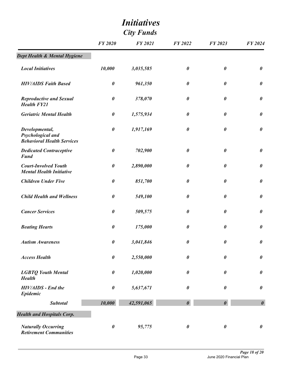| <b>City Funds</b>                                                        |                       |                |                       |                       |                       |
|--------------------------------------------------------------------------|-----------------------|----------------|-----------------------|-----------------------|-----------------------|
|                                                                          | <b>FY 2020</b>        | <b>FY 2021</b> | <b>FY 2022</b>        | FY 2023               | FY 2024               |
| Dept Health & Mental Hygiene                                             |                       |                |                       |                       |                       |
| <b>Local Initiatives</b>                                                 | 10,000                | 3,035,585      | $\boldsymbol{\theta}$ | $\boldsymbol{\theta}$ | $\boldsymbol{\theta}$ |
| <b>HIV/AIDS Faith Based</b>                                              | $\boldsymbol{\theta}$ | 961,350        | $\boldsymbol{\theta}$ | 0                     | $\boldsymbol{\theta}$ |
| <b>Reproductive and Sexual</b><br><b>Health FY21</b>                     | $\boldsymbol{\theta}$ | 378,070        | 0                     | 0                     | $\boldsymbol{\theta}$ |
| <b>Geriatric Mental Health</b>                                           | $\boldsymbol{\theta}$ | 1,575,934      | $\pmb{\theta}$        | 0                     | $\boldsymbol{\theta}$ |
| Developmental,<br>Psychological and<br><b>Behavioral Health Services</b> | 0                     | 1,917,169      | $\boldsymbol{\theta}$ | 0                     | $\boldsymbol{\theta}$ |
| <b>Dedicated Contraceptive</b><br><b>Fund</b>                            | $\boldsymbol{\theta}$ | 702,900        | 0                     | $\pmb{\theta}$        | $\pmb{\theta}$        |
| <b>Court-Involved Youth</b><br><b>Mental Health Initiative</b>           | $\boldsymbol{\theta}$ | 2,890,000      | $\boldsymbol{\theta}$ | 0                     | $\boldsymbol{\theta}$ |
| <b>Children Under Five</b>                                               | $\boldsymbol{\theta}$ | 851,700        | $\boldsymbol{\theta}$ | $\boldsymbol{\theta}$ | $\pmb{\theta}$        |
| <b>Child Health and Wellness</b>                                         | $\boldsymbol{\theta}$ | 549,100        | $\boldsymbol{\theta}$ | 0                     | $\boldsymbol{\theta}$ |
| <b>Cancer Services</b>                                                   | $\boldsymbol{\theta}$ | 509,575        | $\boldsymbol{\theta}$ | $\boldsymbol{\theta}$ | $\pmb{\theta}$        |
| <b>Beating Hearts</b>                                                    | 0                     | 175,000        | 0                     | 0                     | $\boldsymbol{\theta}$ |
| <b>Autism Awareness</b>                                                  | $\pmb{\theta}$        | 3,041,846      | $\pmb{\theta}$        | $\pmb{\theta}$        | $\pmb{\theta}$        |
| <b>Access Health</b>                                                     | $\boldsymbol{\theta}$ | 2,550,000      | $\boldsymbol{\theta}$ | $\boldsymbol{\theta}$ | $\pmb{\theta}$        |
| <b>LGBTQ Youth Mental</b><br><b>Health</b>                               | $\pmb{\theta}$        | 1,020,000      | $\boldsymbol{\theta}$ | $\boldsymbol{\theta}$ | $\pmb{\theta}$        |
| <b>HIV/AIDS</b> - End the<br>Epidemic                                    | $\boldsymbol{\theta}$ | 5,637,671      | $\boldsymbol{\theta}$ | 0                     | $\boldsymbol{\theta}$ |
| <b>Subtotal</b>                                                          | 10,000                | 42,591,065     | $\boldsymbol{\theta}$ | $\boldsymbol{\theta}$ | $\boldsymbol{\theta}$ |
| <b>Health and Hospitals Corp.</b>                                        |                       |                |                       |                       |                       |
| <b>Naturally Occurring</b><br><b>Retirement Communities</b>              | $\boldsymbol{\theta}$ | 95,775         | $\boldsymbol{\theta}$ | $\boldsymbol{\theta}$ | $\boldsymbol{\theta}$ |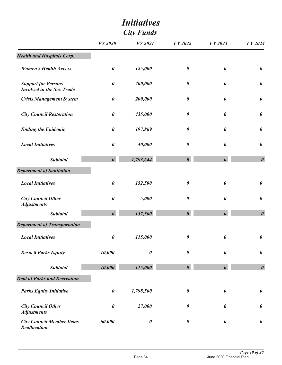| <b>City Funds</b>                                              |                       |                       |                       |                       |                       |
|----------------------------------------------------------------|-----------------------|-----------------------|-----------------------|-----------------------|-----------------------|
|                                                                | <b>FY 2020</b>        | <b>FY 2021</b>        | <b>FY 2022</b>        | FY 2023               | FY 2024               |
| <b>Health and Hospitals Corp.</b>                              |                       |                       |                       |                       |                       |
| <b>Women's Health Access</b>                                   | $\pmb{\theta}$        | 125,000               | $\boldsymbol{\theta}$ | $\pmb{\theta}$        | $\pmb{\theta}$        |
| <b>Support for Persons</b><br><b>Involved in the Sex Trade</b> | 0                     | 700,000               | $\boldsymbol{\theta}$ | 0                     | $\boldsymbol{\theta}$ |
| <b>Crisis Management System</b>                                | $\pmb{\theta}$        | 200,000               | $\boldsymbol{\theta}$ | $\pmb{\theta}$        | $\pmb{\theta}$        |
| <b>City Council Restoration</b>                                | 0                     | 435,000               | $\boldsymbol{\theta}$ | 0                     | $\pmb{\theta}$        |
| <b>Ending the Epidemic</b>                                     | $\pmb{\theta}$        | 197,869               | $\boldsymbol{\theta}$ | $\boldsymbol{\theta}$ | $\pmb{\theta}$        |
| <b>Local Initiatives</b>                                       | $\boldsymbol{\theta}$ | 40,000                | $\boldsymbol{\theta}$ | 0                     | $\boldsymbol{\theta}$ |
| <b>Subtotal</b>                                                | $\boldsymbol{\theta}$ | 1,793,644             | $\boldsymbol{\theta}$ | $\boldsymbol{\theta}$ | $\boldsymbol{\theta}$ |
| <b>Department of Sanitation</b>                                |                       |                       |                       |                       |                       |
| <b>Local Initiatives</b>                                       | $\boldsymbol{\theta}$ | 152,500               | $\boldsymbol{\theta}$ | 0                     | $\boldsymbol{\theta}$ |
| <b>City Council Other</b><br><b>Adjustments</b>                | $\pmb{\theta}$        | 5,000                 | 0                     | $\pmb{\theta}$        | $\pmb{\theta}$        |
| <b>Subtotal</b>                                                | $\boldsymbol{\theta}$ | 157,500               | $\boldsymbol{\theta}$ | $\boldsymbol{\theta}$ | $\boldsymbol{\theta}$ |
| <b>Department of Transportation</b>                            |                       |                       |                       |                       |                       |
| <b>Local Initiatives</b>                                       | $\pmb{\theta}$        | 115,000               | 0                     | $\pmb{\theta}$        | $\pmb{\theta}$        |
| <b>Reso. 8 Parks Equity</b>                                    | $-10,000$             | $\boldsymbol{\theta}$ | $\pmb{\theta}$        | 0                     | $\pmb{\theta}$        |
| <b>Subtotal</b>                                                | $-10,000$             | 115,000               | $\boldsymbol{\theta}$ | $\boldsymbol{\theta}$ | $\boldsymbol{\theta}$ |
| <b>Dept of Parks and Recreation</b>                            |                       |                       |                       |                       |                       |
| <b>Parks Equity Initiative</b>                                 | $\pmb{\theta}$        | 1,798,500             | $\boldsymbol{\theta}$ | 0                     | $\pmb{\theta}$        |
| <b>City Council Other</b><br><b>Adjustments</b>                | $\pmb{\theta}$        | 27,000                | 0                     | 0                     | $\pmb{\theta}$        |
| <b>City Council Member Items</b><br><b>Reallocation</b>        | $-60,000$             | $\boldsymbol{\theta}$ | $\boldsymbol{\theta}$ | $\boldsymbol{\theta}$ | $\pmb{\theta}$        |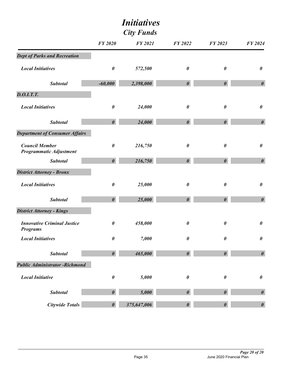| <b>City Funds</b>                                       |                       |                |                       |                       |                       |
|---------------------------------------------------------|-----------------------|----------------|-----------------------|-----------------------|-----------------------|
|                                                         | <b>FY 2020</b>        | <b>FY 2021</b> | <b>FY 2022</b>        | FY 2023               | <b>FY 2024</b>        |
| <b>Dept of Parks and Recreation</b>                     |                       |                |                       |                       |                       |
| <b>Local Initiatives</b>                                | $\boldsymbol{\theta}$ | 572,500        | 0                     | $\boldsymbol{\theta}$ | $\boldsymbol{\theta}$ |
| <b>Subtotal</b>                                         | $-60,000$             | 2,398,000      | $\boldsymbol{\theta}$ | $\boldsymbol{\theta}$ | $\boldsymbol{\theta}$ |
| <b>D.O.I.T.T.</b>                                       |                       |                |                       |                       |                       |
| <b>Local Initiatives</b>                                | $\boldsymbol{\theta}$ | 24,000         | $\boldsymbol{\theta}$ | $\boldsymbol{\theta}$ | $\boldsymbol{\theta}$ |
| <b>Subtotal</b>                                         | $\boldsymbol{\theta}$ | 24,000         | $\boldsymbol{\theta}$ | $\boldsymbol{\theta}$ | $\boldsymbol{\theta}$ |
| <b>Department of Consumer Affairs</b>                   |                       |                |                       |                       |                       |
| <b>Council Member</b><br><b>Programmatic Adjustment</b> | $\boldsymbol{\theta}$ | 216,750        | $\boldsymbol{\theta}$ | $\boldsymbol{\theta}$ | $\boldsymbol{\theta}$ |
| <b>Subtotal</b>                                         | $\boldsymbol{\theta}$ | 216,750        | $\boldsymbol{\theta}$ | $\boldsymbol{\theta}$ | $\boldsymbol{\theta}$ |
| <b>District Attorney - Bronx</b>                        |                       |                |                       |                       |                       |
| <b>Local Initiatives</b>                                | $\boldsymbol{\theta}$ | 25,000         | $\boldsymbol{\theta}$ | $\boldsymbol{\theta}$ | $\boldsymbol{\theta}$ |
| <b>Subtotal</b>                                         | $\boldsymbol{\theta}$ | 25,000         | $\boldsymbol{\theta}$ | $\boldsymbol{\theta}$ | $\boldsymbol{\theta}$ |
| <b>District Attorney - Kings</b>                        |                       |                |                       |                       |                       |
| <b>Innovative Criminal Justice</b><br><b>Programs</b>   | $\boldsymbol{\theta}$ | 458,000        | 0                     | $\boldsymbol{\theta}$ | $\boldsymbol{\theta}$ |
| <b>Local Initiatives</b>                                | $\boldsymbol{\theta}$ | 7,000          | $\boldsymbol{\theta}$ | $\boldsymbol{\theta}$ | $\boldsymbol{\theta}$ |
| <b>Subtotal</b>                                         | $\boldsymbol{\theta}$ | 465,000        | $\boldsymbol{\theta}$ | $\boldsymbol{\theta}$ | $\boldsymbol{\theta}$ |
| <b>Public Administrator - Richmond</b>                  |                       |                |                       |                       |                       |
| <b>Local Initiative</b>                                 | $\boldsymbol{\theta}$ | 5,000          | $\pmb{\theta}$        | $\boldsymbol{\theta}$ | $\boldsymbol{\theta}$ |
| <b>Subtotal</b>                                         | $\boldsymbol{\theta}$ | 5,000          | $\boldsymbol{\theta}$ | $\boldsymbol{\theta}$ | $\boldsymbol{\theta}$ |
| <b>Citywide Totals</b>                                  | $\boldsymbol{\theta}$ | 375,647,006    | $\boldsymbol{\theta}$ | $\boldsymbol{\theta}$ | $\boldsymbol{\theta}$ |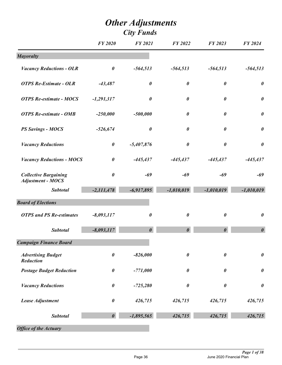|                                                          | <b>FY 2020</b>        | <b>FY 2021</b>        | <b>FY 2022</b>        | FY 2023               | <b>FY 2024</b>        |
|----------------------------------------------------------|-----------------------|-----------------------|-----------------------|-----------------------|-----------------------|
| <b>Mayoralty</b>                                         |                       |                       |                       |                       |                       |
| <b>Vacancy Reductions - OLR</b>                          | $\boldsymbol{\theta}$ | $-564,513$            | $-564,513$            | $-564,513$            | $-564,513$            |
| <b>OTPS Re-Estimate - OLR</b>                            | $-43,487$             | $\boldsymbol{\theta}$ | $\boldsymbol{\theta}$ | $\boldsymbol{\theta}$ | $\boldsymbol{\theta}$ |
| <b>OTPS Re-estimate - MOCS</b>                           | $-1,291,317$          | $\boldsymbol{\theta}$ | $\boldsymbol{\theta}$ | $\boldsymbol{\theta}$ | $\boldsymbol{\theta}$ |
| <b>OTPS Re-estimate - OMB</b>                            | $-250,000$            | $-500,000$            | $\boldsymbol{\theta}$ | $\boldsymbol{\theta}$ | $\pmb{\theta}$        |
| <b>PS Savings - MOCS</b>                                 | $-526,674$            | $\boldsymbol{\theta}$ | $\boldsymbol{\theta}$ | $\boldsymbol{\theta}$ | $\pmb{\theta}$        |
| <b>Vacancy Reductions</b>                                | $\pmb{\theta}$        | $-5,407,876$          | $\boldsymbol{\theta}$ | $\boldsymbol{\theta}$ | $\pmb{\theta}$        |
| <b>Vacancy Reductions - MOCS</b>                         | $\pmb{\theta}$        | $-445,437$            | $-445,437$            | $-445,437$            | $-445,437$            |
| <b>Collective Bargaining</b><br><b>Adjustment - MOCS</b> | $\boldsymbol{\theta}$ | $-69$                 | $-69$                 | $-69$                 | $-69$                 |
| <b>Subtotal</b>                                          | $-2,111,478$          | $-6,917,895$          | $-1,010,019$          | $-1,010,019$          | $-1,010,019$          |
| <b>Board of Elections</b>                                |                       |                       |                       |                       |                       |
| <b>OTPS and PS Re-estimates</b>                          | $-8,093,117$          | $\boldsymbol{\theta}$ | $\boldsymbol{\theta}$ | $\boldsymbol{\theta}$ | $\pmb{\theta}$        |
| <b>Subtotal</b>                                          | $-8,093,117$          | $\boldsymbol{\theta}$ | $\boldsymbol{\theta}$ | $\theta$              | $\boldsymbol{\theta}$ |
| <b>Campaign Finance Board</b>                            |                       |                       |                       |                       |                       |
| <b>Advertising Budget</b><br>Reduction                   | 0                     | $-826,000$            | $\boldsymbol{\theta}$ | 0                     | $\pmb{\theta}$        |
| <b>Postage Budget Reduction</b>                          | $\pmb{\theta}$        | $-771,000$            | $\boldsymbol{\theta}$ | $\boldsymbol{\theta}$ | $\boldsymbol{\theta}$ |
| <b>Vacancy Reductions</b>                                | $\pmb{\theta}$        | $-725,280$            | 0                     | $\boldsymbol{\theta}$ | $\boldsymbol{\theta}$ |
| Lease Adjustment                                         | 0                     | 426,715               | 426,715               | 426,715               | 426,715               |
| <b>Subtotal</b>                                          | $\boldsymbol{\theta}$ | $-1,895,565$          | 426,715               | 426,715               | 426,715               |
| <b>Office of the Actuary</b>                             |                       |                       |                       |                       |                       |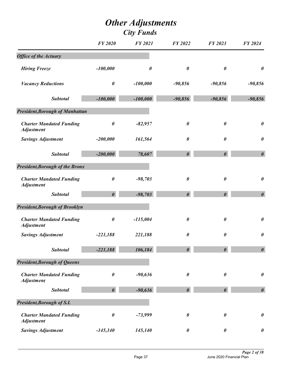|                                                      | <b>FY 2020</b>        | <b>FY 2021</b> | <b>FY 2022</b>        | FY 2023               | <b>FY 2024</b>        |
|------------------------------------------------------|-----------------------|----------------|-----------------------|-----------------------|-----------------------|
| <b>Office of the Actuary</b>                         |                       |                |                       |                       |                       |
| <b>Hiring Freeze</b>                                 | $-100,000$            | $\pmb{\theta}$ | $\boldsymbol{\theta}$ | $\boldsymbol{\theta}$ | $\boldsymbol{\theta}$ |
| <b>Vacancy Reductions</b>                            | $\pmb{\theta}$        | $-100,000$     | $-90,856$             | $-90,856$             | $-90,856$             |
| <b>Subtotal</b>                                      | $-100,000$            | $-100,000$     | $-90,856$             | $-90,856$             | $-90,856$             |
| <b>President, Borough of Manhattan</b>               |                       |                |                       |                       |                       |
| <b>Charter Mandated Funding</b><br><b>Adjustment</b> | $\pmb{\theta}$        | $-82,957$      | $\boldsymbol{\theta}$ | $\pmb{\theta}$        | $\boldsymbol{\theta}$ |
| <b>Savings Adjustment</b>                            | $-200,000$            | 161,564        | 0                     | $\boldsymbol{\theta}$ | $\boldsymbol{\theta}$ |
| <b>Subtotal</b>                                      | $-200,000$            | 78,607         | $\boldsymbol{\theta}$ | $\boldsymbol{\theta}$ | $\boldsymbol{\theta}$ |
| <b>President, Borough of the Bronx</b>               |                       |                |                       |                       |                       |
| <b>Charter Mandated Funding</b><br><b>Adjustment</b> | $\boldsymbol{\theta}$ | $-98,703$      | $\boldsymbol{\theta}$ | $\pmb{\theta}$        | $\boldsymbol{\theta}$ |
| <b>Subtotal</b>                                      | $\boldsymbol{\theta}$ | $-98,703$      | $\boldsymbol{\theta}$ | $\boldsymbol{\theta}$ | $\boldsymbol{\theta}$ |
| <b>President, Borough of Brooklyn</b>                |                       |                |                       |                       |                       |
| <b>Charter Mandated Funding</b><br><b>Adjustment</b> | $\pmb{\theta}$        | $-115,004$     | $\boldsymbol{\theta}$ | $\boldsymbol{\theta}$ | $\boldsymbol{\theta}$ |
| <b>Savings Adjustment</b>                            | $-221,188$            | 221,188        | $\boldsymbol{\theta}$ | 0                     | $\boldsymbol{\theta}$ |
| <b>Subtotal</b>                                      | $-221,188$            | 106,184        | $\boldsymbol{\theta}$ | $\boldsymbol{\theta}$ | $\boldsymbol{\theta}$ |
| <b>President, Borough of Queens</b>                  |                       |                |                       |                       |                       |
| <b>Charter Mandated Funding</b><br><b>Adjustment</b> | $\pmb{\theta}$        | $-90,636$      | 0                     | $\boldsymbol{\theta}$ | $\boldsymbol{\theta}$ |
| <b>Subtotal</b>                                      | $\boldsymbol{\theta}$ | $-90,636$      | $\boldsymbol{\theta}$ | $\boldsymbol{\theta}$ | $\boldsymbol{\theta}$ |
| President, Borough of S.I.                           |                       |                |                       |                       |                       |
| <b>Charter Mandated Funding</b><br><b>Adjustment</b> | $\pmb{\theta}$        | $-73,999$      | $\pmb{\theta}$        | $\pmb{\theta}$        | $\boldsymbol{\theta}$ |
| <b>Savings Adjustment</b>                            | $-145,140$            | 145,140        | $\boldsymbol{\theta}$ | $\pmb{\theta}$        | $\boldsymbol{\theta}$ |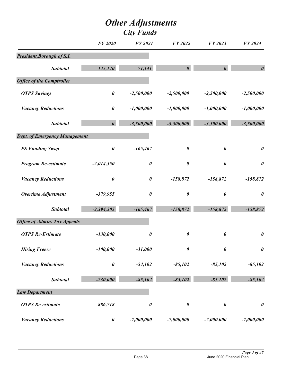|                                      | <b>FY 2020</b>        | <b>FY 2021</b>        | <b>FY 2022</b>        | FY 2023               | FY 2024               |
|--------------------------------------|-----------------------|-----------------------|-----------------------|-----------------------|-----------------------|
| President, Borough of S.I.           |                       |                       |                       |                       |                       |
| <b>Subtotal</b>                      | $-145,140$            | 71,141                | $\boldsymbol{\theta}$ | $\boldsymbol{\theta}$ | $\boldsymbol{\theta}$ |
| <b>Office of the Comptroller</b>     |                       |                       |                       |                       |                       |
| <b>OTPS Savings</b>                  | $\pmb{\theta}$        | $-2,500,000$          | $-2,500,000$          | $-2,500,000$          | $-2,500,000$          |
| <b>Vacancy Reductions</b>            | $\boldsymbol{\theta}$ | $-1,000,000$          | $-1,000,000$          | $-1,000,000$          | $-1,000,000$          |
| <b>Subtotal</b>                      | $\boldsymbol{\theta}$ | $-3,500,000$          | $-3,500,000$          | $-3,500,000$          | $-3,500,000$          |
| <b>Dept. of Emergency Management</b> |                       |                       |                       |                       |                       |
| <b>PS Funding Swap</b>               | $\pmb{\theta}$        | $-165,467$            | $\boldsymbol{\theta}$ | 0                     | $\boldsymbol{\theta}$ |
| <b>Program Re-estimate</b>           | $-2,014,550$          | $\boldsymbol{\theta}$ | $\boldsymbol{\theta}$ | 0                     | $\boldsymbol{\theta}$ |
| <b>Vacancy Reductions</b>            | $\pmb{\theta}$        | $\boldsymbol{\theta}$ | $-158,872$            | $-158,872$            | $-158,872$            |
| <b>Overtime Adjustment</b>           | $-379,955$            | $\pmb{\theta}$        | $\boldsymbol{\theta}$ | $\pmb{\theta}$        | $\boldsymbol{\theta}$ |
| <b>Subtotal</b>                      | $-2,394,505$          | $-165,467$            | $-158,872$            | $-158,872$            | $-158,872$            |
| <b>Office of Admin. Tax Appeals</b>  |                       |                       |                       |                       |                       |
| <b>OTPS Re-Estimate</b>              | $-130,000$            | $\boldsymbol{\theta}$ | $\pmb{\theta}$        | 0                     | $\boldsymbol{\theta}$ |
| <b>Hiring Freeze</b>                 | $-100,000$            | $-31,000$             | $\boldsymbol{\theta}$ | $\boldsymbol{\theta}$ | $\boldsymbol{\theta}$ |
| <b>Vacancy Reductions</b>            | $\pmb{\theta}$        | $-54,102$             | $-85,102$             | $-85,102$             | $-85,102$             |
| <b>Subtotal</b>                      | $-230,000$            | $-85,102$             | $-85,102$             | $-85,102$             | $-85,102$             |
| <b>Law Department</b>                |                       |                       |                       |                       |                       |
| <b>OTPS</b> Re-estimate              | $-886,718$            | $\boldsymbol{\theta}$ | $\boldsymbol{\theta}$ | $\pmb{\theta}$        | $\boldsymbol{\theta}$ |
| <b>Vacancy Reductions</b>            | $\pmb{\theta}$        | $-7,000,000$          | $-7,000,000$          | $-7,000,000$          | $-7,000,000$          |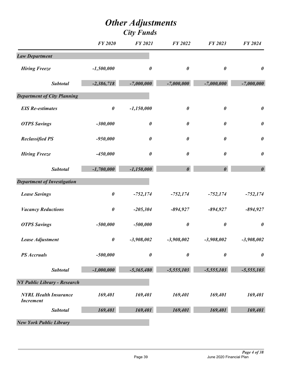|                                                  | <b>FY 2020</b>        | <b>FY 2021</b>        | <b>FY 2022</b>        | FY 2023               | FY 2024               |
|--------------------------------------------------|-----------------------|-----------------------|-----------------------|-----------------------|-----------------------|
| <b>Law Department</b>                            |                       |                       |                       |                       |                       |
| <b>Hiring Freeze</b>                             | $-1,500,000$          | $\boldsymbol{\theta}$ | $\boldsymbol{\theta}$ | $\boldsymbol{\theta}$ | $\boldsymbol{\theta}$ |
| <b>Subtotal</b>                                  | $-2,386,718$          | $-7,000,000$          | $-7,000,000$          | $-7,000,000$          | $-7,000,000$          |
| <b>Department of City Planning</b>               |                       |                       |                       |                       |                       |
| <b>EIS Re-estimates</b>                          | $\boldsymbol{\theta}$ | $-1,150,000$          | $\boldsymbol{\theta}$ | $\boldsymbol{\theta}$ | $\boldsymbol{\theta}$ |
| <b>OTPS Savings</b>                              | $-300,000$            | $\boldsymbol{\theta}$ | $\boldsymbol{\theta}$ | $\boldsymbol{\theta}$ | $\boldsymbol{\theta}$ |
| <b>Reclassified PS</b>                           | $-950,000$            | $\boldsymbol{\theta}$ | $\boldsymbol{\theta}$ | $\boldsymbol{\theta}$ | $\boldsymbol{\theta}$ |
| <b>Hiring Freeze</b>                             | $-450,000$            | $\boldsymbol{\theta}$ | $\boldsymbol{\theta}$ | $\boldsymbol{\theta}$ | $\boldsymbol{\theta}$ |
| <b>Subtotal</b>                                  | $-1,700,000$          | $-1,150,000$          | $\boldsymbol{\theta}$ | $\boldsymbol{\theta}$ | $\boldsymbol{\theta}$ |
| <b>Department of Investigation</b>               |                       |                       |                       |                       |                       |
| <b>Lease Savings</b>                             | $\pmb{\theta}$        | $-752,174$            | $-752,174$            | $-752,174$            | $-752,174$            |
| <b>Vacancy Reductions</b>                        | $\pmb{\theta}$        | $-205,304$            | $-894,927$            | $-894,927$            | $-894,927$            |
| <b>OTPS Savings</b>                              | $-500,000$            | $-500,000$            | $\pmb{\theta}$        | $\boldsymbol{\theta}$ | $\boldsymbol{\theta}$ |
| Lease Adjustment                                 | $\pmb{\theta}$        | $-3,908,002$          | $-3,908,002$          | $-3,908,002$          | $-3,908,002$          |
| <b>PS</b> Accruals                               | $-500,000$            | $\boldsymbol{\theta}$ | $\boldsymbol{\theta}$ | 0                     | $\boldsymbol{\theta}$ |
| <b>Subtotal</b>                                  | $-1,000,000$          | $-5,365,480$          | $-5,555,103$          | $-5,555,103$          | $-5,555,103$          |
| <b>NY Public Library - Research</b>              |                       |                       |                       |                       |                       |
| <b>NYRL Health Insurance</b><br><b>Increment</b> | 169,401               | 169,401               | 169,401               | 169,401               | 169,401               |
| <b>Subtotal</b>                                  | 169,401               | 169,401               | 169,401               | 169,401               | 169,401               |
| <b>New York Public Library</b>                   |                       |                       |                       |                       |                       |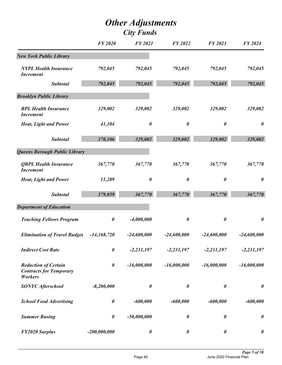|                                                                                 | <b>FY 2020</b>        | <b>FY 2021</b>        | FY 2022               | <b>FY 2023</b>        | FY 2024               |
|---------------------------------------------------------------------------------|-----------------------|-----------------------|-----------------------|-----------------------|-----------------------|
| <b>New York Public Library</b>                                                  |                       |                       |                       |                       |                       |
| <b>NYPL Health Insurance</b><br><b>Increment</b>                                | 792,045               | 792,045               | 792,045               | 792,045               | 792,045               |
| <b>Subtotal</b>                                                                 | 792,045               | 792,045               | 792,045               | 792,045               | 792,045               |
| <b>Brooklyn Public Library</b>                                                  |                       |                       |                       |                       |                       |
| <b>BPL Health Insurance</b><br><b>Increment</b>                                 | 329,002               | 329,002               | 329,002               | 329,002               | 329,002               |
| <b>Heat, Light and Power</b>                                                    | 41,104                | $\boldsymbol{\theta}$ | 0                     | 0                     | $\boldsymbol{\theta}$ |
| <b>Subtotal</b>                                                                 | 370,106               | 329,002               | 329,002               | 329,002               | 329,002               |
| <b>Queens Borough Public Library</b>                                            |                       |                       |                       |                       |                       |
| <b>QBPL Health Insurance</b><br><b>Increment</b>                                | 367,770               | 367,770               | 367,770               | 367,770               | 367,770               |
| <b>Heat, Light and Power</b>                                                    | 11,289                | $\boldsymbol{\theta}$ | 0                     | 0                     | $\boldsymbol{\theta}$ |
| <b>Subtotal</b>                                                                 | 379,059               | 367,770               | 367,770               | 367,770               | 367,770               |
| <b>Department of Education</b>                                                  |                       |                       |                       |                       |                       |
| <b>Teaching Fellows Program</b>                                                 | $\boldsymbol{\theta}$ | $-4,000,000$          | $\boldsymbol{\theta}$ | 0                     | $\boldsymbol{\theta}$ |
| <b>Elimination of Travel Budget</b>                                             | $-14,168,720$         | $-24,600,000$         | $-24,600,000$         | $-24,600,000$         | $-24,600,000$         |
| <b>Indirect Cost Rate</b>                                                       | $\boldsymbol{\theta}$ | $-2,231,197$          | $-2,231,197$          | $-2,231,197$          | $-2,231,197$          |
| <b>Reduction of Certain</b><br><b>Contracts for Temporary</b><br><b>Workers</b> | $\pmb{\theta}$        | $-16,000,000$         | $-16,000,000$         | $-16,000,000$         | $-16,000,000$         |
| <b>SONYC Afterschool</b>                                                        | $-8,200,000$          | $\boldsymbol{\theta}$ | $\boldsymbol{\theta}$ | $\boldsymbol{\theta}$ | $\boldsymbol{\theta}$ |
| <b>School Food Advertising</b>                                                  | $\boldsymbol{\theta}$ | $-600,000$            | $-600,000$            | $-600,000$            | $-600,000$            |
| <b>Summer Busing</b>                                                            | $\boldsymbol{\theta}$ | $-50,000,000$         | $\boldsymbol{\theta}$ | 0                     | $\boldsymbol{\theta}$ |
| <b>FY2020 Surplus</b>                                                           | $-200,000,000$        | $\boldsymbol{\theta}$ | $\boldsymbol{\theta}$ | $\pmb{\theta}$        | $\boldsymbol{\theta}$ |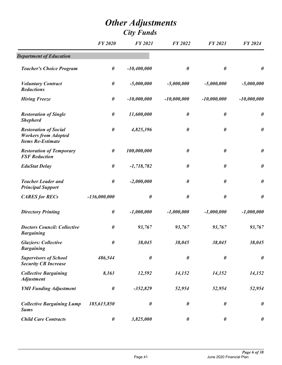|                                                                                         | <b>FY 2020</b>        | <b>FY 2021</b>        | FY 2022               | FY 2023               | <b>FY 2024</b>        |
|-----------------------------------------------------------------------------------------|-----------------------|-----------------------|-----------------------|-----------------------|-----------------------|
| <b>Department of Education</b>                                                          |                       |                       |                       |                       |                       |
| <b>Teacher's Choice Program</b>                                                         | $\boldsymbol{\theta}$ | $-10,400,000$         | $\boldsymbol{\theta}$ | $\boldsymbol{\theta}$ | $\boldsymbol{\theta}$ |
| <b>Voluntary Contract</b><br><b>Reductions</b>                                          | $\pmb{\theta}$        | $-5,000,000$          | $-5,000,000$          | $-5,000,000$          | $-5,000,000$          |
| <b>Hiring Freeze</b>                                                                    | $\pmb{\theta}$        | $-10,000,000$         | $-10,000,000$         | $-10,000,000$         | $-10,000,000$         |
| <b>Restoration of Single</b><br><b>Shepherd</b>                                         | $\boldsymbol{\theta}$ | 11,600,000            | $\boldsymbol{\theta}$ | $\boldsymbol{\theta}$ | $\boldsymbol{\theta}$ |
| <b>Restoration of Social</b><br><b>Workers from Adopted</b><br><b>Items Re-Estimate</b> | $\boldsymbol{\theta}$ | 4,825,396             | $\boldsymbol{\theta}$ | $\boldsymbol{\theta}$ | $\pmb{\theta}$        |
| <b>Restoration of Temporary</b><br><b>FSF</b> Reduction                                 | $\boldsymbol{\theta}$ | 100,000,000           | $\boldsymbol{\theta}$ | $\boldsymbol{\theta}$ | $\boldsymbol{\theta}$ |
| <b>EduStat Delay</b>                                                                    | $\pmb{\theta}$        | $-1,718,782$          | $\boldsymbol{\theta}$ | $\boldsymbol{\theta}$ | $\pmb{\theta}$        |
| <b>Teacher Leader and</b><br><b>Principal Support</b>                                   | $\boldsymbol{\theta}$ | $-2,000,000$          | $\boldsymbol{\theta}$ | $\boldsymbol{\theta}$ | $\pmb{\theta}$        |
| <b>CARES for RECs</b>                                                                   | $-136,000,000$        | $\pmb{\theta}$        | $\boldsymbol{\theta}$ | $\boldsymbol{\theta}$ | $\boldsymbol{\theta}$ |
| <b>Directory Printing</b>                                                               | $\boldsymbol{\theta}$ | $-1,000,000$          | $-1,000,000$          | $-1,000,000$          | $-1,000,000$          |
| <b>Doctors Council: Collective</b><br><b>Bargaining</b>                                 | $\boldsymbol{\theta}$ | 93,767                | 93,767                | 93,767                | 93,767                |
| <b>Glaziers: Collective</b><br><b>Bargaining</b>                                        | 0                     | 38,045                | 38,045                | 38,045                | 38,045                |
| <b>Supervisors of School</b><br><b>Security CB Increase</b>                             | 486,544               | $\pmb{\theta}$        | $\pmb{\theta}$        | $\boldsymbol{\theta}$ | $\pmb{\theta}$        |
| <b>Collective Bargaining</b><br><b>Adjustment</b>                                       | 8,163                 | 12,592                | 14,152                | 14,152                | 14,152                |
| <b>YMI Funding Adjustment</b>                                                           | $\boldsymbol{\theta}$ | $-352,829$            | 52,954                | 52,954                | 52,954                |
| <b>Collective Bargaining Lump</b><br><b>Sums</b>                                        | 185,615,850           | $\boldsymbol{\theta}$ | $\boldsymbol{\theta}$ | $\boldsymbol{\theta}$ | $\pmb{\theta}$        |
| <b>Child Care Contracts</b>                                                             | $\boldsymbol{\theta}$ | 3,825,000             | $\boldsymbol{\theta}$ | $\boldsymbol{\theta}$ | $\boldsymbol{\theta}$ |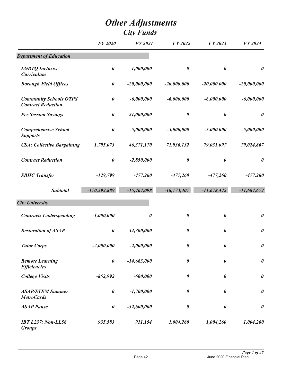|                                                            | <b>FY 2020</b>        | <b>FY 2021</b>        | FY 2022               | FY 2023               | FY 2024               |
|------------------------------------------------------------|-----------------------|-----------------------|-----------------------|-----------------------|-----------------------|
| <b>Department of Education</b>                             |                       |                       |                       |                       |                       |
| <b>LGBTQ</b> Inclusive<br><b>Curriculum</b>                | $\boldsymbol{\theta}$ | 1,000,000             | $\boldsymbol{\theta}$ | $\boldsymbol{\theta}$ | $\pmb{\theta}$        |
| <b>Borough Field Offices</b>                               | $\pmb{\theta}$        | $-20,000,000$         | $-20,000,000$         | $-20,000,000$         | $-20,000,000$         |
| <b>Community Schools OTPS</b><br><b>Contract Reduction</b> | $\boldsymbol{\theta}$ | $-6,000,000$          | $-6,000,000$          | $-6,000,000$          | $-6,000,000$          |
| <b>Per Session Savings</b>                                 | $\boldsymbol{\theta}$ | $-21,000,000$         | $\pmb{\theta}$        | $\boldsymbol{\theta}$ | $\boldsymbol{\theta}$ |
| <b>Comprehensive School</b><br><b>Supports</b>             | $\boldsymbol{\theta}$ | $-5,000,000$          | $-5,000,000$          | $-5,000,000$          | $-5,000,000$          |
| <b>CSA: Collective Bargaining</b>                          | 1,795,073             | 46,371,170            | 71,936,132            | 79,031,097            | 79,024,867            |
| <b>Contract Reduction</b>                                  | $\pmb{\theta}$        | $-2,850,000$          | $\pmb{\theta}$        | $\boldsymbol{\theta}$ | $\pmb{\theta}$        |
| <b>SBHC Transfer</b>                                       | $-129,799$            | $-477,260$            | $-477,260$            | $-477,260$            | $-477,260$            |
| <b>Subtotal</b>                                            | $-170,592,889$        | $-15,464,098$         | $-18,773,407$         | $-11,678,442$         | $-11,684,672$         |
| <b>City University</b>                                     |                       |                       |                       |                       |                       |
| <b>Contracts Underspending</b>                             | $-1,000,000$          | $\boldsymbol{\theta}$ | $\boldsymbol{\theta}$ | $\boldsymbol{\theta}$ | $\pmb{\theta}$        |
| <b>Restoration of ASAP</b>                                 | $\boldsymbol{\theta}$ | 34,300,000            | $\boldsymbol{\theta}$ | $\boldsymbol{\theta}$ | $\pmb{\theta}$        |
| <b>Tutor Corps</b>                                         | $-2,000,000$          | $-2,000,000$          | $\pmb{\theta}$        | $\pmb{\theta}$        | $\pmb{\theta}$        |
| <b>Remote Learning</b><br><b>Efficiencies</b>              | $\boldsymbol{\theta}$ | $-14,663,000$         | $\boldsymbol{\theta}$ | $\boldsymbol{\theta}$ | $\pmb{\theta}$        |
| <b>College Visits</b>                                      | $-852,992$            | $-600,000$            | $\boldsymbol{\theta}$ | $\boldsymbol{\theta}$ | $\pmb{\theta}$        |
| <b>ASAP/STEM Summer</b><br><b>MetroCards</b>               | $\boldsymbol{\theta}$ | $-1,700,000$          | $\boldsymbol{\theta}$ | $\boldsymbol{\theta}$ | $\boldsymbol{\theta}$ |
| <b>ASAP</b> Pause                                          | $\pmb{\theta}$        | $-32,600,000$         | $\boldsymbol{\theta}$ | $\boldsymbol{\theta}$ | $\pmb{\theta}$        |
| <b>IBT L237: Non-LL56</b><br><b>Groups</b>                 | 935,583               | 911,154               | 1,004,260             | 1,004,260             | 1,004,260             |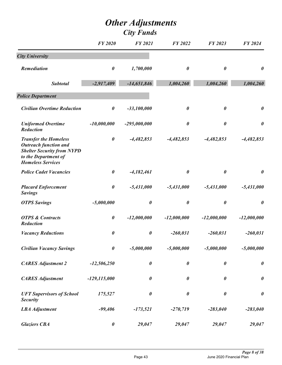|                                                                                                                                                       | <b>FY 2020</b>        | <b>FY 2021</b>        | FY 2022               | FY 2023               | FY 2024               |
|-------------------------------------------------------------------------------------------------------------------------------------------------------|-----------------------|-----------------------|-----------------------|-----------------------|-----------------------|
| <b>City University</b>                                                                                                                                |                       |                       |                       |                       |                       |
| <b>Remediation</b>                                                                                                                                    | $\boldsymbol{\theta}$ | 1,700,000             | 0                     | 0                     | $\boldsymbol{\theta}$ |
| <b>Subtotal</b>                                                                                                                                       | $-2,917,409$          | $-14,651,846$         | 1,004,260             | 1,004,260             | 1,004,260             |
| <b>Police Department</b>                                                                                                                              |                       |                       |                       |                       |                       |
| <b>Civilian Overtime Reduction</b>                                                                                                                    | $\boldsymbol{\theta}$ | $-33,100,000$         | $\pmb{\theta}$        | $\boldsymbol{\theta}$ | $\boldsymbol{\theta}$ |
| <b>Uniformed Overtime</b><br>Reduction                                                                                                                | $-10,000,000$         | $-295,000,000$        | $\boldsymbol{\theta}$ | $\boldsymbol{\theta}$ | $\boldsymbol{\theta}$ |
| <b>Transfer the Homeless</b><br><b>Outreach function and</b><br><b>Shelter Security from NYPD</b><br>to the Department of<br><b>Homeless Services</b> | $\boldsymbol{\theta}$ | $-4,482,853$          | $-4,482,853$          | $-4,482,853$          | $-4,482,853$          |
| <b>Police Cadet Vacancies</b>                                                                                                                         | $\boldsymbol{\theta}$ | $-4,182,461$          | $\boldsymbol{\theta}$ | $\boldsymbol{\theta}$ | $\boldsymbol{\theta}$ |
| <b>Placard Enforcement</b><br><b>Savings</b>                                                                                                          | $\boldsymbol{\theta}$ | $-5,431,000$          | $-5,431,000$          | $-5,431,000$          | $-5,431,000$          |
| <b>OTPS Savings</b>                                                                                                                                   | $-5,000,000$          | $\boldsymbol{\theta}$ | 0                     | 0                     | $\boldsymbol{\theta}$ |
| <b>OTPS &amp; Contracts</b><br>Reduction                                                                                                              | $\boldsymbol{\theta}$ | $-12,000,000$         | $-12,000,000$         | $-12,000,000$         | $-12,000,000$         |
| <b>Vacancy Reductions</b>                                                                                                                             | $\boldsymbol{\theta}$ | $\boldsymbol{\theta}$ | $-260,031$            | $-260,031$            | $-260,031$            |
| <b>Civilian Vacancy Savings</b>                                                                                                                       | $\boldsymbol{\theta}$ | $-5,000,000$          | $-5,000,000$          | $-5,000,000$          | $-5,000,000$          |
| <b>CARES Adjustment 2</b>                                                                                                                             | $-12,506,250$         | $\boldsymbol{\theta}$ | $\pmb{\theta}$        | $\boldsymbol{\theta}$ | $\boldsymbol{\theta}$ |
| <b>CARES Adjustment</b>                                                                                                                               | $-129, 115, 000$      | $\pmb{\theta}$        | $\boldsymbol{\theta}$ | $\boldsymbol{\theta}$ | $\boldsymbol{\theta}$ |
| <b>UFT Supervisors of School</b><br><b>Security</b>                                                                                                   | 175,527               | $\boldsymbol{\theta}$ | 0                     | $\pmb{\theta}$        | $\boldsymbol{\theta}$ |
| <b>LBA</b> Adjustment                                                                                                                                 | $-99,406$             | $-173,521$            | $-270,719$            | $-283,040$            | $-283,040$            |
| <b>Glaziers CBA</b>                                                                                                                                   | $\pmb{\theta}$        | 29,047                | 29,047                | 29,047                | 29,047                |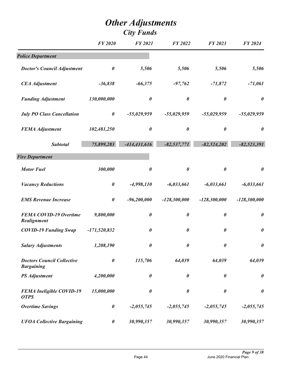|                                                        | <b>FY 2020</b>        | FY 2021               | FY 2022               | FY 2023               | <b>FY 2024</b>        |
|--------------------------------------------------------|-----------------------|-----------------------|-----------------------|-----------------------|-----------------------|
| <b>Police Department</b>                               |                       |                       |                       |                       |                       |
| <b>Doctor's Council Adjustment</b>                     | $\boldsymbol{\theta}$ | 5,506                 | 5,506                 | 5,506                 | 5,506                 |
| <b>CEA</b> Adjustment                                  | $-36,838$             | $-66,375$             | $-97,762$             | $-71,872$             | $-71,061$             |
| <b>Funding Adjustment</b>                              | 130,000,000           | $\pmb{\theta}$        | $\boldsymbol{\theta}$ | $\pmb{\theta}$        | $\boldsymbol{\theta}$ |
| <b>July PO Class Cancellation</b>                      | $\boldsymbol{\theta}$ | $-55,029,959$         | $-55,029,959$         | $-55,029,959$         | $-55,029,959$         |
| <b>FEMA Adjustment</b>                                 | 102,481,250           | $\boldsymbol{\theta}$ | $\boldsymbol{\theta}$ | $\pmb{\theta}$        | $\boldsymbol{\theta}$ |
| <b>Subtotal</b>                                        | 75,899,283            | $-414,431,616$        | $-82,537,771$         | $-82,524,202$         | $-82,523,391$         |
| <b>Fire Department</b>                                 |                       |                       |                       |                       |                       |
| <b>Motor Fuel</b>                                      | 300,000               | $\boldsymbol{\theta}$ | $\boldsymbol{\theta}$ | $\boldsymbol{\theta}$ | $\pmb{\theta}$        |
| <b>Vacancy Reductions</b>                              | $\boldsymbol{\theta}$ | $-4,998,110$          | $-6,033,661$          | $-6,033,661$          | $-6,033,661$          |
| <b>EMS Revenue Increase</b>                            | $\pmb{\theta}$        | $-96,200,000$         | $-128,300,000$        | $-128,300,000$        | $-128,300,000$        |
| <b>FEMA COVID-19 Overtime</b><br>Realignment           | 9,800,000             | $\pmb{\theta}$        | $\boldsymbol{\theta}$ | $\pmb{\theta}$        | $\boldsymbol{\theta}$ |
| <b>COVID-19 Funding Swap</b>                           | $-171,520,832$        | $\boldsymbol{\theta}$ | $\boldsymbol{\theta}$ | $\boldsymbol{\theta}$ | $\pmb{\theta}$        |
| <b>Salary Adjustments</b>                              | 1,208,190             | 0                     | $\boldsymbol{\theta}$ | $\boldsymbol{\theta}$ | $\boldsymbol{\theta}$ |
| <b>Doctors Council Collective</b><br><b>Bargaining</b> | $\boldsymbol{\theta}$ | 115,706               | 64,039                | 64,039                | 64,039                |
| <b>PS</b> Adjustment                                   | 4,200,000             | $\pmb{\theta}$        | $\boldsymbol{\theta}$ | $\pmb{\theta}$        | $\boldsymbol{\theta}$ |
| <b>FEMA Ineligible COVID-19</b><br><b>OTPS</b>         | 15,000,000            | $\boldsymbol{\theta}$ | $\boldsymbol{\theta}$ | $\pmb{\theta}$        | $\boldsymbol{\theta}$ |
| <b>Overtime Savings</b>                                | $\pmb{\theta}$        | $-2,055,745$          | $-2,055,745$          | $-2,055,745$          | $-2,055,745$          |
| <b>UFOA Collective Bargaining</b>                      | $\boldsymbol{\theta}$ | 30,990,357            | 30,990,357            | 30,990,357            | 30,990,357            |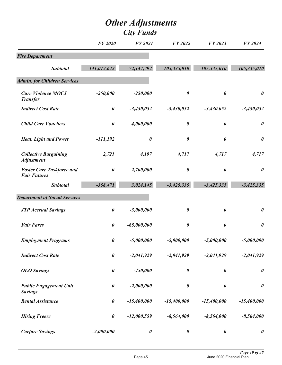|                                                         | <b>FY 2020</b>        | <b>FY 2021</b>        | <b>FY 2022</b>        | FY 2023               | FY 2024               |
|---------------------------------------------------------|-----------------------|-----------------------|-----------------------|-----------------------|-----------------------|
| <b>Fire Department</b>                                  |                       |                       |                       |                       |                       |
| <b>Subtotal</b>                                         | $-141,012,642$        | $-72,147,792$         | $-105,335,010$        | $-105,335,010$        | $-105,335,010$        |
| <b>Admin. for Children Services</b>                     |                       |                       |                       |                       |                       |
| <b>Cure Violence MOCJ</b><br><b>Transfer</b>            | $-250,000$            | $-250,000$            | $\boldsymbol{\theta}$ | $\boldsymbol{\theta}$ | $\boldsymbol{\theta}$ |
| <b>Indirect Cost Rate</b>                               | $\boldsymbol{\theta}$ | $-3,430,052$          | $-3,430,052$          | $-3,430,052$          | $-3,430,052$          |
| <b>Child Care Vouchers</b>                              | $\pmb{\theta}$        | 4,000,000             | $\boldsymbol{\theta}$ | $\boldsymbol{\theta}$ | $\boldsymbol{\theta}$ |
| <b>Heat, Light and Power</b>                            | $-111,192$            | $\boldsymbol{\theta}$ | $\boldsymbol{\theta}$ | $\boldsymbol{\theta}$ | $\boldsymbol{\theta}$ |
| <b>Collective Bargaining</b><br><b>Adjustment</b>       | 2,721                 | 4,197                 | 4,717                 | 4,717                 | 4,717                 |
| <b>Foster Care Taskforce and</b><br><b>Fair Futures</b> | $\boldsymbol{\theta}$ | 2,700,000             | $\boldsymbol{\theta}$ | $\boldsymbol{\theta}$ | $\boldsymbol{\theta}$ |
| <b>Subtotal</b>                                         | $-358,471$            | 3,024,145             | $-3,425,335$          | $-3,425,335$          | $-3,425,335$          |
| <b>Department of Social Services</b>                    |                       |                       |                       |                       |                       |
| <b>JTP Accrual Savings</b>                              | $\boldsymbol{\theta}$ | $-3,000,000$          | $\boldsymbol{\theta}$ | $\pmb{\theta}$        | $\boldsymbol{\theta}$ |
| <b>Fair Fares</b>                                       | $\boldsymbol{\theta}$ | $-65,000,000$         | $\boldsymbol{\theta}$ | $\boldsymbol{\theta}$ | $\boldsymbol{\theta}$ |
| <b>Employment Programs</b>                              | $\boldsymbol{\theta}$ | $-5,000,000$          | $-5,000,000$          | $-5,000,000$          | $-5,000,000$          |
| <b>Indirect Cost Rate</b>                               | $\boldsymbol{\theta}$ | $-2,041,929$          | $-2,041,929$          | $-2,041,929$          | $-2,041,929$          |
| <b>OEO</b> Savings                                      | $\boldsymbol{\theta}$ | $-450,000$            | $\pmb{\theta}$        | $\boldsymbol{\theta}$ | $\boldsymbol{\theta}$ |
| <b>Public Engagement Unit</b><br><b>Savings</b>         | $\boldsymbol{\theta}$ | $-2,000,000$          | $\boldsymbol{\theta}$ | $\pmb{\theta}$        | $\boldsymbol{\theta}$ |
| <b>Rental Assistance</b>                                | $\pmb{\theta}$        | $-15,400,000$         | $-15,400,000$         | $-15,400,000$         | $-15,400,000$         |
| <b>Hiring Freeze</b>                                    | $\pmb{\theta}$        | $-12,000,559$         | $-8,564,000$          | $-8,564,000$          | $-8,564,000$          |
| <b>Carfare Savings</b>                                  | $-2,000,000$          | $\pmb{\theta}$        | $\pmb{\theta}$        | $\boldsymbol{\theta}$ | $\pmb{\theta}$        |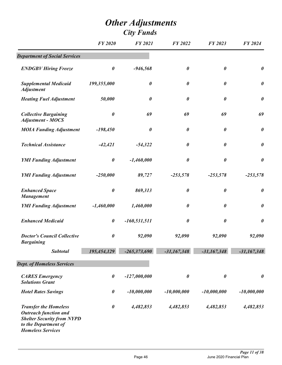|                                                                                                                                                       | <b>FY 2020</b>        | <b>FY 2021</b>        | FY 2022               | FY 2023               | FY 2024               |
|-------------------------------------------------------------------------------------------------------------------------------------------------------|-----------------------|-----------------------|-----------------------|-----------------------|-----------------------|
| <b>Department of Social Services</b>                                                                                                                  |                       |                       |                       |                       |                       |
| <b>ENDGBV Hiring Freeze</b>                                                                                                                           | $\boldsymbol{\theta}$ | $-946,568$            | $\boldsymbol{\theta}$ | $\boldsymbol{\theta}$ | $\boldsymbol{\theta}$ |
| <b>Supplemental Medicaid</b><br><b>Adjustment</b>                                                                                                     | 199,355,000           | $\boldsymbol{\theta}$ | $\boldsymbol{\theta}$ | $\boldsymbol{\theta}$ | $\boldsymbol{\theta}$ |
| <b>Heating Fuel Adjustment</b>                                                                                                                        | 50,000                | $\boldsymbol{\theta}$ | 0                     | $\boldsymbol{\theta}$ | $\boldsymbol{\theta}$ |
| <b>Collective Bargaining</b><br><b>Adjustment - MOCS</b>                                                                                              | $\boldsymbol{\theta}$ | 69                    | 69                    | 69                    | 69                    |
| <b>MOIA Funding Adjustment</b>                                                                                                                        | $-198,450$            | $\boldsymbol{\theta}$ | $\boldsymbol{\theta}$ | $\boldsymbol{\theta}$ | $\boldsymbol{\theta}$ |
| <b>Technical Assistance</b>                                                                                                                           | $-42,421$             | $-54,322$             | $\boldsymbol{\theta}$ | $\boldsymbol{\theta}$ | $\boldsymbol{\theta}$ |
| <b>YMI Funding Adjustment</b>                                                                                                                         | $\pmb{\theta}$        | $-1,460,000$          | 0                     | $\pmb{\theta}$        | $\boldsymbol{\theta}$ |
| <b>YMI Funding Adjustment</b>                                                                                                                         | $-250,000$            | 89,727                | $-253,578$            | $-253,578$            | $-253,578$            |
| <b>Enhanced Space</b><br><b>Management</b>                                                                                                            | $\boldsymbol{\theta}$ | 869,313               | $\boldsymbol{\theta}$ | $\boldsymbol{\theta}$ | $\boldsymbol{\theta}$ |
| <b>YMI Funding Adjustment</b>                                                                                                                         | $-1,460,000$          | 1,460,000             | $\boldsymbol{\theta}$ | $\boldsymbol{\theta}$ | $\boldsymbol{\theta}$ |
| <b>Enhanced Medicaid</b>                                                                                                                              | $\boldsymbol{\theta}$ | $-160, 531, 511$      | 0                     | $\pmb{\theta}$        | $\boldsymbol{\theta}$ |
| <b>Doctor's Council Collective</b><br><b>Bargaining</b>                                                                                               | 0                     | 92,090                | 92,090                | 92,090                | 92,090                |
| <b>Subtotal</b>                                                                                                                                       | 195,454,129           | $-265,373,690$        | $-31,167,348$         | $-31,167,348$         | $-31,167,348$         |
| <b>Dept. of Homeless Services</b>                                                                                                                     |                       |                       |                       |                       |                       |
| <b>CARES</b> Emergency<br><b>Solutions Grant</b>                                                                                                      | $\boldsymbol{\theta}$ | $-127,000,000$        | $\boldsymbol{\theta}$ | $\boldsymbol{\theta}$ | $\boldsymbol{\theta}$ |
| <b>Hotel Rates Savings</b>                                                                                                                            | $\boldsymbol{\theta}$ | $-10,000,000$         | $-10,000,000$         | $-10,000,000$         | $-10,000,000$         |
| <b>Transfer the Homeless</b><br><b>Outreach function and</b><br><b>Shelter Security from NYPD</b><br>to the Department of<br><b>Homeless Services</b> | $\boldsymbol{\theta}$ | 4,482,853             | 4,482,853             | 4,482,853             | 4,482,853             |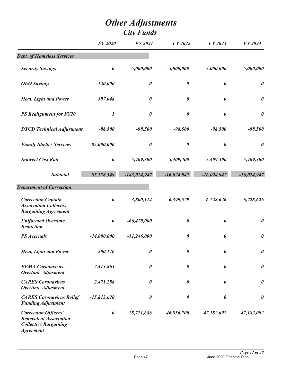|                                                                                                                  | <b>FY 2020</b>        | <b>FY 2021</b>        | <b>FY 2022</b>        | FY 2023               | <b>FY 2024</b>        |
|------------------------------------------------------------------------------------------------------------------|-----------------------|-----------------------|-----------------------|-----------------------|-----------------------|
| <b>Dept. of Homeless Services</b>                                                                                |                       |                       |                       |                       |                       |
| <b>Security Savings</b>                                                                                          | $\boldsymbol{\theta}$ | $-5,000,000$          | $-5,000,000$          | $-5,000,000$          | $-5,000,000$          |
| <b>OEO</b> Savings                                                                                               | $-120,000$            | $\boldsymbol{\theta}$ | $\boldsymbol{\theta}$ | $\boldsymbol{\theta}$ | $\boldsymbol{\theta}$ |
| <b>Heat, Light and Power</b>                                                                                     | 397,048               | $\boldsymbol{\theta}$ | $\boldsymbol{\theta}$ | $\boldsymbol{\theta}$ | $\boldsymbol{\theta}$ |
| <b>PS Realignment for FY20</b>                                                                                   | $\boldsymbol{l}$      | $\boldsymbol{\theta}$ | $\boldsymbol{\theta}$ | $\boldsymbol{\theta}$ | $\boldsymbol{\theta}$ |
| <b>DYCD</b> Technical Adjustment                                                                                 | $-98,500$             | $-98,500$             | $-98,500$             | $-98,500$             | $-98,500$             |
| <b>Family Shelter Services</b>                                                                                   | 85,000,000            | $\pmb{\theta}$        | $\boldsymbol{\theta}$ | $\boldsymbol{\theta}$ | $\boldsymbol{\theta}$ |
| <b>Indirect Cost Rate</b>                                                                                        | $\pmb{\theta}$        | $-5,409,300$          | $-5,409,300$          | $-5,409,300$          | $-5,409,300$          |
| <b>Subtotal</b>                                                                                                  | 85,178,549            | $-143,024,947$        | $-16,024,947$         | $-16,024,947$         | $-16,024,947$         |
| <b>Department of Correction</b>                                                                                  |                       |                       |                       |                       |                       |
| <b>Correction Captain</b><br><b>Association Collective</b><br><b>Bargaining Agreement</b>                        | $\boldsymbol{\theta}$ | 3,800,114             | 6,399,579             | 6,728,626             | 6,728,626             |
| <b>Uniformed Overtime</b><br>Reduction                                                                           | $\boldsymbol{\theta}$ | $-66,470,000$         | $\boldsymbol{\theta}$ | $\pmb{\theta}$        | $\pmb{\theta}$        |
| <b>PS</b> Accruals                                                                                               | $-14,000,000$         | $-11,246,000$         | 0                     | 0                     | $\boldsymbol{\theta}$ |
| <b>Heat, Light and Power</b>                                                                                     | $-200,146$            | $\boldsymbol{\theta}$ | $\boldsymbol{\theta}$ | 0                     | $\pmb{\theta}$        |
| <b>FEMA Coronavirus</b><br><b>Overtime Adjusment</b>                                                             | 7,413,863             | $\boldsymbol{\theta}$ | $\boldsymbol{\theta}$ | $\boldsymbol{\theta}$ | $\boldsymbol{\theta}$ |
| <b>CARES Coronavirus</b><br><b>Overtime Adjusment</b>                                                            | 2,471,288             | $\boldsymbol{\theta}$ | $\boldsymbol{\theta}$ | $\pmb{\theta}$        | $\boldsymbol{\theta}$ |
| <b>CARES Coronavirus Relief</b><br><b>Funding Adjustment</b>                                                     | $-15,813,620$         | 0                     | $\boldsymbol{\theta}$ | 0                     | $\boldsymbol{\theta}$ |
| <b>Correction Officers'</b><br><b>Benevolent Association</b><br><b>Collective Bargaining</b><br><b>Agreement</b> | $\pmb{\theta}$        | 28,721,636            | 46,856,700            | 47,182,092            | 47,182,092            |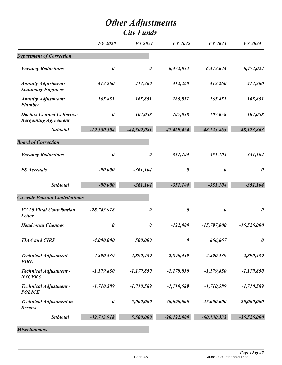|                                                                  | <b>FY 2020</b> | <b>FY 2021</b>        | <b>FY 2022</b>        | FY 2023               | <b>FY 2024</b>        |
|------------------------------------------------------------------|----------------|-----------------------|-----------------------|-----------------------|-----------------------|
| <b>Department of Correction</b>                                  |                |                       |                       |                       |                       |
| <b>Vacancy Reductions</b>                                        | 0              | $\boldsymbol{\theta}$ | $-6,472,024$          | $-6,472,024$          | $-6,472,024$          |
| <b>Annuity Adjustment:</b><br><b>Stationary Engineer</b>         | 412,260        | 412,260               | 412,260               | 412,260               | 412,260               |
| <b>Annuity Adjustment:</b><br><b>Plumber</b>                     | 165,851        | 165,851               | 165,851               | 165,851               | 165,851               |
| <b>Doctors Council Collective</b><br><b>Bargaining Agreement</b> | $\pmb{\theta}$ | 107,058               | 107,058               | 107,058               | 107,058               |
| <b>Subtotal</b>                                                  | $-19,550,504$  | $-44,509,081$         | 47,469,424            | 48,123,863            | 48,123,863            |
| <b>Board of Correction</b>                                       |                |                       |                       |                       |                       |
| <b>Vacancy Reductions</b>                                        | $\pmb{\theta}$ | $\boldsymbol{\theta}$ | $-351,104$            | $-351,104$            | $-351,104$            |
| <b>PS</b> Accruals                                               | $-90,000$      | $-361,104$            | $\boldsymbol{\theta}$ | $\boldsymbol{\theta}$ | $\boldsymbol{\theta}$ |
| <b>Subtotal</b>                                                  | $-90,000$      | $-361,104$            | $-351,104$            | $-351,104$            | $-351,104$            |
| <b>Citywide Pension Contributions</b>                            |                |                       |                       |                       |                       |
| <b>FY 20 Final Contribution</b><br>Letter                        | $-28,743,918$  | $\boldsymbol{\theta}$ | $\boldsymbol{\theta}$ | $\pmb{\theta}$        | $\boldsymbol{\theta}$ |
| <b>Headcount Changes</b>                                         | 0              | $\boldsymbol{\theta}$ | $-122,000$            | $-15,797,000$         | $-15,526,000$         |
| <b>TIAA</b> and <b>CIRS</b>                                      | $-4,000,000$   | 500,000               | $\boldsymbol{\theta}$ | 666,667               | $\boldsymbol{\theta}$ |
| <b>Technical Adjustment -</b><br><b>FIRE</b>                     | 2,890,439      | 2,890,439             | 2,890,439             | 2,890,439             | 2,890,439             |
| <b>Technical Adjustment -</b><br><b>NYCERS</b>                   | $-1,179,850$   | $-1,179,850$          | $-1,179,850$          | $-1,179,850$          | $-1,179,850$          |
| <b>Technical Adjustment -</b><br><b>POLICE</b>                   | $-1,710,589$   | $-1,710,589$          | $-1,710,589$          | $-1,710,589$          | $-1,710,589$          |
| <b>Technical Adjustment in</b><br>Reserve                        | $\pmb{\theta}$ | 5,000,000             | $-20,000,000$         | $-45,000,000$         | $-20,000,000$         |
| <b>Subtotal</b>                                                  | $-32,743,918$  | 5,500,000             | $-20,122,000$         | $-60,130,333$         | $-35,526,000$         |

*Miscellaneous*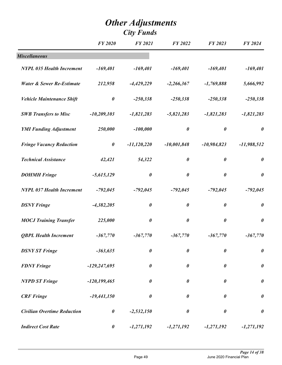|                                      | <b>FY 2020</b>        | <b>FY 2021</b>        | <b>FY 2022</b>        | FY 2023               | <b>FY 2024</b>        |
|--------------------------------------|-----------------------|-----------------------|-----------------------|-----------------------|-----------------------|
| <b>Miscellaneous</b>                 |                       |                       |                       |                       |                       |
| <b>NYPL 035 Health Increment</b>     | $-169,401$            | $-169,401$            | $-169,401$            | $-169,401$            | $-169,401$            |
| <b>Water &amp; Sewer Re-Estimate</b> | 212,958               | $-4,429,229$          | $-2,266,367$          | $-1,769,888$          | 5,666,992             |
| <b>Vehicle Maintenance Shift</b>     | $\pmb{\theta}$        | $-250,338$            | $-250,338$            | $-250,338$            | $-250,338$            |
| <b>SWB Transfers to Misc</b>         | $-10,209,103$         | $-1,821,283$          | $-5,821,283$          | $-1,821,283$          | $-1,821,283$          |
| <b>YMI Funding Adjustment</b>        | 250,000               | $-100,000$            | $\boldsymbol{\theta}$ | $\boldsymbol{\theta}$ | $\boldsymbol{\theta}$ |
| <b>Fringe Vacancy Reduction</b>      | $\boldsymbol{\theta}$ | $-11,120,220$         | $-10,001,848$         | $-10,984,823$         | $-11,988,512$         |
| <b>Technical Assistance</b>          | 42,421                | 54,322                | $\boldsymbol{\theta}$ | $\boldsymbol{\theta}$ | $\boldsymbol{\theta}$ |
| <b>DOHMH</b> Fringe                  | $-5,615,129$          | $\boldsymbol{\theta}$ | $\boldsymbol{\theta}$ | $\boldsymbol{\theta}$ | $\boldsymbol{\theta}$ |
| <b>NYPL 037 Health Increment</b>     | $-792,045$            | $-792,045$            | $-792,045$            | $-792,045$            | $-792,045$            |
| <b>DSNY Fringe</b>                   | $-4,382,205$          | $\boldsymbol{\theta}$ | $\boldsymbol{\theta}$ | $\boldsymbol{\theta}$ | $\boldsymbol{\theta}$ |
| <b>MOCJ Training Transfer</b>        | 225,000               | $\boldsymbol{\theta}$ | $\boldsymbol{\theta}$ | $\boldsymbol{\theta}$ | $\boldsymbol{\theta}$ |
| <b>QBPL Health Increment</b>         | $-367,770$            | $-367,770$            | $-367,770$            | $-367,770$            | $-367,770$            |
| <b>DSNY ST Fringe</b>                | $-363,635$            | $\boldsymbol{\theta}$ | $\boldsymbol{\theta}$ | 0                     | $\pmb{\theta}$        |
| <b>FDNY Fringe</b>                   | $-129,247,695$        | $\boldsymbol{\theta}$ | $\boldsymbol{\theta}$ | $\boldsymbol{\theta}$ | $\pmb{\theta}$        |
| <b>NYPD ST Fringe</b>                | $-120, 199, 465$      | $\boldsymbol{\theta}$ | $\boldsymbol{\theta}$ | $\boldsymbol{\theta}$ | $\pmb{\theta}$        |
| <b>CRF</b> Fringe                    | $-19,441,150$         | $\boldsymbol{\theta}$ | $\boldsymbol{\theta}$ | $\boldsymbol{\theta}$ | $\pmb{\theta}$        |
| <b>Civilian Overtime Reduction</b>   | $\boldsymbol{\theta}$ | $-2,532,150$          | $\boldsymbol{\theta}$ | $\boldsymbol{\theta}$ | $\boldsymbol{\theta}$ |
| <b>Indirect Cost Rate</b>            | $\boldsymbol{\theta}$ | $-1,271,192$          | $-1,271,192$          | $-1,271,192$          | $-1,271,192$          |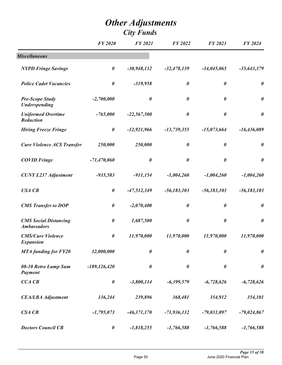|                                                    | <b>FY 2020</b>        | <b>FY 2021</b>        | <b>FY 2022</b>        | FY 2023               | <b>FY 2024</b>        |
|----------------------------------------------------|-----------------------|-----------------------|-----------------------|-----------------------|-----------------------|
| <b>Miscellaneous</b>                               |                       |                       |                       |                       |                       |
| <b>NYPD Fringe Savings</b>                         | $\boldsymbol{\theta}$ | $-30,948,132$         | $-32,478,139$         | $-34,045,065$         | $-35,643,379$         |
| <b>Police Cadet Vacancies</b>                      | $\boldsymbol{\theta}$ | $-319,958$            | $\boldsymbol{\theta}$ | $\boldsymbol{\theta}$ | $\boldsymbol{\theta}$ |
| <b>Pre-Scope Study</b><br><b>Underspending</b>     | $-2,700,000$          | $\pmb{\theta}$        | $\boldsymbol{\theta}$ | $\boldsymbol{\theta}$ | $\boldsymbol{\theta}$ |
| <b>Uniformed Overtime</b><br>Reduction             | $-765,000$            | $-22,567,500$         | $\boldsymbol{\theta}$ | $\boldsymbol{\theta}$ | $\boldsymbol{\theta}$ |
| <b>Hiring Freeze Fringe</b>                        | $\boldsymbol{\theta}$ | $-12,921,966$         | $-13,739,355$         | $-15,073,664$         | $-16,436,089$         |
| <b>Cure Violence ACS Transfer</b>                  | 250,000               | 250,000               | $\boldsymbol{\theta}$ | $\boldsymbol{\theta}$ | $\boldsymbol{\theta}$ |
| <b>COVID Fringe</b>                                | $-71,470,060$         | $\boldsymbol{\theta}$ | $\boldsymbol{\theta}$ | $\boldsymbol{\theta}$ | $\boldsymbol{\theta}$ |
| <b>CUNY L237 Adjustment</b>                        | $-935,583$            | $-911,154$            | $-1,004,260$          | $-1,004,260$          | $-1,004,260$          |
| <b>USA CB</b>                                      | $\boldsymbol{\theta}$ | $-47,512,349$         | $-56,183,103$         | $-56,183,103$         | $-56,183,103$         |
| <b>CMS</b> Transfer to DOP                         | $\boldsymbol{\theta}$ | $-2,070,400$          | $\boldsymbol{\theta}$ | $\boldsymbol{\theta}$ | $\boldsymbol{\theta}$ |
| <b>CMS Social Distancing</b><br><b>Ambassadors</b> | $\boldsymbol{\theta}$ | 1,687,500             | $\boldsymbol{\theta}$ | $\pmb{\theta}$        | $\boldsymbol{\theta}$ |
| <b>CMS/Cure Violence</b><br><b>Expansion</b>       | $\boldsymbol{\theta}$ | 11,970,000            | 11,970,000            | 11,970,000            | 11,970,000            |
| <b>MTA</b> funding for FY20                        | 32,000,000            | $\pmb{\theta}$        | $\pmb{\theta}$        | $\pmb{\theta}$        | $\pmb{\theta}$        |
| 08-10 Retro Lump Sum<br>Payment                    | $-189, 126, 420$      | $\boldsymbol{\theta}$ | $\boldsymbol{\theta}$ | $\boldsymbol{\theta}$ | $\boldsymbol{\theta}$ |
| CCA CB                                             | $\boldsymbol{\theta}$ | $-3,800,114$          | $-6,399,579$          | $-6,728,626$          | $-6,728,626$          |
| <b>CEA/LBA Adjustment</b>                          | 136,244               | 239,896               | 368,481               | 354,912               | 354,101               |
| CSA CB                                             | $-1,795,073$          | $-46,371,170$         | $-71,936,132$         | $-79,031,097$         | $-79,024,867$         |
| <b>Doctors Council CB</b>                          | $\boldsymbol{\theta}$ | $-1,818,255$          | $-1,766,588$          | $-1,766,588$          | $-1,766,588$          |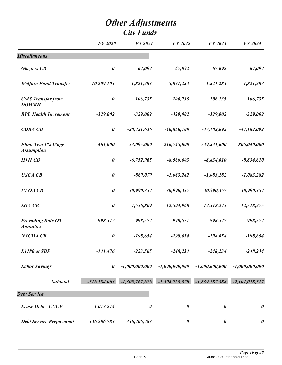|                                               | <b>FY 2020</b>        | <b>FY 2021</b>        | <b>FY 2022</b>        | FY 2023               | <b>FY 2024</b>        |
|-----------------------------------------------|-----------------------|-----------------------|-----------------------|-----------------------|-----------------------|
| <b>Miscellaneous</b>                          |                       |                       |                       |                       |                       |
| <b>Glaziers CB</b>                            | $\boldsymbol{\theta}$ | $-67,092$             | $-67,092$             | $-67,092$             | $-67,092$             |
| <b>Welfare Fund Transfer</b>                  | 10,209,103            | 1,821,283             | 5,821,283             | 1,821,283             | 1,821,283             |
| <b>CMS</b> Transfer from<br><b>DOHMH</b>      | $\boldsymbol{\theta}$ | 106,735               | 106,735               | 106,735               | 106,735               |
| <b>BPL Health Increment</b>                   | $-329,002$            | $-329,002$            | $-329,002$            | $-329,002$            | $-329,002$            |
| <b>COBA CB</b>                                | $\boldsymbol{\theta}$ | $-28,721,636$         | $-46,856,700$         | $-47,182,092$         | $-47,182,092$         |
| Elim. Two 1% Wage<br><b>Assumption</b>        | $-461,000$            | $-53,095,000$         | $-216,745,000$        | $-539,831,000$        | $-805,040,000$        |
| $H+HCB$                                       | $\boldsymbol{\theta}$ | $-6,752,965$          | $-8,560,603$          | $-8,834,610$          | $-8,834,610$          |
| <b>USCA CB</b>                                | $\boldsymbol{\theta}$ | $-869,079$            | $-1,083,282$          | $-1,083,282$          | $-1,083,282$          |
| <b>UFOA CB</b>                                | $\boldsymbol{\theta}$ | $-30,990,357$         | $-30,990,357$         | $-30,990,357$         | $-30,990,357$         |
| <b>SOA CB</b>                                 | $\boldsymbol{\theta}$ | $-7,556,809$          | $-12,504,968$         | $-12,518,275$         | $-12,518,275$         |
| <b>Prevailing Rate OT</b><br><b>Annuities</b> | $-998,577$            | $-998,577$            | $-998,577$            | $-998,577$            | $-998,577$            |
| NYCHA CB                                      | $\boldsymbol{\theta}$ | $-198,654$            | $-198,654$            | $-198,654$            | $-198,654$            |
| L1180 at SBS                                  | $-141,476$            | $-223,565$            | $-248,234$            | $-248,234$            | $-248,234$            |
| <b>Labor Savings</b>                          | $\boldsymbol{\theta}$ | $-1,000,000,000$      | $-1,000,000,000$      | $-1,000,000,000$      | $-1,000,000,000$      |
| <b>Subtotal</b>                               | $-516,184,063$        | $-1,305,767,626$      | $-1,504,763,370$      | $-1,839,287,388$      | $-2,101,018,517$      |
| <b>Debt Service</b>                           |                       |                       |                       |                       |                       |
| <b>Lease Debt - CUCF</b>                      | $-1,073,274$          | $\boldsymbol{\theta}$ | $\boldsymbol{\theta}$ | $\boldsymbol{\theta}$ | $\boldsymbol{\theta}$ |
| <b>Debt Service Prepayment</b>                | $-336,206,783$        | 336,206,783           | $\boldsymbol{\theta}$ | $\boldsymbol{\theta}$ | $\boldsymbol{\theta}$ |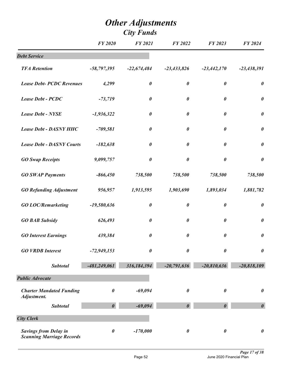|                                                                  | <b>FY 2020</b>        | <b>FY 2021</b>        | FY 2022               | FY 2023               | <b>FY 2024</b>        |
|------------------------------------------------------------------|-----------------------|-----------------------|-----------------------|-----------------------|-----------------------|
| <b>Debt Service</b>                                              |                       |                       |                       |                       |                       |
| <b>TFA Retention</b>                                             | $-58,797,395$         | $-22,674,484$         | $-23,433,826$         | $-23,442,170$         | $-23,438,391$         |
| <b>Lease Debt- PCDC Revenues</b>                                 | 4,299                 | $\boldsymbol{\theta}$ | $\boldsymbol{\theta}$ | $\boldsymbol{\theta}$ | $\boldsymbol{\theta}$ |
| Lease Debt - PCDC                                                | $-73,719$             | $\boldsymbol{\theta}$ | $\boldsymbol{\theta}$ | $\boldsymbol{\theta}$ | $\pmb{\theta}$        |
| <b>Lease Debt - NYSE</b>                                         | $-1,936,322$          | $\boldsymbol{\theta}$ | $\boldsymbol{\theta}$ | $\boldsymbol{\theta}$ | $\pmb{\theta}$        |
| <b>Lease Debt - DASNY HHC</b>                                    | $-709,581$            | $\boldsymbol{\theta}$ | $\boldsymbol{\theta}$ | $\boldsymbol{\theta}$ | $\boldsymbol{\theta}$ |
| <b>Lease Debt - DASNY Courts</b>                                 | $-182,638$            | $\pmb{\theta}$        | $\pmb{\theta}$        | $\boldsymbol{\theta}$ | $\pmb{\theta}$        |
| <b>GO Swap Receipts</b>                                          | 9,099,757             | $\pmb{\theta}$        | $\boldsymbol{\theta}$ | $\pmb{\theta}$        | $\boldsymbol{\theta}$ |
| <b>GO SWAP Payments</b>                                          | $-866,450$            | 738,500               | 738,500               | 738,500               | 738,500               |
| <b>GO Refunding Adjustment</b>                                   | 956,957               | 1,913,595             | 1,903,690             | 1,893,034             | 1,881,782             |
| <b>GO LOC/Remarketing</b>                                        | $-19,580,636$         | $\boldsymbol{\theta}$ | $\pmb{\theta}$        | $\boldsymbol{\theta}$ | $\boldsymbol{\theta}$ |
| <b>GO BAB Subsidy</b>                                            | 626,493               | $\pmb{\theta}$        | $\boldsymbol{\theta}$ | $\boldsymbol{\theta}$ | $\pmb{\theta}$        |
| <b>GO Interest Earnings</b>                                      | 439,384               | $\boldsymbol{\theta}$ | 0                     | $\pmb{\theta}$        | $\pmb{\theta}$        |
| <b>GO VRDB Interest</b>                                          | $-72,949,153$         | $\pmb{\theta}$        | 0                     | $\boldsymbol{\theta}$ | $\boldsymbol{\theta}$ |
| <b>Subtotal</b>                                                  | $-481,249,061$        | 316,184,394           | $-20,791,636$         | $-20,810,636$         | $-20,818,109$         |
| <b>Public Advocate</b>                                           |                       |                       |                       |                       |                       |
| <b>Charter Mandated Funding</b><br>Adjustment.                   | $\boldsymbol{\theta}$ | $-69,094$             | $\boldsymbol{\theta}$ | $\boldsymbol{\theta}$ | $\pmb{\theta}$        |
| <b>Subtotal</b>                                                  | $\boldsymbol{\theta}$ | $-69,094$             | $\boldsymbol{\theta}$ |                       | $\boldsymbol{\theta}$ |
| <b>City Clerk</b>                                                |                       |                       |                       |                       |                       |
| <b>Savings from Delay in</b><br><b>Scanning Marriage Records</b> | $\boldsymbol{\theta}$ | $-170,000$            | $\boldsymbol{\theta}$ | $\boldsymbol{\theta}$ | $\pmb{\theta}$        |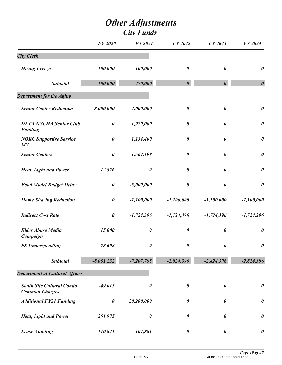|                                                           | <b>FY 2020</b>        | <b>FY 2021</b>        | FY 2022               | FY 2023               | FY 2024               |
|-----------------------------------------------------------|-----------------------|-----------------------|-----------------------|-----------------------|-----------------------|
| <b>City Clerk</b>                                         |                       |                       |                       |                       |                       |
| <b>Hiring Freeze</b>                                      | $-100,000$            | $-100,000$            | 0                     | 0                     | $\boldsymbol{\theta}$ |
| <b>Subtotal</b>                                           | $-100,000$            | $-270,000$            | $\boldsymbol{\theta}$ | $\boldsymbol{\theta}$ | $\boldsymbol{\theta}$ |
| <b>Department for the Aging</b>                           |                       |                       |                       |                       |                       |
| <b>Senior Center Reduction</b>                            | $-8,000,000$          | $-4,000,000$          | $\boldsymbol{\theta}$ | 0                     | $\boldsymbol{\theta}$ |
| <b>DFTA NYCHA Senior Club</b><br><b>Funding</b>           | $\pmb{\theta}$        | 1,920,000             | $\boldsymbol{\theta}$ | 0                     | $\boldsymbol{\theta}$ |
| <b>NORC Supportive Service</b><br>MY                      | $\pmb{\theta}$        | 1,134,400             | 0                     | 0                     | $\boldsymbol{\theta}$ |
| <b>Senior Centers</b>                                     | $\boldsymbol{\theta}$ | 1,562,198             | 0                     | 0                     | $\boldsymbol{\theta}$ |
| <b>Heat, Light and Power</b>                              | 12,376                | $\boldsymbol{\theta}$ | $\boldsymbol{\theta}$ | 0                     | $\boldsymbol{\theta}$ |
| <b>Food Model Budget Delay</b>                            | $\pmb{\theta}$        | $-5,000,000$          | $\boldsymbol{\theta}$ | $\pmb{\theta}$        | $\boldsymbol{\theta}$ |
| <b>Home Sharing Reduction</b>                             | $\boldsymbol{\theta}$ | $-1,100,000$          | $-1,100,000$          | $-1,100,000$          | $-1,100,000$          |
| <b>Indirect Cost Rate</b>                                 | $\boldsymbol{\theta}$ | $-1,724,396$          | $-1,724,396$          | $-1,724,396$          | $-1,724,396$          |
| <b>Elder Abuse Media</b><br>Campaign                      | 15,000                | $\boldsymbol{\theta}$ | $\boldsymbol{\theta}$ | $\boldsymbol{\theta}$ | $\boldsymbol{\theta}$ |
| <b>PS Underspending</b>                                   | $-78,608$             | $\boldsymbol{\theta}$ | $\boldsymbol{\theta}$ | 0                     | $\boldsymbol{\theta}$ |
| <b>Subtotal</b>                                           | $-8,051,232$          | $-7,207,798$          | $-2,824,396$          | $-2,824,396$          | $-2,824,396$          |
| <b>Department of Cultural Affairs</b>                     |                       |                       |                       |                       |                       |
| <b>South Site Cultural Condo</b><br><b>Common Charges</b> | $-49,015$             | $\boldsymbol{\theta}$ | $\boldsymbol{\theta}$ | $\boldsymbol{\theta}$ | $\boldsymbol{\theta}$ |
| <b>Additional FY21 Funding</b>                            | $\pmb{\theta}$        | 20,200,000            | $\boldsymbol{\theta}$ | 0                     | $\boldsymbol{\theta}$ |
| <b>Heat, Light and Power</b>                              | 251,975               | $\boldsymbol{\theta}$ | $\boldsymbol{\theta}$ | 0                     | $\boldsymbol{\theta}$ |
| <b>Lease Auditing</b>                                     | $-110,841$            | $-104,881$            | $\boldsymbol{\theta}$ | $\boldsymbol{\theta}$ | $\boldsymbol{\theta}$ |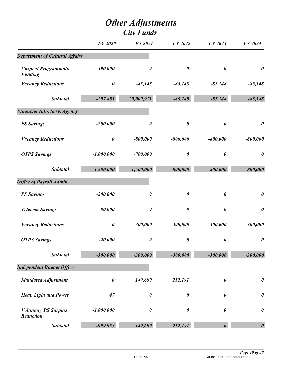|                                                 | <b>FY 2020</b> | <b>FY 2021</b>        | <b>FY 2022</b>        | FY 2023               | FY 2024               |
|-------------------------------------------------|----------------|-----------------------|-----------------------|-----------------------|-----------------------|
| <b>Department of Cultural Affairs</b>           |                |                       |                       |                       |                       |
| <b>Unspent Programmatic</b><br><b>Funding</b>   | $-390,000$     | $\boldsymbol{\theta}$ | $\boldsymbol{\theta}$ | $\boldsymbol{\theta}$ | $\boldsymbol{\theta}$ |
| <b>Vacancy Reductions</b>                       | $\pmb{\theta}$ | $-85,148$             | $-85,148$             | $-85,148$             | $-85,148$             |
| <b>Subtotal</b>                                 | $-297,881$     | 20,009,971            | $-85,148$             | $-85,148$             | $-85,148$             |
| <b>Financial Info. Serv. Agency</b>             |                |                       |                       |                       |                       |
| <b>PS Savings</b>                               | $-200,000$     | $\boldsymbol{\theta}$ | $\boldsymbol{\theta}$ | $\boldsymbol{\theta}$ | $\boldsymbol{\theta}$ |
| <b>Vacancy Reductions</b>                       | $\pmb{\theta}$ | $-800,000$            | $-800,000$            | $-800,000$            | $-800,000$            |
| <b>OTPS Savings</b>                             | $-1,000,000$   | $-700,000$            | $\boldsymbol{\theta}$ | $\pmb{\theta}$        | $\boldsymbol{\theta}$ |
| <b>Subtotal</b>                                 | $-1,200,000$   | $-1,500,000$          | $-800,000$            | $-800,000$            | $-800,000$            |
| <b>Office of Payroll Admin.</b>                 |                |                       |                       |                       |                       |
| <b>PS Savings</b>                               | $-200,000$     | $\boldsymbol{\theta}$ | $\boldsymbol{\theta}$ | $\boldsymbol{\theta}$ | $\boldsymbol{\theta}$ |
| <b>Telecom Savings</b>                          | $-80,000$      | $\boldsymbol{\theta}$ | $\boldsymbol{\theta}$ | $\pmb{\theta}$        | $\boldsymbol{\theta}$ |
| <b>Vacancy Reductions</b>                       | $\pmb{\theta}$ | $-300,000$            | $-300,000$            | $-300,000$            | $-300,000$            |
| <b>OTPS Savings</b>                             | $-20,000$      | 0                     | $\boldsymbol{\theta}$ | $\boldsymbol{\theta}$ | $\boldsymbol{\theta}$ |
| <b>Subtotal</b>                                 | $-300,000$     | $-300,000$            | $-300,000$            | $-300,000$            | $-300,000$            |
| <b>Independent Budget Office</b>                |                |                       |                       |                       |                       |
| <b>Mandated Adjustment</b>                      | $\pmb{\theta}$ | 149,690               | 212,191               | $\boldsymbol{\theta}$ | $\boldsymbol{\theta}$ |
| <b>Heat, Light and Power</b>                    | 47             | $\boldsymbol{\theta}$ | $\boldsymbol{\theta}$ | $\boldsymbol{\theta}$ | $\boldsymbol{\theta}$ |
| <b>Voluntary PS Surplus</b><br><b>Reduction</b> | $-1,000,000$   | $\boldsymbol{\theta}$ | $\boldsymbol{\theta}$ | 0                     | $\boldsymbol{\theta}$ |
| <b>Subtotal</b>                                 | -999,953       | 149,690               | 212,191               | 0                     | $\boldsymbol{\theta}$ |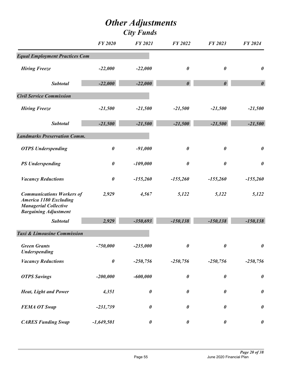|                                                                                                                                   | <b>FY 2020</b>        | <b>FY 2021</b>        | <b>FY 2022</b>        | FY 2023               | FY 2024               |
|-----------------------------------------------------------------------------------------------------------------------------------|-----------------------|-----------------------|-----------------------|-----------------------|-----------------------|
| <b>Equal Employment Practices Com</b>                                                                                             |                       |                       |                       |                       |                       |
| <b>Hiring Freeze</b>                                                                                                              | $-22,000$             | $-22,000$             | $\boldsymbol{\theta}$ | $\boldsymbol{\theta}$ | $\boldsymbol{\theta}$ |
| <b>Subtotal</b>                                                                                                                   | $-22,000$             | $-22,000$             | $\boldsymbol{\theta}$ | $\boldsymbol{\theta}$ | $\boldsymbol{\theta}$ |
| <b>Civil Service Commission</b>                                                                                                   |                       |                       |                       |                       |                       |
| <b>Hiring Freeze</b>                                                                                                              | $-21,500$             | $-21,500$             | $-21,500$             | $-21,500$             | $-21,500$             |
| <b>Subtotal</b>                                                                                                                   | $-21,500$             | $-21,500$             | $-21,500$             | $-21,500$             | $-21,500$             |
| <b>Landmarks Preservation Comm.</b>                                                                                               |                       |                       |                       |                       |                       |
| <b>OTPS</b> Underspending                                                                                                         | $\boldsymbol{\theta}$ | $-91,000$             | $\boldsymbol{\theta}$ | $\boldsymbol{\theta}$ | $\boldsymbol{\theta}$ |
| <b>PS Underspending</b>                                                                                                           | $\boldsymbol{\theta}$ | $-109,000$            | $\boldsymbol{\theta}$ | $\pmb{\theta}$        | $\boldsymbol{\theta}$ |
| <b>Vacancy Reductions</b>                                                                                                         | $\boldsymbol{\theta}$ | $-155,260$            | $-155,260$            | $-155,260$            | $-155,260$            |
| <b>Communications Workers of</b><br><b>America 1180 Excluding</b><br><b>Managerial Collective</b><br><b>Bargaining Adjustment</b> | 2,929                 | 4,567                 | 5,122                 | 5,122                 | 5,122                 |
| <b>Subtotal</b>                                                                                                                   | 2,929                 | $-350,693$            | $-150, 138$           | $-150, 138$           | $-150, 138$           |
| <b>Taxi &amp; Limousine Commission</b>                                                                                            |                       |                       |                       |                       |                       |
| <b>Green Grants</b><br><b>Underspending</b>                                                                                       | $-750,000$            | $-235,000$            | $\boldsymbol{\theta}$ | 0                     | $\boldsymbol{\theta}$ |
| <b>Vacancy Reductions</b>                                                                                                         | $\pmb{\theta}$        | $-250,756$            | $-250,756$            | $-250,756$            | $-250,756$            |
| <b>OTPS Savings</b>                                                                                                               | $-200,000$            | $-600,000$            | $\boldsymbol{\theta}$ | $\pmb{\theta}$        | $\boldsymbol{\theta}$ |
| <b>Heat, Light and Power</b>                                                                                                      | 4,351                 | $\boldsymbol{\theta}$ | $\boldsymbol{\theta}$ | $\boldsymbol{\theta}$ | $\boldsymbol{\theta}$ |
| <b>FEMA OT Swap</b>                                                                                                               | $-231,739$            | $\pmb{\theta}$        | $\pmb{\theta}$        | 0                     | $\boldsymbol{\theta}$ |
| <b>CARES Funding Swap</b>                                                                                                         | $-1,649,501$          | $\pmb{\theta}$        | $\boldsymbol{\theta}$ | $\pmb{\theta}$        | $\boldsymbol{\theta}$ |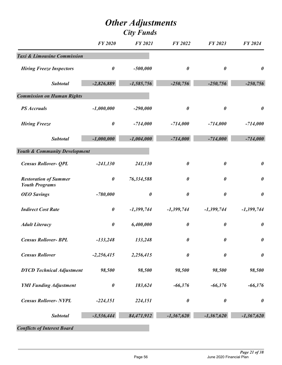|                                                       | <b>FY 2020</b>        | <b>FY 2021</b>        | FY 2022               | FY 2023               | FY 2024               |
|-------------------------------------------------------|-----------------------|-----------------------|-----------------------|-----------------------|-----------------------|
| <b>Taxi &amp; Limousine Commission</b>                |                       |                       |                       |                       |                       |
| <b>Hiring Freeze Inspectors</b>                       | $\boldsymbol{\theta}$ | $-500,000$            | $\boldsymbol{\theta}$ | $\boldsymbol{\theta}$ | $\boldsymbol{\theta}$ |
| <b>Subtotal</b>                                       | $-2,826,889$          | $-1,585,756$          | $-250,756$            | $-250,756$            | $-250,756$            |
| <b>Commission on Human Rights</b>                     |                       |                       |                       |                       |                       |
| <b>PS</b> Accruals                                    | $-1,000,000$          | $-290,000$            | $\pmb{\theta}$        | $\boldsymbol{\theta}$ | $\boldsymbol{\theta}$ |
| <b>Hiring Freeze</b>                                  | $\boldsymbol{\theta}$ | $-714,000$            | $-714,000$            | $-714,000$            | $-714,000$            |
| <b>Subtotal</b>                                       | $-1,000,000$          | $-1,004,000$          | $-714,000$            | $-714,000$            | $-714,000$            |
| <b>Youth &amp; Community Development</b>              |                       |                       |                       |                       |                       |
| <b>Census Rollover- QPL</b>                           | $-241,130$            | 241,130               | $\boldsymbol{\theta}$ | $\boldsymbol{\theta}$ | $\boldsymbol{\theta}$ |
| <b>Restoration of Summer</b><br><b>Youth Programs</b> | $\boldsymbol{\theta}$ | 76,334,588            | $\boldsymbol{\theta}$ | $\boldsymbol{\theta}$ | $\boldsymbol{\theta}$ |
| <b>OEO</b> Savings                                    | $-780,000$            | $\boldsymbol{\theta}$ | $\boldsymbol{\theta}$ | 0                     | $\boldsymbol{\theta}$ |
| <b>Indirect Cost Rate</b>                             | $\boldsymbol{\theta}$ | $-1,399,744$          | $-1,399,744$          | $-1,399,744$          | $-1,399,744$          |
| <b>Adult Literacy</b>                                 | $\boldsymbol{\theta}$ | 6,400,000             | $\boldsymbol{\theta}$ | $\boldsymbol{\theta}$ | $\boldsymbol{\theta}$ |
| <b>Census Rollover- BPL</b>                           | $-133,248$            | 133,248               | 0                     | 0                     | $\boldsymbol{\theta}$ |
| <b>Census Rollover</b>                                | $-2,256,415$          | 2,256,415             | $\pmb{\theta}$        | $\boldsymbol{\theta}$ | $\boldsymbol{\theta}$ |
| <b>DYCD</b> Technical Adjustment                      | 98,500                | 98,500                | 98,500                | 98,500                | 98,500                |
| <b>YMI Funding Adjustment</b>                         | $\boldsymbol{\theta}$ | 183,624               | $-66,376$             | $-66,376$             | $-66,376$             |
| <b>Census Rollover- NYPL</b>                          | $-224,151$            | 224,151               | $\pmb{\theta}$        | $\pmb{\theta}$        | $\boldsymbol{\theta}$ |
| <b>Subtotal</b>                                       | $-3,536,444$          | 84,471,912            | $-1,367,620$          | $-1,367,620$          | $-1,367,620$          |
|                                                       |                       |                       |                       |                       |                       |

*Conflicts of Interest Board*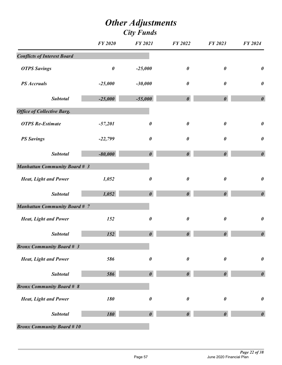|                                      | <b>FY 2020</b> | <b>FY 2021</b>        | FY 2022               | FY 2023               | FY 2024               |
|--------------------------------------|----------------|-----------------------|-----------------------|-----------------------|-----------------------|
| <b>Conflicts of Interest Board</b>   |                |                       |                       |                       |                       |
| <b>OTPS Savings</b>                  | $\pmb{\theta}$ | $-25,000$             | $\boldsymbol{\theta}$ | $\boldsymbol{\theta}$ | $\pmb{\theta}$        |
| <b>PS</b> Accruals                   | $-25,000$      | $-30,000$             | $\boldsymbol{\theta}$ | $\boldsymbol{\theta}$ | $\pmb{\theta}$        |
| <b>Subtotal</b>                      | $-25,000$      | $-55,000$             | $\boldsymbol{\theta}$ | $\boldsymbol{\theta}$ | $\boldsymbol{\theta}$ |
| <b>Office of Collective Barg.</b>    |                |                       |                       |                       |                       |
| <b>OTPS</b> Re-Estimate              | $-57,201$      | $\boldsymbol{\theta}$ | $\boldsymbol{\theta}$ | $\boldsymbol{\theta}$ | $\boldsymbol{\theta}$ |
| <b>PS Savings</b>                    | $-22,799$      | $\pmb{\theta}$        | $\boldsymbol{\theta}$ | $\boldsymbol{\theta}$ | $\pmb{\theta}$        |
| <b>Subtotal</b>                      | $-80,000$      | $\boldsymbol{\theta}$ | $\boldsymbol{\theta}$ | $\boldsymbol{\theta}$ | $\boldsymbol{\theta}$ |
| <b>Manhattan Community Board # 3</b> |                |                       |                       |                       |                       |
| <b>Heat, Light and Power</b>         | 1,052          | $\boldsymbol{\theta}$ | $\boldsymbol{\theta}$ | $\boldsymbol{\theta}$ | $\boldsymbol{\theta}$ |
| <b>Subtotal</b>                      | 1,052          | $\boldsymbol{\theta}$ | $\boldsymbol{\theta}$ | $\boldsymbol{\theta}$ | $\boldsymbol{\theta}$ |
| <b>Manhattan Community Board # 7</b> |                |                       |                       |                       |                       |
| <b>Heat, Light and Power</b>         | 152            | $\boldsymbol{\theta}$ | $\boldsymbol{\theta}$ | $\boldsymbol{\theta}$ | $\pmb{\theta}$        |
| <b>Subtotal</b>                      | 152            | $\boldsymbol{\theta}$ | $\boldsymbol{\theta}$ | $\boldsymbol{\theta}$ | $\boldsymbol{\theta}$ |
| <b>Bronx Community Board # 3</b>     |                |                       |                       |                       |                       |
| <b>Heat, Light and Power</b>         | 586            | $\boldsymbol{\theta}$ | $\boldsymbol{\theta}$ | $\boldsymbol{\theta}$ | $\boldsymbol{\theta}$ |
| <b>Subtotal</b>                      | 586            | $\boldsymbol{\theta}$ | $\boldsymbol{\theta}$ | $\boldsymbol{\theta}$ | $\boldsymbol{\theta}$ |
| <b>Bronx Community Board # 8</b>     |                |                       |                       |                       |                       |
| <b>Heat, Light and Power</b>         | 180            | 0                     | $\boldsymbol{\theta}$ | $\boldsymbol{\theta}$ | $\boldsymbol{\theta}$ |
| <b>Subtotal</b>                      | 180            | $\boldsymbol{\theta}$ | $\boldsymbol{\theta}$ |                       | $\boldsymbol{\theta}$ |
| <b>Bronx Community Board #10</b>     |                |                       |                       |                       |                       |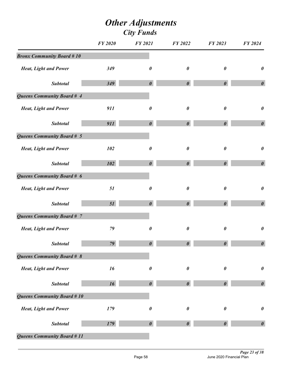|                                  | <b>FY 2020</b> | <b>FY 2021</b>        | FY 2022               | FY 2023               | FY 2024               |
|----------------------------------|----------------|-----------------------|-----------------------|-----------------------|-----------------------|
| <b>Bronx Community Board #10</b> |                |                       |                       |                       |                       |
| <b>Heat, Light and Power</b>     | 349            | $\boldsymbol{\theta}$ | $\boldsymbol{\theta}$ | 0                     | $\boldsymbol{\theta}$ |
| <b>Subtotal</b>                  | 349            | $\boldsymbol{\theta}$ | $\boldsymbol{\theta}$ | $\boldsymbol{\theta}$ | $\boldsymbol{\theta}$ |
| Queens Community Board # 4       |                |                       |                       |                       |                       |
| <b>Heat, Light and Power</b>     | 911            | $\boldsymbol{\theta}$ | $\boldsymbol{\theta}$ | $\boldsymbol{\theta}$ | $\boldsymbol{\theta}$ |
| <b>Subtotal</b>                  | 911            | $\boldsymbol{\theta}$ | $\boldsymbol{\theta}$ | $\boldsymbol{\theta}$ | $\boldsymbol{\theta}$ |
| Queens Community Board # 5       |                |                       |                       |                       |                       |
| <b>Heat, Light and Power</b>     | 102            | $\boldsymbol{\theta}$ | $\boldsymbol{\theta}$ | $\pmb{\theta}$        | $\boldsymbol{\theta}$ |
| <b>Subtotal</b>                  | 102            | $\boldsymbol{\theta}$ | $\boldsymbol{\theta}$ | $\boldsymbol{\theta}$ | $\boldsymbol{\theta}$ |
| Queens Community Board # 6       |                |                       |                       |                       |                       |
| <b>Heat, Light and Power</b>     | 51             | $\boldsymbol{\theta}$ | $\pmb{\theta}$        | $\boldsymbol{\theta}$ | $\boldsymbol{\theta}$ |
| <b>Subtotal</b>                  | 51             | $\boldsymbol{\theta}$ | $\boldsymbol{\theta}$ | $\boldsymbol{\theta}$ | $\boldsymbol{\theta}$ |
| Queens Community Board # 7       |                |                       |                       |                       |                       |
| <b>Heat, Light and Power</b>     | 79             | $\boldsymbol{\theta}$ | $\boldsymbol{\theta}$ | 0                     | $\boldsymbol{\theta}$ |
| <b>Subtotal</b>                  | 79             | $\boldsymbol{\theta}$ | $\boldsymbol{\theta}$ | $\boldsymbol{\theta}$ | $\boldsymbol{\theta}$ |
| Queens Community Board # 8       |                |                       |                       |                       |                       |
| <b>Heat, Light and Power</b>     | 16             | $\boldsymbol{\theta}$ | $\pmb{\theta}$        | $\boldsymbol{\theta}$ | $\boldsymbol{\theta}$ |
| <b>Subtotal</b>                  | 16             | $\boldsymbol{\theta}$ | $\boldsymbol{\theta}$ | $\theta$              | $\boldsymbol{\theta}$ |
| Queens Community Board # 10      |                |                       |                       |                       |                       |
| <b>Heat, Light and Power</b>     | 179            | $\boldsymbol{\theta}$ | $\boldsymbol{\theta}$ | 0                     | $\boldsymbol{\theta}$ |
| <b>Subtotal</b>                  | 179            | $\boldsymbol{\theta}$ | $\boldsymbol{\theta}$ |                       | $\boldsymbol{\theta}$ |
| Queens Community Board # 11      |                |                       |                       |                       |                       |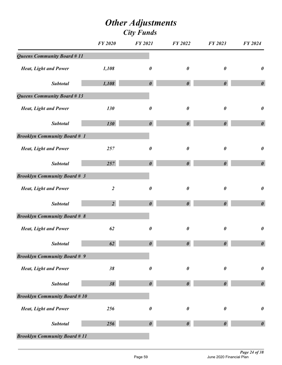|                                     | <b>FY 2020</b>   | <b>FY 2021</b>        | FY 2022               | FY 2023               | FY 2024               |
|-------------------------------------|------------------|-----------------------|-----------------------|-----------------------|-----------------------|
| <b>Queens Community Board #11</b>   |                  |                       |                       |                       |                       |
| <b>Heat, Light and Power</b>        | 1,108            | $\boldsymbol{\theta}$ | $\boldsymbol{\theta}$ | 0                     | $\boldsymbol{\theta}$ |
| <b>Subtotal</b>                     | 1,108            | $\boldsymbol{\theta}$ | $\boldsymbol{\theta}$ | $\boldsymbol{\theta}$ | $\boldsymbol{\theta}$ |
| <b>Queens Community Board #13</b>   |                  |                       |                       |                       |                       |
| <b>Heat, Light and Power</b>        | 130              | $\boldsymbol{\theta}$ | $\boldsymbol{\theta}$ | $\boldsymbol{\theta}$ | $\boldsymbol{\theta}$ |
| <b>Subtotal</b>                     | 130              | $\boldsymbol{\theta}$ | $\boldsymbol{\theta}$ | $\boldsymbol{\theta}$ | $\boldsymbol{\theta}$ |
| <b>Brooklyn Community Board # 1</b> |                  |                       |                       |                       |                       |
| <b>Heat, Light and Power</b>        | 257              | $\boldsymbol{\theta}$ | $\boldsymbol{\theta}$ | $\boldsymbol{\theta}$ | $\boldsymbol{\theta}$ |
| <b>Subtotal</b>                     | 257              | $\boldsymbol{\theta}$ | $\boldsymbol{\theta}$ | $\boldsymbol{\theta}$ | $\boldsymbol{\theta}$ |
| <b>Brooklyn Community Board # 3</b> |                  |                       |                       |                       |                       |
| <b>Heat, Light and Power</b>        | $\boldsymbol{2}$ | $\pmb{\theta}$        | $\pmb{\theta}$        | $\pmb{\theta}$        | $\boldsymbol{\theta}$ |
| <b>Subtotal</b>                     | $\overline{2}$   | $\boldsymbol{\theta}$ | $\boldsymbol{\theta}$ | $\boldsymbol{\theta}$ | $\boldsymbol{\theta}$ |
| <b>Brooklyn Community Board # 8</b> |                  |                       |                       |                       |                       |
| <b>Heat, Light and Power</b>        | 62               | $\boldsymbol{\theta}$ | $\boldsymbol{\theta}$ | $\boldsymbol{\theta}$ | $\boldsymbol{\theta}$ |
| <b>Subtotal</b>                     | 62               | $\boldsymbol{\theta}$ | $\boldsymbol{\theta}$ | $\boldsymbol{\theta}$ | $\pmb{\theta}$        |
| <b>Brooklyn Community Board # 9</b> |                  |                       |                       |                       |                       |
| <b>Heat, Light and Power</b>        | 38               | $\boldsymbol{\theta}$ | $\pmb{\theta}$        | $\boldsymbol{\theta}$ | $\boldsymbol{\theta}$ |
| <b>Subtotal</b>                     | 38               | $\boldsymbol{\theta}$ | $\boldsymbol{\theta}$ | 0                     | $\boldsymbol{\theta}$ |
| <b>Brooklyn Community Board #10</b> |                  |                       |                       |                       |                       |
| <b>Heat, Light and Power</b>        | 256              | $\boldsymbol{\theta}$ | $\boldsymbol{\theta}$ | 0                     | $\boldsymbol{\theta}$ |
| <b>Subtotal</b>                     | 256              | $\boldsymbol{\theta}$ | $\boldsymbol{\theta}$ |                       | $\boldsymbol{\theta}$ |
| <b>Brooklyn Community Board #11</b> |                  |                       |                       |                       |                       |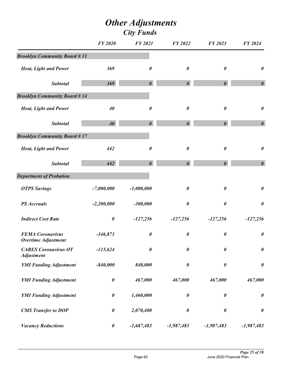|                                                       | <b>FY 2020</b> | <b>FY 2021</b>        | FY 2022               | FY 2023               | FY 2024               |
|-------------------------------------------------------|----------------|-----------------------|-----------------------|-----------------------|-----------------------|
| <b>Brooklyn Community Board #11</b>                   |                |                       |                       |                       |                       |
| <b>Heat, Light and Power</b>                          | 369            | 0                     | $\boldsymbol{\theta}$ | $\boldsymbol{\theta}$ | $\boldsymbol{\theta}$ |
| <b>Subtotal</b>                                       | 369            | $\boldsymbol{\theta}$ | $\boldsymbol{\theta}$ | $\boldsymbol{\theta}$ | $\boldsymbol{\theta}$ |
| <b>Brooklyn Community Board #14</b>                   |                |                       |                       |                       |                       |
| <b>Heat, Light and Power</b>                          | 40             | $\boldsymbol{\theta}$ | $\boldsymbol{\theta}$ | $\boldsymbol{\theta}$ | $\boldsymbol{\theta}$ |
| <b>Subtotal</b>                                       | 40             | $\boldsymbol{\theta}$ | $\boldsymbol{\theta}$ | $\boldsymbol{\theta}$ | $\boldsymbol{\theta}$ |
| <b>Brooklyn Community Board #17</b>                   |                |                       |                       |                       |                       |
| <b>Heat, Light and Power</b>                          | 442            | $\boldsymbol{\theta}$ | $\boldsymbol{\theta}$ | $\boldsymbol{\theta}$ | $\pmb{\theta}$        |
| <b>Subtotal</b>                                       | 442            | $\boldsymbol{\theta}$ | $\boldsymbol{\theta}$ | $\boldsymbol{\theta}$ | $\boldsymbol{\theta}$ |
| <b>Department of Probation</b>                        |                |                       |                       |                       |                       |
| <b>OTPS Savings</b>                                   | $-7,000,000$   | $-1,000,000$          | $\boldsymbol{\theta}$ | $\boldsymbol{\theta}$ | $\boldsymbol{\theta}$ |
| <b>PS</b> Accruals                                    | $-2,200,000$   | $-300,000$            | $\boldsymbol{\theta}$ | $\boldsymbol{\theta}$ | $\pmb{\theta}$        |
| <b>Indirect Cost Rate</b>                             | $\pmb{\theta}$ | $-127,256$            | $-127,256$            | $-127,256$            | $-127,256$            |
| <b>FEMA Coronavirus</b><br><b>Overtime Adjustment</b> | $-346,871$     | $\boldsymbol{\theta}$ | $\boldsymbol{\theta}$ | $\boldsymbol{\theta}$ | $\pmb{\theta}$        |
| <b>CARES Coronavirus OT</b><br><b>Adjustment</b>      | $-115,624$     | $\boldsymbol{\theta}$ | $\boldsymbol{\theta}$ | $\boldsymbol{\theta}$ | $\pmb{\theta}$        |
| <b>YMI Funding Adjustment</b>                         | $-840,000$     | 840,000               | $\boldsymbol{\theta}$ | $\pmb{\theta}$        | $\pmb{\theta}$        |
| <b>YMI Funding Adjustment</b>                         | $\pmb{\theta}$ | 467,000               | 467,000               | 467,000               | 467,000               |
| <b>YMI Funding Adjustment</b>                         | $\pmb{\theta}$ | 1,460,000             | $\boldsymbol{\theta}$ | $\pmb{\theta}$        | $\pmb{\theta}$        |
| <b>CMS</b> Transfer to DOP                            | $\pmb{\theta}$ | 2,070,400             | $\boldsymbol{\theta}$ | $\boldsymbol{\theta}$ | $\pmb{\theta}$        |
| <b>Vacancy Reductions</b>                             | $\pmb{\theta}$ | $-1,687,483$          | $-1,987,483$          | $-1,987,483$          | $-1,987,483$          |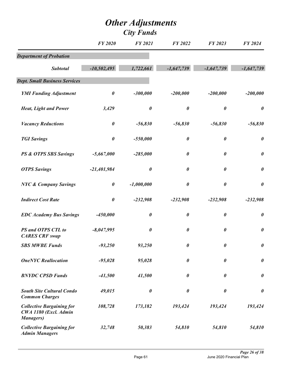|                                                                                | <b>FY 2020</b>        | <b>FY 2021</b>        | <b>FY 2022</b>        | FY 2023               | <b>FY 2024</b>        |
|--------------------------------------------------------------------------------|-----------------------|-----------------------|-----------------------|-----------------------|-----------------------|
| <b>Department of Probation</b>                                                 |                       |                       |                       |                       |                       |
| <b>Subtotal</b>                                                                | $-10,502,495$         | 1,722,661             | $-1,647,739$          | $-1,647,739$          | $-1,647,739$          |
| <b>Dept. Small Business Services</b>                                           |                       |                       |                       |                       |                       |
| <b>YMI Funding Adjustment</b>                                                  | $\boldsymbol{\theta}$ | $-300,000$            | $-200,000$            | $-200,000$            | $-200,000$            |
| <b>Heat, Light and Power</b>                                                   | 3,429                 | $\pmb{\theta}$        | $\boldsymbol{\theta}$ | $\boldsymbol{\theta}$ | $\boldsymbol{\theta}$ |
| <b>Vacancy Reductions</b>                                                      | $\boldsymbol{\theta}$ | $-56,830$             | $-56,830$             | $-56,830$             | $-56,830$             |
| <b>TGI Savings</b>                                                             | $\boldsymbol{\theta}$ | $-550,000$            | $\boldsymbol{\theta}$ | $\pmb{\theta}$        | $\pmb{\theta}$        |
| PS & OTPS SBS Savings                                                          | $-5,667,000$          | $-285,000$            | $\boldsymbol{\theta}$ | $\boldsymbol{\theta}$ | $\boldsymbol{\theta}$ |
| <b>OTPS Savings</b>                                                            | $-21,401,984$         | $\pmb{\theta}$        | $\boldsymbol{\theta}$ | $\boldsymbol{\theta}$ | $\pmb{\theta}$        |
| <b>NYC &amp; Company Savings</b>                                               | $\boldsymbol{\theta}$ | $-1,000,000$          | $\boldsymbol{\theta}$ | $\boldsymbol{\theta}$ | $\boldsymbol{\theta}$ |
| <b>Indirect Cost Rate</b>                                                      | $\pmb{\theta}$        | $-232,908$            | $-232,908$            | $-232,908$            | $-232,908$            |
| <b>EDC</b> Academy Bus Savings                                                 | $-450,000$            | $\pmb{\theta}$        | $\pmb{\theta}$        | $\boldsymbol{\theta}$ | $\pmb{\theta}$        |
| PS and OTPS CTL to<br><b>CARES CRF</b> swap                                    | $-8,047,995$          | $\boldsymbol{\theta}$ | $\boldsymbol{\theta}$ | $\boldsymbol{\theta}$ | $\pmb{\theta}$        |
| <b>SBS MWBE Funds</b>                                                          | $-93,250$             | 93,250                | $\pmb{\theta}$        | $\boldsymbol{\theta}$ | $\pmb{\theta}$        |
| <b>OneNYC</b> Reallocation                                                     | $-95,028$             | 95,028                | $\boldsymbol{\theta}$ | $\boldsymbol{\theta}$ | $\boldsymbol{\theta}$ |
| <b>BNYDC CPSD Funds</b>                                                        | $-41,500$             | 41,500                | $\boldsymbol{\theta}$ | $\boldsymbol{\theta}$ | $\boldsymbol{\theta}$ |
| <b>South Site Cultural Condo</b><br><b>Common Charges</b>                      | 49,015                | $\boldsymbol{\theta}$ | $\boldsymbol{\theta}$ | $\boldsymbol{\theta}$ | $\boldsymbol{\theta}$ |
| <b>Collective Bargaining for</b><br>CWA 1180 (Excl. Admin<br><b>Managers</b> ) | 108,728               | 173,182               | 193,424               | 193,424               | 193,424               |
| <b>Collective Bargaining for</b><br><b>Admin Managers</b>                      | 32,748                | 50,383                | 54,810                | 54,810                | 54,810                |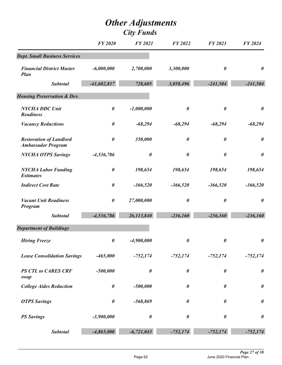|                                                             | <b>FY 2020</b>        | <b>FY 2021</b>        | <b>FY 2022</b>        | FY 2023               | <b>FY 2024</b>        |
|-------------------------------------------------------------|-----------------------|-----------------------|-----------------------|-----------------------|-----------------------|
| <b>Dept. Small Business Services</b>                        |                       |                       |                       |                       |                       |
| <b>Financial District Master</b><br><b>Plan</b>             | $-6,000,000$          | 2,700,000             | 3,300,000             | 0                     | $\boldsymbol{\theta}$ |
| <b>Subtotal</b>                                             | $-41,602,837$         | 728,605               | 3,058,496             | $-241,504$            | $-241,504$            |
| <b>Housing Preservation &amp; Dev.</b>                      |                       |                       |                       |                       |                       |
| <b>NYCHA DDC Unit</b><br><b>Readiness</b>                   | $\boldsymbol{\theta}$ | $-1,000,000$          | $\boldsymbol{\theta}$ | $\pmb{\theta}$        | $\boldsymbol{\theta}$ |
| <b>Vacancy Reductions</b>                                   | $\boldsymbol{\theta}$ | $-68,294$             | $-68,294$             | $-68,294$             | $-68,294$             |
| <b>Restoration of Landlord</b><br><b>Ambassador Program</b> | $\boldsymbol{\theta}$ | 350,000               | 0                     | $\boldsymbol{\theta}$ | $\boldsymbol{\theta}$ |
| <b>NYCHA OTPS Savings</b>                                   | $-4,536,786$          | $\pmb{\theta}$        | 0                     | 0                     | $\boldsymbol{\theta}$ |
| <b>NYCHA Labor Funding</b><br><b>Estimates</b>              | $\boldsymbol{\theta}$ | 198,654               | 198,654               | 198,654               | 198,654               |
| <b>Indirect Cost Rate</b>                                   | $\boldsymbol{\theta}$ | $-366,520$            | $-366,520$            | $-366,520$            | $-366,520$            |
| <b>Vacant Unit Readiness</b><br><b>Program</b>              | $\boldsymbol{\theta}$ | 27,000,000            | $\boldsymbol{\theta}$ | $\boldsymbol{\theta}$ | $\boldsymbol{\theta}$ |
| <b>Subtotal</b>                                             | $-4,536,786$          | 26,113,840            | $-236,160$            | $-236,160$            | $-236,160$            |
| <b>Department of Buildings</b>                              |                       |                       |                       |                       |                       |
| <b>Hiring Freeze</b>                                        | 0                     | $-4,900,000$          | 0                     | 0                     | $\boldsymbol{\theta}$ |
| <b>Lease Consolidation Savings</b>                          | $-465,000$            | $-752,174$            | $-752,174$            | $-752,174$            | $-752,174$            |
| <b>PS CTL to CARES CRF</b><br>swap                          | $-500,000$            | $\boldsymbol{\theta}$ | $\boldsymbol{\theta}$ | $\boldsymbol{\theta}$ | $\boldsymbol{\theta}$ |
| <b>College Aides Reduction</b>                              | $\boldsymbol{\theta}$ | $-500,000$            | 0                     | $\boldsymbol{\theta}$ | $\boldsymbol{\theta}$ |
| <b>OTPS Savings</b>                                         | $\pmb{\theta}$        | -568,869              | $\boldsymbol{\theta}$ | $\boldsymbol{\theta}$ | $\boldsymbol{\theta}$ |
| <b>PS Savings</b>                                           | $-3,900,000$          | 0                     | $\boldsymbol{\theta}$ | 0                     | $\boldsymbol{\theta}$ |
| <b>Subtotal</b>                                             | $-4,865,000$          | $-6,721,043$          | $-752,174$            | $-752,174$            | $-752,174$            |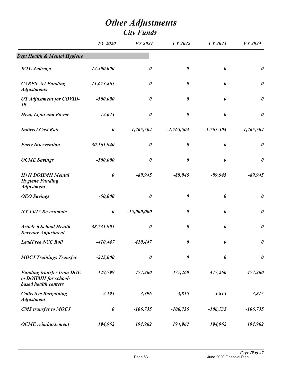|                                                                                         | <b>FY 2020</b>        | <b>FY 2021</b>        | FY 2022               | FY 2023               | FY 2024               |
|-----------------------------------------------------------------------------------------|-----------------------|-----------------------|-----------------------|-----------------------|-----------------------|
| Dept Health & Mental Hygiene                                                            |                       |                       |                       |                       |                       |
| <b>WTC</b> Zadroga                                                                      | 12,500,000            | 0                     | $\boldsymbol{\theta}$ | $\boldsymbol{\theta}$ | $\boldsymbol{\theta}$ |
| <b>CARES Act Funding</b><br><b>Adjustments</b>                                          | $-11,673,865$         | $\pmb{\theta}$        | $\boldsymbol{\theta}$ | $\boldsymbol{\theta}$ | $\boldsymbol{\theta}$ |
| OT Adjustment for COVID-<br>19                                                          | $-500,000$            | $\boldsymbol{\theta}$ | $\boldsymbol{\theta}$ | $\boldsymbol{\theta}$ | $\boldsymbol{\theta}$ |
| <b>Heat, Light and Power</b>                                                            | 72,643                | $\boldsymbol{\theta}$ | $\boldsymbol{\theta}$ | $\boldsymbol{\theta}$ | $\boldsymbol{\theta}$ |
| <b>Indirect Cost Rate</b>                                                               | $\pmb{\theta}$        | $-1,765,504$          | $-1,765,504$          | $-1,765,504$          | $-1,765,504$          |
| <b>Early Intervention</b>                                                               | 30,161,940            | $\boldsymbol{\theta}$ | $\boldsymbol{\theta}$ | $\boldsymbol{\theta}$ | $\boldsymbol{\theta}$ |
| <b>OCME</b> Savings                                                                     | $-500,000$            | $\pmb{\theta}$        | $\boldsymbol{\theta}$ | $\boldsymbol{\theta}$ | $\boldsymbol{\theta}$ |
| <b>H+H DOHMH Mental</b><br><b>Hygiene Funding</b><br><b>Adjustment</b>                  | $\boldsymbol{\theta}$ | $-89,945$             | $-89,945$             | $-89,945$             | $-89,945$             |
| <b>OEO</b> Savings                                                                      | $-50,000$             | $\pmb{\theta}$        | $\boldsymbol{\theta}$ | $\boldsymbol{\theta}$ | $\boldsymbol{\theta}$ |
| NY 15/15 Re-estimate                                                                    | $\boldsymbol{\theta}$ | $-15,000,000$         | $\boldsymbol{\theta}$ | $\boldsymbol{\theta}$ | $\boldsymbol{\theta}$ |
| <b>Article 6 School Health</b><br><b>Revenue Adjustment</b>                             | 38,731,905            | $\pmb{\theta}$        | $\boldsymbol{\theta}$ | $\boldsymbol{\theta}$ | $\pmb{\theta}$        |
| <b>LeadFree NYC Roll</b>                                                                | $-410,447$            | 410,447               | $\boldsymbol{\theta}$ | $\boldsymbol{\theta}$ | $\pmb{\theta}$        |
| <b>MOCJ Trainings Transfer</b>                                                          | $-225,000$            | $\pmb{\theta}$        | $\boldsymbol{\theta}$ | $\boldsymbol{\theta}$ | $\boldsymbol{\theta}$ |
| <b>Funding transfer from DOE</b><br>to DOHMH for school-<br><b>based health centers</b> | 129,799               | 477,260               | 477,260               | 477,260               | 477,260               |
| <b>Collective Bargaining</b><br><b>Adjustment</b>                                       | 2,195                 | 3,396                 | 3,815                 | 3,815                 | 3,815                 |
| <b>CMS</b> transfer to MOCJ                                                             | $\boldsymbol{\theta}$ | $-106,735$            | $-106,735$            | $-106,735$            | $-106,735$            |
| <b>OCME</b> reimbursement                                                               | 194,962               | 194,962               | 194,962               | 194,962               | 194,962               |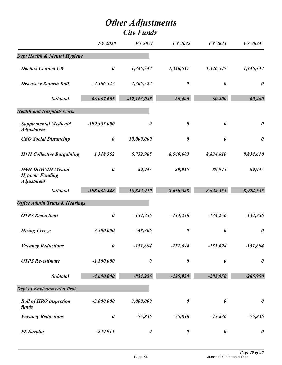|                                                                        | <b>FY 2020</b>        | <b>FY 2021</b>        | <b>FY 2022</b>        | FY 2023               | FY 2024               |
|------------------------------------------------------------------------|-----------------------|-----------------------|-----------------------|-----------------------|-----------------------|
| Dept Health & Mental Hygiene                                           |                       |                       |                       |                       |                       |
| <b>Doctors Council CB</b>                                              | $\pmb{\theta}$        | 1,346,547             | 1,346,547             | 1,346,547             | 1,346,547             |
| <b>Discovery Reform Roll</b>                                           | $-2,366,527$          | 2,366,527             | $\boldsymbol{\theta}$ | $\boldsymbol{\theta}$ | $\boldsymbol{\theta}$ |
| <b>Subtotal</b>                                                        | 66,067,605            | $-12,163,045$         | 60,400                | 60,400                | 60,400                |
| <b>Health and Hospitals Corp.</b>                                      |                       |                       |                       |                       |                       |
| <b>Supplemental Medicaid</b><br><b>Adjustment</b>                      | $-199,355,000$        | $\boldsymbol{\theta}$ | $\boldsymbol{\theta}$ | $\boldsymbol{\theta}$ | $\boldsymbol{\theta}$ |
| <b>CBO</b> Social Distancing                                           | $\pmb{\theta}$        | 10,000,000            | $\boldsymbol{\theta}$ | $\boldsymbol{\theta}$ | $\boldsymbol{\theta}$ |
| <b>H+H Collective Bargaining</b>                                       | 1,318,552             | 6,752,965             | 8,560,603             | 8,834,610             | 8,834,610             |
| <b>H+H DOHMH Mental</b><br><b>Hygiene Funding</b><br><b>Adjustment</b> | $\pmb{\theta}$        | 89,945                | 89,945                | 89,945                | 89,945                |
| <b>Subtotal</b>                                                        | $-198,036,448$        | 16,842,910            | 8,650,548             | 8,924,555             | 8,924,555             |
| <b>Office Admin Trials &amp; Hearings</b>                              |                       |                       |                       |                       |                       |
| <b>OTPS</b> Reductions                                                 | $\pmb{\theta}$        | $-134,256$            | $-134,256$            | $-134,256$            | $-134,256$            |
| <b>Hiring Freeze</b>                                                   | $-3,500,000$          | $-548,306$            | $\boldsymbol{\theta}$ | $\boldsymbol{\theta}$ | $\boldsymbol{\theta}$ |
| <b>Vacancy Reductions</b>                                              | $\boldsymbol{\theta}$ | $-151,694$            | $-151,694$            | -151,694              | $-151,694$            |
| <b>OTPS</b> Re-estimate                                                | $-1,100,000$          | $\boldsymbol{\theta}$ | $\boldsymbol{\theta}$ | $\boldsymbol{\theta}$ | $\boldsymbol{\theta}$ |
| <b>Subtotal</b>                                                        | $-4,600,000$          | $-834,256$            | $-285,950$            | $-285,950$            | $-285,950$            |
| <b>Dept of Environmental Prot.</b>                                     |                       |                       |                       |                       |                       |
| <b>Roll of HRO inspection</b><br>funds                                 | $-3,000,000$          | 3,000,000             | $\pmb{\theta}$        | $\pmb{\theta}$        | $\boldsymbol{\theta}$ |
| <b>Vacancy Reductions</b>                                              | $\boldsymbol{\theta}$ | $-75,836$             | $-75,836$             | $-75,836$             | $-75,836$             |
| <b>PS Surplus</b>                                                      | $-239,911$            | $\pmb{\theta}$        | $\pmb{\theta}$        | $\pmb{\theta}$        | $\boldsymbol{\theta}$ |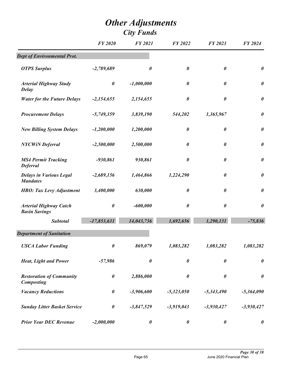|                                                       | <b>FY 2020</b>        | <b>FY 2021</b>        | <b>FY 2022</b>        | <b>FY 2023</b>        | FY 2024               |
|-------------------------------------------------------|-----------------------|-----------------------|-----------------------|-----------------------|-----------------------|
| <b>Dept of Environmental Prot.</b>                    |                       |                       |                       |                       |                       |
| <b>OTPS Surplus</b>                                   | $-2,789,689$          | 0                     | $\boldsymbol{\theta}$ | $\boldsymbol{\theta}$ | $\pmb{\theta}$        |
| <b>Arterial Highway Study</b><br><b>Delay</b>         | $\boldsymbol{\theta}$ | $-1,000,000$          | $\boldsymbol{\theta}$ | $\boldsymbol{\theta}$ | $\pmb{\theta}$        |
| <b>Water for the Future Delays</b>                    | $-2,154,655$          | 2,154,655             | $\boldsymbol{\theta}$ | $\boldsymbol{\theta}$ | $\pmb{\theta}$        |
| <b>Procurement Delays</b>                             | $-5,749,359$          | 3,839,190             | 544,202               | 1,365,967             | $\boldsymbol{\theta}$ |
| <b>New Billing System Delays</b>                      | $-1,200,000$          | 1,200,000             | $\boldsymbol{\theta}$ | $\boldsymbol{\theta}$ | $\boldsymbol{\theta}$ |
| <b>NYCWiN</b> Deferral                                | $-2,500,000$          | 2,500,000             | $\boldsymbol{\theta}$ | $\boldsymbol{\theta}$ | $\pmb{\theta}$        |
| <b>MS4 Permit Tracking</b><br><b>Deferral</b>         | $-930,861$            | 930,861               | $\boldsymbol{\theta}$ | $\boldsymbol{\theta}$ | $\pmb{\theta}$        |
| <b>Delays in Various Legal</b><br><b>Mandates</b>     | $-2,689,156$          | 1,464,866             | 1,224,290             | 0                     | $\boldsymbol{\theta}$ |
| <b>HRO:</b> Tax Levy Adjustment                       | 3,400,000             | 630,000               | $\boldsymbol{\theta}$ | 0                     | $\pmb{\theta}$        |
| <b>Arterial Highway Catch</b><br><b>Basin Savings</b> | $\boldsymbol{\theta}$ | $-600,000$            | $\boldsymbol{\theta}$ | $\boldsymbol{\theta}$ | $\boldsymbol{\theta}$ |
| <b>Subtotal</b>                                       | $-17,853,631$         | 14,043,736            | 1,692,656             | 1,290,131             | $-75,836$             |
| <b>Department of Sanitation</b>                       |                       |                       |                       |                       |                       |
| <b>USCA Labor Funding</b>                             | $\boldsymbol{\theta}$ | 869,079               | 1,083,282             | 1,083,282             | 1,083,282             |
| <b>Heat, Light and Power</b>                          | $-57,986$             | $\boldsymbol{\theta}$ | $\boldsymbol{\theta}$ | $\boldsymbol{\theta}$ | $\boldsymbol{\theta}$ |
| <b>Restoration of Community</b><br><b>Composting</b>  | $\boldsymbol{\theta}$ | 2,886,000             | $\boldsymbol{\theta}$ | $\pmb{\theta}$        | $\pmb{\theta}$        |
| <b>Vacancy Reductions</b>                             | $\pmb{\theta}$        | $-3,906,600$          | $-5,323,050$          | $-5,343,490$          | $-5,364,090$          |
| <b>Sunday Litter Basket Service</b>                   | $\boldsymbol{\theta}$ | $-3,847,529$          | $-3,919,043$          | $-3,930,427$          | $-3,930,427$          |
| <b>Prior Year DEC Revenue</b>                         | $-2,000,000$          | $\boldsymbol{\theta}$ | $\boldsymbol{\theta}$ | $\boldsymbol{\theta}$ | $\boldsymbol{\theta}$ |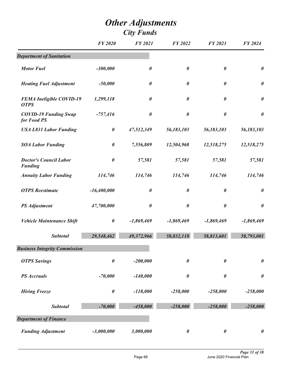|                                                 | <b>FY 2020</b>        | <b>FY 2021</b>        | <b>FY 2022</b>        | FY 2023               | FY 2024               |
|-------------------------------------------------|-----------------------|-----------------------|-----------------------|-----------------------|-----------------------|
| <b>Department of Sanitation</b>                 |                       |                       |                       |                       |                       |
| <b>Motor Fuel</b>                               | $-300,000$            | $\boldsymbol{\theta}$ | $\boldsymbol{\theta}$ | $\boldsymbol{\theta}$ | $\pmb{\theta}$        |
| <b>Heating Fuel Adjustment</b>                  | $-50,000$             | $\boldsymbol{\theta}$ | $\boldsymbol{\theta}$ | $\boldsymbol{\theta}$ | $\boldsymbol{\theta}$ |
| <b>FEMA Ineligible COVID-19</b><br><b>OTPS</b>  | 1,299,118             | $\boldsymbol{\theta}$ | $\boldsymbol{\theta}$ | 0                     | $\pmb{\theta}$        |
| <b>COVID-19 Funding Swap</b><br>for Food PS     | $-757,416$            | $\boldsymbol{\theta}$ | $\boldsymbol{\theta}$ | $\boldsymbol{\theta}$ | $\boldsymbol{\theta}$ |
| <b>USA L831 Labor Funding</b>                   | $\boldsymbol{\theta}$ | 47,512,349            | 56,183,103            | 56,183,103            | 56,183,103            |
| <b>SOA Labor Funding</b>                        | $\boldsymbol{\theta}$ | 7,556,809             | 12,504,968            | 12,518,275            | 12,518,275            |
| <b>Doctor's Council Labor</b><br><b>Funding</b> | $\boldsymbol{\theta}$ | 57,581                | 57,581                | 57,581                | 57,581                |
| <b>Annuity Labor Funding</b>                    | 114,746               | 114,746               | 114,746               | 114,746               | 114,746               |
| <b>OTPS</b> Reestimate                          | $-16,400,000$         | $\boldsymbol{\theta}$ | $\boldsymbol{\theta}$ | $\boldsymbol{\theta}$ | $\boldsymbol{\theta}$ |
| <b>PS</b> Adjustment                            | 47,700,000            | $\boldsymbol{\theta}$ | $\boldsymbol{\theta}$ | $\boldsymbol{\theta}$ | $\boldsymbol{\theta}$ |
| <b>Vehicle Maintenance Shift</b>                | $\pmb{\theta}$        | $-1,869,469$          | $-1,869,469$          | $-1,869,469$          | $-1,869,469$          |
| <b>Subtotal</b>                                 | 29,548,462            | 49,372,966            | 58,832,118            | 58,813,601            | 58,793,001            |
| <b>Business Integrity Commission</b>            |                       |                       |                       |                       |                       |
| <b>OTPS Savings</b>                             | $\boldsymbol{\theta}$ | $-200,000$            | $\boldsymbol{\theta}$ | $\boldsymbol{\theta}$ | $\pmb{\theta}$        |
| <b>PS</b> Accruals                              | $-70,000$             | $-140,000$            | $\boldsymbol{\theta}$ | $\boldsymbol{\theta}$ | $\boldsymbol{\theta}$ |
| <b>Hiring Freeze</b>                            | $\pmb{\theta}$        | $-118,000$            | $-258,000$            | $-258,000$            | $-258,000$            |
| <b>Subtotal</b>                                 | $-70,000$             | $-458,000$            | $-258,000$            | $-258,000$            | $-258,000$            |
| <b>Department of Finance</b>                    |                       |                       |                       |                       |                       |
| <b>Funding Adjustment</b>                       | $-3,000,000$          | 3,000,000             | $\pmb{\theta}$        | $\boldsymbol{\theta}$ | $\boldsymbol{\theta}$ |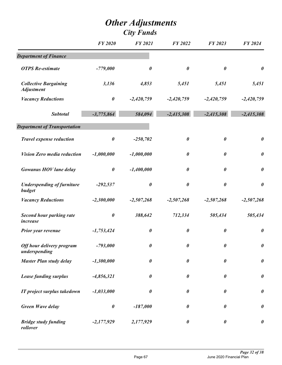|                                                   | <b>FY 2020</b>        | <b>FY 2021</b>        | <b>FY 2022</b>        | FY 2023               | <b>FY 2024</b>        |
|---------------------------------------------------|-----------------------|-----------------------|-----------------------|-----------------------|-----------------------|
| <b>Department of Finance</b>                      |                       |                       |                       |                       |                       |
| <b>OTPS</b> Re-estimate                           | $-779,000$            | $\boldsymbol{\theta}$ | $\boldsymbol{\theta}$ | $\boldsymbol{\theta}$ | $\pmb{\theta}$        |
| <b>Collective Bargaining</b><br><b>Adjustment</b> | 3,136                 | 4,853                 | 5,451                 | 5,451                 | 5,451                 |
| <b>Vacancy Reductions</b>                         | $\pmb{\theta}$        | $-2,420,759$          | $-2,420,759$          | $-2,420,759$          | $-2,420,759$          |
| <b>Subtotal</b>                                   | $-3,775,864$          | 584,094               | $-2,415,308$          | $-2,415,308$          | $-2,415,308$          |
| <b>Department of Transportation</b>               |                       |                       |                       |                       |                       |
| <b>Travel expense reduction</b>                   | $\pmb{\theta}$        | $-250,702$            | $\boldsymbol{\theta}$ | $\boldsymbol{\theta}$ | $\boldsymbol{\theta}$ |
| <b>Vision Zero media reduction</b>                | $-1,000,000$          | $-1,000,000$          | $\boldsymbol{\theta}$ | $\boldsymbol{\theta}$ | $\pmb{\theta}$        |
| <b>Gowanus HOV lane delay</b>                     | $\boldsymbol{\theta}$ | $-1,400,000$          | $\boldsymbol{\theta}$ | $\boldsymbol{\theta}$ | $\pmb{\theta}$        |
| <b>Underspending of furniture</b><br>budget       | $-292,537$            | $\boldsymbol{\theta}$ | $\boldsymbol{\theta}$ | $\boldsymbol{\theta}$ | $\boldsymbol{\theta}$ |
| <b>Vacancy Reductions</b>                         | $-2,300,000$          | $-2,507,268$          | $-2,507,268$          | $-2,507,268$          | $-2,507,268$          |
| <b>Second hour parking rate</b><br>increase       | $\pmb{\theta}$        | 388,642               | 712,334               | 505,434               | 505,434               |
| Prior year revenue                                | $-1,753,424$          | $\boldsymbol{\theta}$ | $\boldsymbol{\theta}$ | $\boldsymbol{\theta}$ | $\pmb{\theta}$        |
| Off hour delivery program<br>underspending        | $-793,000$            | $\boldsymbol{\theta}$ | $\boldsymbol{\theta}$ | $\boldsymbol{\theta}$ | $\boldsymbol{\theta}$ |
| <b>Master Plan study delay</b>                    | $-1,300,000$          | $\boldsymbol{\theta}$ | $\boldsymbol{\theta}$ | $\boldsymbol{\theta}$ | $\pmb{\theta}$        |
| <b>Lease funding surplus</b>                      | $-4,856,321$          | $\boldsymbol{\theta}$ | 0                     | $\boldsymbol{\theta}$ | $\pmb{\theta}$        |
| IT project surplus takedown                       | $-1,033,000$          | $\boldsymbol{\theta}$ | $\boldsymbol{\theta}$ | $\boldsymbol{\theta}$ | $\boldsymbol{\theta}$ |
| <b>Green Wave delay</b>                           | $\pmb{\theta}$        | $-187,000$            | 0                     | $\boldsymbol{\theta}$ | $\pmb{\theta}$        |
| <b>Bridge study funding</b><br>rollover           | $-2,177,929$          | 2,177,929             | $\boldsymbol{\theta}$ | $\boldsymbol{\theta}$ | $\pmb{\theta}$        |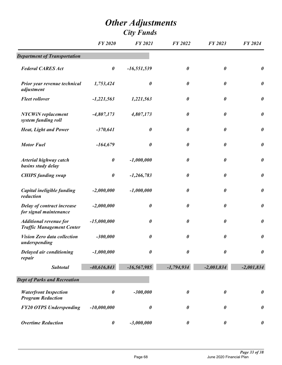|                                                                   | <b>FY 2020</b>        | <b>FY 2021</b>        | FY 2022               | FY 2023               | FY 2024               |
|-------------------------------------------------------------------|-----------------------|-----------------------|-----------------------|-----------------------|-----------------------|
| <b>Department of Transportation</b>                               |                       |                       |                       |                       |                       |
| <b>Federal CARES Act</b>                                          | $\boldsymbol{\theta}$ | $-16,551,539$         | $\boldsymbol{\theta}$ | $\boldsymbol{\theta}$ | $\boldsymbol{\theta}$ |
| Prior year revenue technical<br>adjustment                        | 1,753,424             | $\boldsymbol{\theta}$ | $\boldsymbol{\theta}$ | $\boldsymbol{\theta}$ | $\boldsymbol{\theta}$ |
| <b>Fleet rollover</b>                                             | $-1,221,563$          | 1,221,563             | 0                     | $\boldsymbol{\theta}$ | $\boldsymbol{\theta}$ |
| <b>NYCWiN</b> replacement<br>system funding roll                  | $-4,807,173$          | 4,807,173             | $\boldsymbol{\theta}$ | $\boldsymbol{\theta}$ | $\pmb{\theta}$        |
| <b>Heat, Light and Power</b>                                      | $-370,641$            | $\boldsymbol{\theta}$ | $\boldsymbol{\theta}$ | $\boldsymbol{\theta}$ | $\boldsymbol{\theta}$ |
| <b>Motor Fuel</b>                                                 | $-164,679$            | $\boldsymbol{\theta}$ | $\boldsymbol{\theta}$ | $\boldsymbol{\theta}$ | $\boldsymbol{\theta}$ |
| <b>Arterial highway catch</b><br>basins study delay               | $\boldsymbol{\theta}$ | $-1,000,000$          | 0                     | $\boldsymbol{\theta}$ | $\pmb{\theta}$        |
| <b>CHIPS</b> funding swap                                         | $\boldsymbol{\theta}$ | $-1,266,783$          | $\boldsymbol{\theta}$ | $\boldsymbol{\theta}$ | $\boldsymbol{\theta}$ |
| Capital ineligible funding<br>reduction                           | $-2,000,000$          | $-1,000,000$          | $\boldsymbol{\theta}$ | $\boldsymbol{\theta}$ | $\boldsymbol{\theta}$ |
| Delay of contract increase<br>for signal maintenance              | $-2,000,000$          | $\boldsymbol{\theta}$ | $\boldsymbol{\theta}$ | $\boldsymbol{\theta}$ | $\boldsymbol{\theta}$ |
| <b>Additional revenue for</b><br><b>Traffic Management Center</b> | $-15,000,000$         | $\boldsymbol{\theta}$ | $\boldsymbol{\theta}$ | $\boldsymbol{\theta}$ | $\boldsymbol{\theta}$ |
| <b>Vision Zero data collection</b><br>underspending               | $-300,000$            | $\pmb{\theta}$        | 0                     | $\boldsymbol{\theta}$ | $\boldsymbol{\theta}$ |
| Delayed air conditioning<br>repair                                | $-1,000,000$          | $\boldsymbol{\theta}$ | $\boldsymbol{\theta}$ | $\boldsymbol{\theta}$ | $\boldsymbol{\theta}$ |
| <b>Subtotal</b>                                                   | $-40,616,843$         | $-16,567,985$         | $-1,794,934$          | $-2,001,834$          | $-2,001,834$          |
| <b>Dept of Parks and Recreation</b>                               |                       |                       |                       |                       |                       |
| <b>Waterfront Inspection</b><br><b>Program Reduction</b>          | $\boldsymbol{\theta}$ | $-300,000$            | $\boldsymbol{\theta}$ | $\boldsymbol{\theta}$ | $\boldsymbol{\theta}$ |
| <b>FY20 OTPS Underspending</b>                                    | $-10,000,000$         | $\boldsymbol{\theta}$ | 0                     | 0                     | $\pmb{\theta}$        |
| <b>Overtime Reduction</b>                                         | $\boldsymbol{\theta}$ | $-3,000,000$          | $\boldsymbol{\theta}$ | $\boldsymbol{\theta}$ | $\boldsymbol{\theta}$ |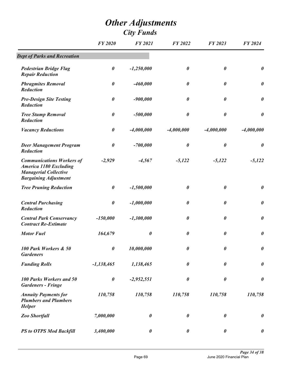|                                                                                                                                   | <b>FY 2020</b>        | <b>FY 2021</b>        | FY 2022               | FY 2023               | FY 2024               |
|-----------------------------------------------------------------------------------------------------------------------------------|-----------------------|-----------------------|-----------------------|-----------------------|-----------------------|
| <b>Dept of Parks and Recreation</b>                                                                                               |                       |                       |                       |                       |                       |
| <b>Pedestrian Bridge Flag</b><br><b>Repair Reduction</b>                                                                          | $\boldsymbol{\theta}$ | $-1,250,000$          | $\boldsymbol{\theta}$ | $\boldsymbol{\theta}$ | $\boldsymbol{\theta}$ |
| <b>Phragmites Removal</b><br><b>Reduction</b>                                                                                     | $\boldsymbol{\theta}$ | $-460,000$            | $\boldsymbol{\theta}$ | $\boldsymbol{\theta}$ | $\boldsymbol{\theta}$ |
| <b>Pre-Design Site Testing</b><br><b>Reduction</b>                                                                                | $\boldsymbol{\theta}$ | $-900,000$            | $\boldsymbol{\theta}$ | $\boldsymbol{\theta}$ | $\boldsymbol{\theta}$ |
| <b>Tree Stump Removal</b><br><b>Reduction</b>                                                                                     | $\boldsymbol{\theta}$ | $-500,000$            | $\boldsymbol{\theta}$ | $\boldsymbol{\theta}$ | $\boldsymbol{\theta}$ |
| <b>Vacancy Reductions</b>                                                                                                         | $\boldsymbol{\theta}$ | $-4,000,000$          | $-4,000,000$          | $-4,000,000$          | $-4,000,000$          |
| <b>Deer Management Program</b><br>Reduction                                                                                       | $\boldsymbol{\theta}$ | $-700,000$            | $\boldsymbol{\theta}$ | $\boldsymbol{\theta}$ | $\boldsymbol{\theta}$ |
| <b>Communications Workers of</b><br><b>America 1180 Excluding</b><br><b>Managerial Collective</b><br><b>Bargaining Adjustment</b> | $-2,929$              | $-4,567$              | $-5,122$              | $-5,122$              | $-5,122$              |
| <b>Tree Pruning Reduction</b>                                                                                                     | $\boldsymbol{\theta}$ | $-1,500,000$          | $\boldsymbol{\theta}$ | $\boldsymbol{\theta}$ | $\pmb{\theta}$        |
| <b>Central Purchasing</b><br><b>Reduction</b>                                                                                     | $\boldsymbol{\theta}$ | $-1,000,000$          | $\boldsymbol{\theta}$ | $\boldsymbol{\theta}$ | $\boldsymbol{\theta}$ |
| <b>Central Park Conservancy</b><br><b>Contract Re-Estimate</b>                                                                    | $-150,000$            | $-1,300,000$          | $\boldsymbol{\theta}$ | $\boldsymbol{\theta}$ | $\boldsymbol{\theta}$ |
| <b>Motor Fuel</b>                                                                                                                 | 164,679               | $\boldsymbol{\theta}$ | $\boldsymbol{\theta}$ | $\boldsymbol{\theta}$ | $\pmb{\theta}$        |
| 100 Park Workers & 50<br><b>Gardeners</b>                                                                                         | 0                     | 10,000,000            | $\boldsymbol{\theta}$ | $\boldsymbol{\theta}$ | $\boldsymbol{\theta}$ |
| <b>Funding Rolls</b>                                                                                                              | $-1,138,465$          | 1,138,465             | $\boldsymbol{\theta}$ | $\boldsymbol{\theta}$ | $\pmb{\theta}$        |
| 100 Parks Workers and 50<br><b>Gardeners - Fringe</b>                                                                             | $\boldsymbol{\theta}$ | $-2,952,551$          | 0                     | $\boldsymbol{\theta}$ | $\pmb{\theta}$        |
| <b>Annuity Payments for</b><br><b>Plumbers and Plumbers</b><br><b>Helper</b>                                                      | 110,758               | 110,758               | 110,758               | 110,758               | 110,758               |
| Zoo Shortfall                                                                                                                     | 7,000,000             | $\boldsymbol{\theta}$ | $\boldsymbol{\theta}$ | $\boldsymbol{\theta}$ | $\pmb{\theta}$        |
| <b>PS to OTPS Mod Backfill</b>                                                                                                    | 3,400,000             | $\pmb{\theta}$        | $\boldsymbol{\theta}$ | $\pmb{\theta}$        | $\boldsymbol{\theta}$ |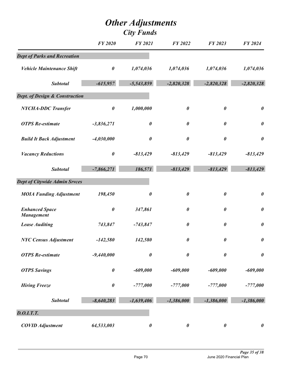|                                            | <b>FY 2020</b>        | <b>FY 2021</b>        | FY 2022               | FY 2023               | <b>FY 2024</b>        |
|--------------------------------------------|-----------------------|-----------------------|-----------------------|-----------------------|-----------------------|
| <b>Dept of Parks and Recreation</b>        |                       |                       |                       |                       |                       |
| <b>Vehicle Maintenance Shift</b>           | $\pmb{\theta}$        | 1,074,036             | 1,074,036             | 1,074,036             | 1,074,036             |
| <b>Subtotal</b>                            | $-615,957$            | $-5,543,859$          | $-2,820,328$          | $-2,820,328$          | $-2,820,328$          |
| Dept. of Design & Construction             |                       |                       |                       |                       |                       |
| <b>NYCHA-DDC Transfer</b>                  | $\pmb{\theta}$        | 1,000,000             | $\boldsymbol{\theta}$ | $\boldsymbol{\theta}$ | $\boldsymbol{\theta}$ |
| <b>OTPS</b> Re-estimate                    | $-3,836,271$          | $\boldsymbol{\theta}$ | $\boldsymbol{\theta}$ | $\boldsymbol{\theta}$ | $\boldsymbol{\theta}$ |
| <b>Build It Back Adjustment</b>            | $-4,030,000$          | $\boldsymbol{\theta}$ | $\boldsymbol{\theta}$ | $\pmb{\theta}$        | $\boldsymbol{\theta}$ |
| <b>Vacancy Reductions</b>                  | $\pmb{\theta}$        | $-813,429$            | $-813,429$            | $-813,429$            | $-813,429$            |
| <b>Subtotal</b>                            | $-7,866,271$          | 186,571               | $-813,429$            | $-813,429$            | $-813,429$            |
| <b>Dept of Citywide Admin Srvces</b>       |                       |                       |                       |                       |                       |
| <b>MOIA Funding Adjustment</b>             | 198,450               | $\boldsymbol{\theta}$ | $\boldsymbol{\theta}$ | $\pmb{\theta}$        | $\boldsymbol{\theta}$ |
| <b>Enhanced Space</b><br><b>Management</b> | $\boldsymbol{\theta}$ | 347,861               | $\boldsymbol{\theta}$ | 0                     | $\boldsymbol{\theta}$ |
| <b>Lease Auditing</b>                      | 743,847               | $-743,847$            | $\boldsymbol{\theta}$ | $\boldsymbol{\theta}$ | $\boldsymbol{\theta}$ |
| <b>NYC Census Adjustment</b>               | $-142,580$            | 142,580               | $\boldsymbol{\theta}$ | 0                     | $\boldsymbol{\theta}$ |
| <b>OTPS</b> Re-estimate                    | $-9,440,000$          | $\boldsymbol{\theta}$ | $\boldsymbol{\theta}$ | $\boldsymbol{\theta}$ | $\pmb{\theta}$        |
| <b>OTPS Savings</b>                        | $\pmb{\theta}$        | $-609,000$            | $-609,000$            | $-609,000$            | $-609,000$            |
| <b>Hiring Freeze</b>                       | $\pmb{\theta}$        | $-777,000$            | $-777,000$            | $-777,000$            | $-777,000$            |
| <b>Subtotal</b>                            | $-8,640,283$          | $-1,639,406$          | $-1,386,000$          | $-1,386,000$          | $-1,386,000$          |
| <b>D.O.I.T.T.</b>                          |                       |                       |                       |                       |                       |
| <b>COVID Adjustment</b>                    | 64,533,003            | $\boldsymbol{\theta}$ | $\boldsymbol{\theta}$ | $\boldsymbol{\theta}$ | $\boldsymbol{\theta}$ |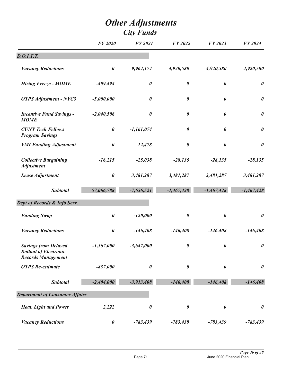|                                                                                          | <b>FY 2020</b>        | <b>FY 2021</b>        | <b>FY 2022</b>        | FY 2023               | <b>FY 2024</b>        |
|------------------------------------------------------------------------------------------|-----------------------|-----------------------|-----------------------|-----------------------|-----------------------|
| D. O.I.T.T.                                                                              |                       |                       |                       |                       |                       |
| <b>Vacancy Reductions</b>                                                                | $\boldsymbol{\theta}$ | $-9,964,174$          | $-4,920,580$          | $-4,920,580$          | $-4,920,580$          |
| <b>Hiring Freeze - MOME</b>                                                              | $-409,494$            | $\boldsymbol{\theta}$ | $\boldsymbol{\theta}$ | $\boldsymbol{\theta}$ | $\boldsymbol{\theta}$ |
| <b>OTPS Adjustment - NYC3</b>                                                            | $-5,000,000$          | $\boldsymbol{\theta}$ | $\boldsymbol{\theta}$ | $\boldsymbol{\theta}$ | $\pmb{\theta}$        |
| <b>Incentive Fund Savings -</b><br><b>MOME</b>                                           | $-2,040,506$          | $\boldsymbol{\theta}$ | $\boldsymbol{\theta}$ | $\boldsymbol{\theta}$ | $\pmb{\theta}$        |
| <b>CUNY Tech Fellows</b><br><b>Program Savings</b>                                       | $\boldsymbol{\theta}$ | $-1,161,074$          | $\boldsymbol{\theta}$ | $\boldsymbol{\theta}$ | $\pmb{\theta}$        |
| <b>YMI Funding Adjustment</b>                                                            | $\boldsymbol{\theta}$ | 12,478                | $\boldsymbol{\theta}$ | $\boldsymbol{\theta}$ | $\pmb{\theta}$        |
| <b>Collective Bargaining</b><br><b>Adjustment</b>                                        | $-16,215$             | $-25,038$             | $-28,135$             | $-28,135$             | $-28,135$             |
| Lease Adjustment                                                                         | $\boldsymbol{\theta}$ | 3,481,287             | 3,481,287             | 3,481,287             | 3,481,287             |
| <b>Subtotal</b>                                                                          | 57,066,788            | $-7,656,521$          | $-1,467,428$          | $-1,467,428$          | $-1,467,428$          |
| Dept of Records & Info Serv.                                                             |                       |                       |                       |                       |                       |
| <b>Funding Swap</b>                                                                      | $\boldsymbol{\theta}$ | $-120,000$            | $\boldsymbol{\theta}$ | $\boldsymbol{\theta}$ | $\pmb{\theta}$        |
| <b>Vacancy Reductions</b>                                                                | $\boldsymbol{\theta}$ | $-146,408$            | $-146,408$            | $-146,408$            | $-146,408$            |
| <b>Savings from Delayed</b><br><b>Rollout of Electronic</b><br><b>Records Management</b> | $-1,567,000$          | $-3,647,000$          | $\boldsymbol{\theta}$ | $\boldsymbol{\theta}$ | $\boldsymbol{\theta}$ |
| <b>OTPS</b> Re-estimate                                                                  | $-837,000$            | $\boldsymbol{\theta}$ | $\boldsymbol{\theta}$ | $\boldsymbol{\theta}$ | $\pmb{\theta}$        |
| <b>Subtotal</b>                                                                          | $-2,404,000$          | $-3,913,408$          | $-146,408$            | $-146,408$            | $-146,408$            |
| <b>Department of Consumer Affairs</b>                                                    |                       |                       |                       |                       |                       |
| <b>Heat, Light and Power</b>                                                             | 2,222                 | $\boldsymbol{\theta}$ | $\boldsymbol{\theta}$ | $\boldsymbol{\theta}$ | $\pmb{\theta}$        |
| <b>Vacancy Reductions</b>                                                                | $\boldsymbol{\theta}$ | $-783,439$            | $-783,439$            | $-783,439$            | $-783,439$            |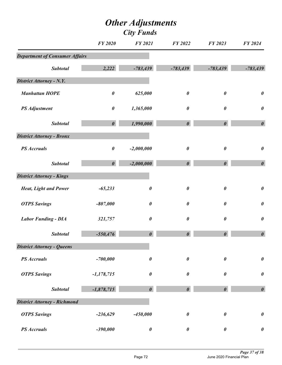## *Other Adjustments City Funds*

|                                       | <b>FY 2020</b>        | <b>FY 2021</b>        | FY 2022               | FY 2023               | FY 2024               |
|---------------------------------------|-----------------------|-----------------------|-----------------------|-----------------------|-----------------------|
| <b>Department of Consumer Affairs</b> |                       |                       |                       |                       |                       |
| <b>Subtotal</b>                       | 2,222                 | $-783,439$            | $-783,439$            | $-783,439$            | $-783,439$            |
| District Attorney - N.Y.              |                       |                       |                       |                       |                       |
| <b>Manhattan HOPE</b>                 | $\pmb{\theta}$        | 625,000               | $\boldsymbol{\theta}$ | $\boldsymbol{\theta}$ | $\boldsymbol{\theta}$ |
| <b>PS</b> Adjustment                  | $\pmb{\theta}$        | 1,365,000             | $\boldsymbol{\theta}$ | 0                     | $\pmb{\theta}$        |
| <b>Subtotal</b>                       | $\boldsymbol{\theta}$ | 1,990,000             | $\boldsymbol{\theta}$ | $\boldsymbol{\theta}$ | $\boldsymbol{\theta}$ |
| <b>District Attorney - Bronx</b>      |                       |                       |                       |                       |                       |
| <b>PS</b> Accruals                    | $\pmb{\theta}$        | $-2,000,000$          | $\boldsymbol{\theta}$ | 0                     | $\boldsymbol{\theta}$ |
| <b>Subtotal</b>                       | $\boldsymbol{\theta}$ | $-2,000,000$          | $\boldsymbol{\theta}$ | $\boldsymbol{\theta}$ | $\boldsymbol{\theta}$ |
| <b>District Attorney - Kings</b>      |                       |                       |                       |                       |                       |
| <b>Heat, Light and Power</b>          | $-65,233$             | $\boldsymbol{\theta}$ | $\pmb{\theta}$        | $\boldsymbol{\theta}$ | $\pmb{\theta}$        |
| <b>OTPS Savings</b>                   | $-807,000$            | $\boldsymbol{\theta}$ | $\boldsymbol{\theta}$ | $\boldsymbol{\theta}$ | $\pmb{\theta}$        |
| <b>Labor Funding - DIA</b>            | 321,757               | $\boldsymbol{\theta}$ | $\boldsymbol{\theta}$ | $\boldsymbol{\theta}$ | $\pmb{\theta}$        |
| <b>Subtotal</b>                       | $-550,476$            | $\boldsymbol{\theta}$ | $\boldsymbol{\theta}$ | $\boldsymbol{\theta}$ | $\boldsymbol{\theta}$ |
| <b>District Attorney - Queens</b>     |                       |                       |                       |                       |                       |
| <b>PS</b> Accruals                    | $-700,000$            | $\boldsymbol{\theta}$ | $\pmb{\theta}$        | $\boldsymbol{\theta}$ | $\boldsymbol{\theta}$ |
| <b>OTPS Savings</b>                   | $-1,178,715$          | $\pmb{\theta}$        | $\pmb{\theta}$        | $\boldsymbol{\theta}$ | $\boldsymbol{\theta}$ |
| <b>Subtotal</b>                       | $-1,878,715$          | $\boldsymbol{\theta}$ | $\boldsymbol{\theta}$ | $\boldsymbol{\theta}$ | $\boldsymbol{\theta}$ |
| <b>District Attorney - Richmond</b>   |                       |                       |                       |                       |                       |
| <b>OTPS Savings</b>                   | $-236,629$            | $-450,000$            | $\boldsymbol{\theta}$ | $\boldsymbol{\theta}$ | $\boldsymbol{\theta}$ |
| <b>PS</b> Accruals                    | $-390,000$            | $\pmb{\theta}$        | $\pmb{\theta}$        | $\pmb{\theta}$        | $\pmb{\theta}$        |